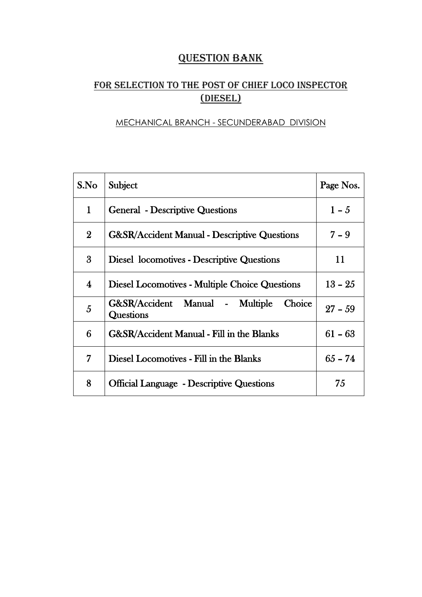#### **QUESTION BANK**

## FOR SELECTION TO THE POST OF CHIEF LOCO INSPECTOR (Diesel)

#### MECHANICAL BRANCH - SECUNDERABAD DIVISION

| S.No           | Subject                                                   | Page Nos. |
|----------------|-----------------------------------------------------------|-----------|
| $\mathbf{1}$   | <b>General</b> - Descriptive Questions                    | $1 - 5$   |
| $\overline{2}$ | <b>G&amp;SR/Accident Manual - Descriptive Questions</b>   | $7 - 9$   |
| $\overline{3}$ | Diesel locomotives - Descriptive Questions                | 11        |
| 4              | Diesel Locomotives - Multiple Choice Questions            | $13 - 25$ |
| $\overline{5}$ | G&SR/Accident Manual<br>Choice<br>- Multiple<br>Questions | $27 - 59$ |
| 6              | G&SR/Accident Manual - Fill in the Blanks                 | $61 - 63$ |
| 7              | Diesel Locomotives - Fill in the Blanks                   | $65 - 74$ |
| 8              | <b>Official Language - Descriptive Questions</b>          | 75        |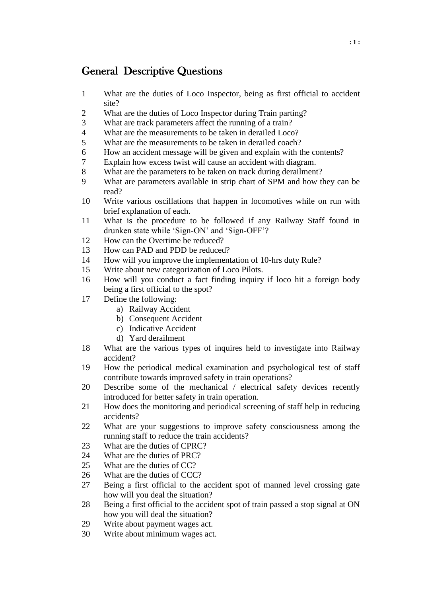### General Descriptive Questions

- What are the duties of Loco Inspector, being as first official to accident site?
- What are the duties of Loco Inspector during Train parting?
- What are track parameters affect the running of a train?
- What are the measurements to be taken in derailed Loco?
- What are the measurements to be taken in derailed coach?
- How an accident message will be given and explain with the contents?
- Explain how excess twist will cause an accident with diagram.
- What are the parameters to be taken on track during derailment?
- What are parameters available in strip chart of SPM and how they can be read?
- Write various oscillations that happen in locomotives while on run with brief explanation of each.
- What is the procedure to be followed if any Railway Staff found in drunken state while "Sign-ON" and "Sign-OFF"?
- How can the Overtime be reduced?
- How can PAD and PDD be reduced?
- How will you improve the implementation of 10-hrs duty Rule?
- Write about new categorization of Loco Pilots.
- How will you conduct a fact finding inquiry if loco hit a foreign body being a first official to the spot?
- Define the following:
	- a) Railway Accident
	- b) Consequent Accident
	- c) Indicative Accident
	- d) Yard derailment
- What are the various types of inquires held to investigate into Railway accident?
- How the periodical medical examination and psychological test of staff contribute towards improved safety in train operations?
- Describe some of the mechanical / electrical safety devices recently introduced for better safety in train operation.
- How does the monitoring and periodical screening of staff help in reducing accidents?
- What are your suggestions to improve safety consciousness among the running staff to reduce the train accidents?
- What are the duties of CPRC?
- 24 What are the duties of PRC?
- What are the duties of CC?
- What are the duties of CCC?
- Being a first official to the accident spot of manned level crossing gate how will you deal the situation?
- Being a first official to the accident spot of train passed a stop signal at ON how you will deal the situation?
- Write about payment wages act.
- Write about minimum wages act.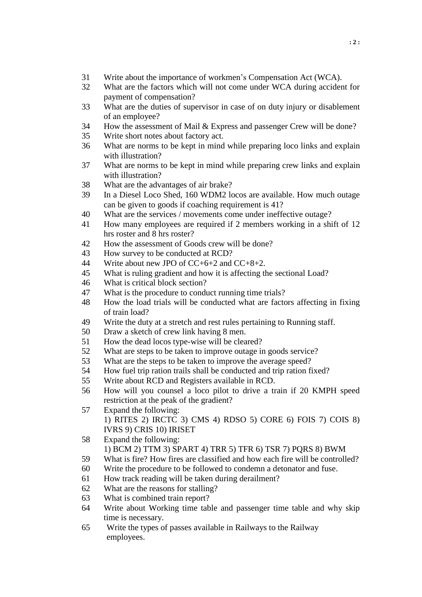- 31 Write about the importance of workmen's Compensation Act (WCA).<br>32 What are the factors which will not come under WCA during accident
- What are the factors which will not come under WCA during accident for payment of compensation?
- What are the duties of supervisor in case of on duty injury or disablement of an employee?
- How the assessment of Mail & Express and passenger Crew will be done?
- Write short notes about factory act.
- What are norms to be kept in mind while preparing loco links and explain with illustration?
- What are norms to be kept in mind while preparing crew links and explain with illustration?
- What are the advantages of air brake?
- In a Diesel Loco Shed, 160 WDM2 locos are available. How much outage can be given to goods if coaching requirement is 41?
- What are the services / movements come under ineffective outage?
- How many employees are required if 2 members working in a shift of 12 hrs roster and 8 hrs roster?
- How the assessment of Goods crew will be done?
- How survey to be conducted at RCD?
- Write about new JPO of CC+6+2 and CC+8+2.
- What is ruling gradient and how it is affecting the sectional Load?
- What is critical block section?
- What is the procedure to conduct running time trials?
- How the load trials will be conducted what are factors affecting in fixing of train load?
- Write the duty at a stretch and rest rules pertaining to Running staff.
- Draw a sketch of crew link having 8 men.
- How the dead locos type-wise will be cleared?
- What are steps to be taken to improve outage in goods service?
- What are the steps to be taken to improve the average speed?
- How fuel trip ration trails shall be conducted and trip ration fixed?
- Write about RCD and Registers available in RCD.
- How will you counsel a loco pilot to drive a train if 20 KMPH speed restriction at the peak of the gradient?
- Expand the following: 1) RITES 2) IRCTC 3) CMS 4) RDSO 5) CORE 6) FOIS 7) COIS 8) IVRS 9) CRIS 10) IRISET
- Expand the following: 1) BCM 2) TTM 3) SPART 4) TRR 5) TFR 6) TSR 7) PQRS 8) BWM
- What is fire? How fires are classified and how each fire will be controlled?
- Write the procedure to be followed to condemn a detonator and fuse.
- How track reading will be taken during derailment?
- What are the reasons for stalling?
- What is combined train report?
- Write about Working time table and passenger time table and why skip time is necessary.
- 65 Write the types of passes available in Railways to the Railway employees.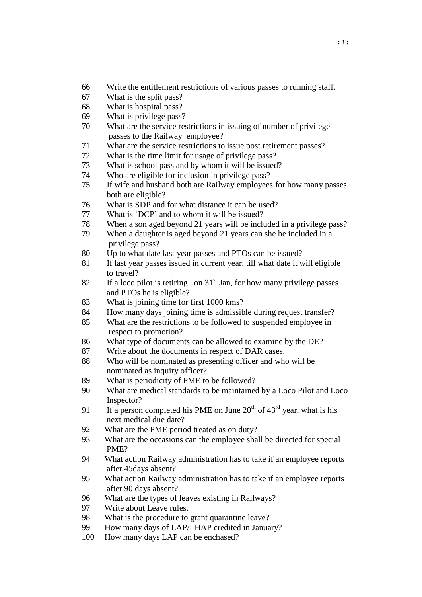- 66 Write the entitlement restrictions of various passes to running staff.
- 67 What is the split pass?
- 68 What is hospital pass?
- 69 What is privilege pass?
- 70 What are the service restrictions in issuing of number of privilege passes to the Railway employee?
- 71 What are the service restrictions to issue post retirement passes?
- 72 What is the time limit for usage of privilege pass?
- 73 What is school pass and by whom it will be issued?
- 74 Who are eligible for inclusion in privilege pass?
- 75 If wife and husband both are Railway employees for how many passes both are eligible?
- 76 What is SDP and for what distance it can be used?<br>77 What is 'DCP' and to whom it will be issued?
- What is 'DCP' and to whom it will be issued?
- 78 When a son aged beyond 21 years will be included in a privilege pass?
- 79 When a daughter is aged beyond 21 years can she be included in a privilege pass?
- 80 Up to what date last year passes and PTOs can be issued?
- 81 If last year passes issued in current year, till what date it will eligible to travel?
- 82 If a loco pilot is retiring on  $31<sup>st</sup>$  Jan, for how many privilege passes and PTOs he is eligible?
- 83 What is joining time for first 1000 kms?
- 84 How many days joining time is admissible during request transfer?
- 85 What are the restrictions to be followed to suspended employee in respect to promotion?
- 86 What type of documents can be allowed to examine by the DE?
- 87 Write about the documents in respect of DAR cases.
- 88 Who will be nominated as presenting officer and who will be nominated as inquiry officer?
- 89 What is periodicity of PME to be followed?
- 90 What are medical standards to be maintained by a Loco Pilot and Loco Inspector?
- 91 If a person completed his PME on June  $20^{th}$  of  $43^{rd}$  year, what is his next medical due date?
- 92 What are the PME period treated as on duty?
- 93 What are the occasions can the employee shall be directed for special PME?
- 94 What action Railway administration has to take if an employee reports after 45days absent?
- 95 What action Railway administration has to take if an employee reports after 90 days absent?
- 96 What are the types of leaves existing in Railways?
- 97 Write about Leave rules.
- 98 What is the procedure to grant quarantine leave?
- 99 How many days of LAP/LHAP credited in January?
- 100 How many days LAP can be enchased?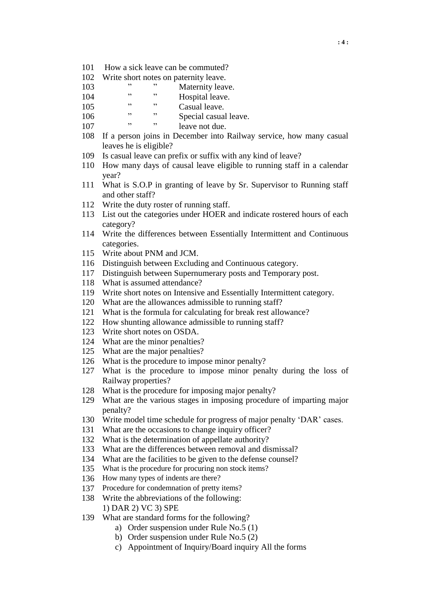- How a sick leave can be commuted?
- 102 Write short notes on paternity leave.
- 103 " " Maternity leave.<br>
104 " " Hospital leave.
- 104 " " Hospital leave.
- 105 " " Casual leave.
- 106 " " Special casual leave.
- 107 " " leave not due.
- If a person joins in December into Railway service, how many casual leaves he is eligible?
- Is casual leave can prefix or suffix with any kind of leave?
- How many days of causal leave eligible to running staff in a calendar year?
- What is S.O.P in granting of leave by Sr. Supervisor to Running staff and other staff?
- Write the duty roster of running staff.
- List out the categories under HOER and indicate rostered hours of each category?
- Write the differences between Essentially Intermittent and Continuous categories.
- Write about PNM and JCM.
- Distinguish between Excluding and Continuous category.
- Distinguish between Supernumerary posts and Temporary post.
- What is assumed attendance?
- Write short notes on Intensive and Essentially Intermittent category.
- What are the allowances admissible to running staff?
- What is the formula for calculating for break rest allowance?
- How shunting allowance admissible to running staff?
- Write short notes on OSDA.
- What are the minor penalties?
- What are the major penalties?
- What is the procedure to impose minor penalty?
- What is the procedure to impose minor penalty during the loss of Railway properties?
- What is the procedure for imposing major penalty?
- What are the various stages in imposing procedure of imparting major penalty?
- Write model time schedule for progress of major penalty "DAR" cases.
- What are the occasions to change inquiry officer?
- What is the determination of appellate authority?
- What are the differences between removal and dismissal?
- What are the facilities to be given to the defense counsel?
- What is the procedure for procuring non stock items?
- How many types of indents are there?
- Procedure for condemnation of pretty items?
- Write the abbreviations of the following:

1) DAR 2) VC 3) SPE

- What are standard forms for the following?
	- a) Order suspension under Rule No.5 (1)
	- b) Order suspension under Rule No.5 (2)
	- c) Appointment of Inquiry/Board inquiry All the forms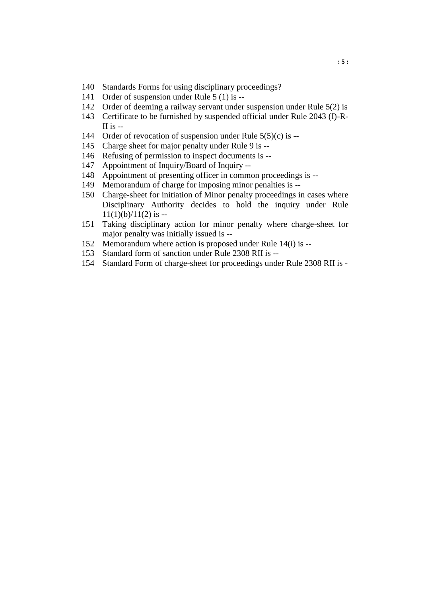- Standards Forms for using disciplinary proceedings?
- Order of suspension under Rule 5 (1) is --
- Order of deeming a railway servant under suspension under Rule 5(2) is
- Certificate to be furnished by suspended official under Rule 2043 (I)-R-II is --
- Order of revocation of suspension under Rule 5(5)(c) is --
- Charge sheet for major penalty under Rule 9 is --
- Refusing of permission to inspect documents is --
- Appointment of Inquiry/Board of Inquiry --
- Appointment of presenting officer in common proceedings is --
- Memorandum of charge for imposing minor penalties is --
- Charge-sheet for initiation of Minor penalty proceedings in cases where Disciplinary Authority decides to hold the inquiry under Rule  $11(1)(b)/11(2)$  is --
- Taking disciplinary action for minor penalty where charge-sheet for major penalty was initially issued is --
- Memorandum where action is proposed under Rule 14(i) is --
- Standard form of sanction under Rule 2308 RII is --
- Standard Form of charge-sheet for proceedings under Rule 2308 RII is -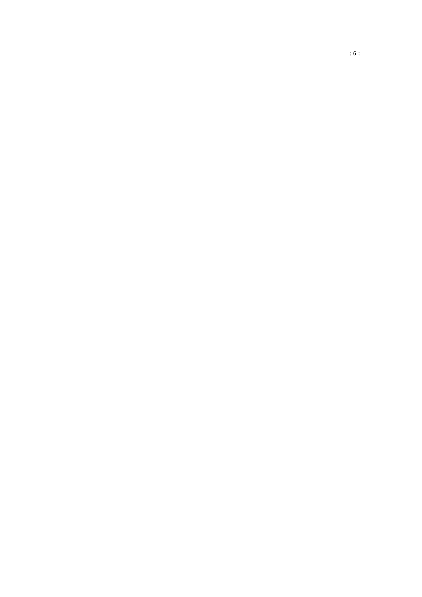**: 6 :**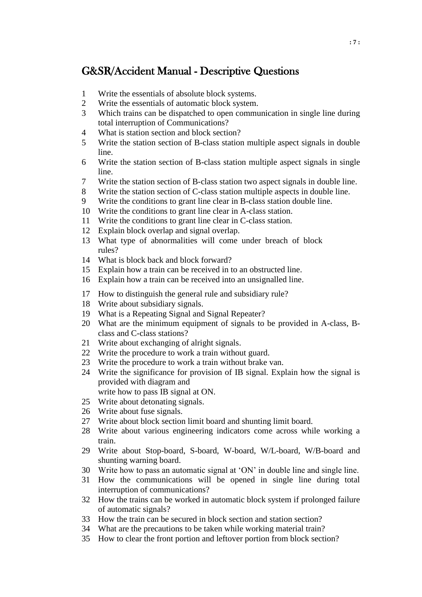# G&SR/Accident Manual - Descriptive Questions

- Write the essentials of absolute block systems.
- Write the essentials of automatic block system.
- Which trains can be dispatched to open communication in single line during total interruption of Communications?
- What is station section and block section?
- Write the station section of B-class station multiple aspect signals in double line.
- Write the station section of B-class station multiple aspect signals in single line.
- Write the station section of B-class station two aspect signals in double line.
- Write the station section of C-class station multiple aspects in double line.
- Write the conditions to grant line clear in B-class station double line.
- Write the conditions to grant line clear in A-class station.
- Write the conditions to grant line clear in C-class station.
- Explain block overlap and signal overlap.
- What type of abnormalities will come under breach of block rules?
- What is block back and block forward?
- Explain how a train can be received in to an obstructed line.
- Explain how a train can be received into an unsignalled line.
- How to distinguish the general rule and subsidiary rule?
- Write about subsidiary signals.
- What is a Repeating Signal and Signal Repeater?
- What are the minimum equipment of signals to be provided in A-class, Bclass and C-class stations?
- Write about exchanging of alright signals.
- Write the procedure to work a train without guard.
- Write the procedure to work a train without brake van.
- Write the significance for provision of IB signal. Explain how the signal is provided with diagram and write how to pass IB signal at ON.
- Write about detonating signals.
- Write about fuse signals.
- Write about block section limit board and shunting limit board.
- Write about various engineering indicators come across while working a train.
- Write about Stop-board, S-board, W-board, W/L-board, W/B-board and shunting warning board.
- Write how to pass an automatic signal at "ON" in double line and single line.
- How the communications will be opened in single line during total interruption of communications?
- How the trains can be worked in automatic block system if prolonged failure of automatic signals?
- How the train can be secured in block section and station section?
- What are the precautions to be taken while working material train?
- How to clear the front portion and leftover portion from block section?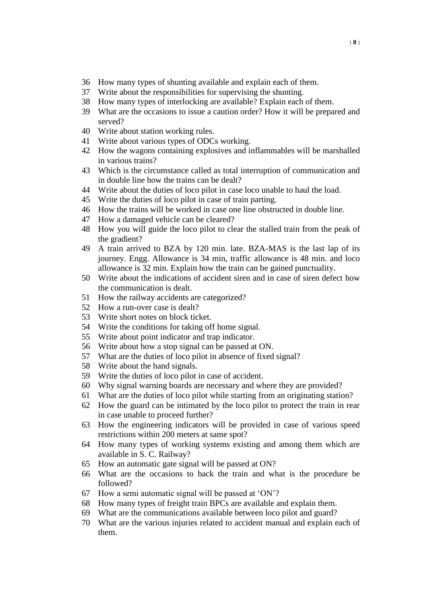- How many types of shunting available and explain each of them.
- Write about the responsibilities for supervising the shunting.
- How many types of interlocking are available? Explain each of them.
- What are the occasions to issue a caution order? How it will be prepared and served?
- Write about station working rules.
- Write about various types of ODCs working.
- How the wagons containing explosives and inflammables will be marshalled in various trains?
- Which is the circumstance called as total interruption of communication and in double line how the trains can be dealt?
- Write about the duties of loco pilot in case loco unable to haul the load.
- Write the duties of loco pilot in case of train parting.
- How the trains will be worked in case one line obstructed in double line.
- How a damaged vehicle can be cleared?
- How you will guide the loco pilot to clear the stalled train from the peak of the gradient?
- A train arrived to BZA by 120 min. late. BZA-MAS is the last lap of its journey. Engg. Allowance is 34 min, traffic allowance is 48 min. and loco allowance is 32 min. Explain how the train can be gained punctuality.
- Write about the indications of accident siren and in case of siren defect how the communication is dealt.
- How the railway accidents are categorized?
- How a run-over case is dealt?
- Write short notes on block ticket.
- Write the conditions for taking off home signal.
- Write about point indicator and trap indicator.
- Write about how a stop signal can be passed at ON.
- What are the duties of loco pilot in absence of fixed signal?
- Write about the hand signals.
- Write the duties of loco pilot in case of accident.
- Why signal warning boards are necessary and where they are provided?
- What are the duties of loco pilot while starting from an originating station?
- How the guard can be intimated by the loco pilot to protect the train in rear in case unable to proceed further?
- How the engineering indicators will be provided in case of various speed restrictions within 200 meters at same spot?
- How many types of working systems existing and among them which are available in S. C. Railway?
- How an automatic gate signal will be passed at ON?
- What are the occasions to back the train and what is the procedure be followed?
- How a semi automatic signal will be passed at "ON"?
- How many types of freight train BPCs are available and explain them.
- What are the communications available between loco pilot and guard?
- What are the various injuries related to accident manual and explain each of them.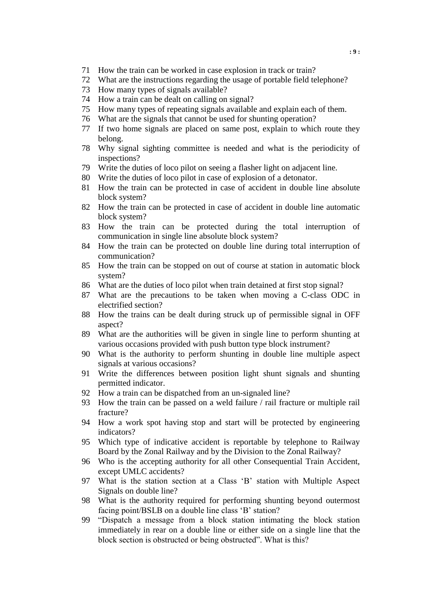- 71 How the train can be worked in case explosion in track or train?
- 72 What are the instructions regarding the usage of portable field telephone?
- 73 How many types of signals available?
- 74 How a train can be dealt on calling on signal?
- 75 How many types of repeating signals available and explain each of them.
- 76 What are the signals that cannot be used for shunting operation?
- 77 If two home signals are placed on same post, explain to which route they belong.
- 78 Why signal sighting committee is needed and what is the periodicity of inspections?
- 79 Write the duties of loco pilot on seeing a flasher light on adjacent line.
- 80 Write the duties of loco pilot in case of explosion of a detonator.
- 81 How the train can be protected in case of accident in double line absolute block system?
- 82 How the train can be protected in case of accident in double line automatic block system?
- 83 How the train can be protected during the total interruption of communication in single line absolute block system?
- 84 How the train can be protected on double line during total interruption of communication?
- 85 How the train can be stopped on out of course at station in automatic block system?
- 86 What are the duties of loco pilot when train detained at first stop signal?
- 87 What are the precautions to be taken when moving a C-class ODC in electrified section?
- 88 How the trains can be dealt during struck up of permissible signal in OFF aspect?
- 89 What are the authorities will be given in single line to perform shunting at various occasions provided with push button type block instrument?
- 90 What is the authority to perform shunting in double line multiple aspect signals at various occasions?
- 91 Write the differences between position light shunt signals and shunting permitted indicator.
- 92 How a train can be dispatched from an un-signaled line?
- 93 How the train can be passed on a weld failure / rail fracture or multiple rail fracture?
- 94 How a work spot having stop and start will be protected by engineering indicators?
- 95 Which type of indicative accident is reportable by telephone to Railway Board by the Zonal Railway and by the Division to the Zonal Railway?
- 96 Who is the accepting authority for all other Consequential Train Accident, except UMLC accidents?
- 97 What is the station section at a Class "B" station with Multiple Aspect Signals on double line?
- 98 What is the authority required for performing shunting beyond outermost facing point/BSLB on a double line class 'B' station?
- 99 "Dispatch a message from a block station intimating the block station immediately in rear on a double line or either side on a single line that the block section is obstructed or being obstructed". What is this?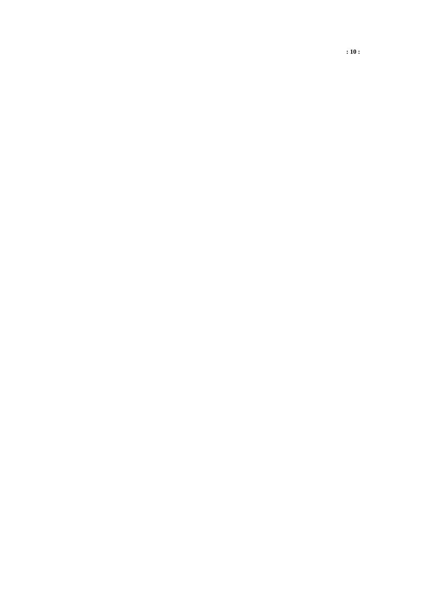**: 10 :**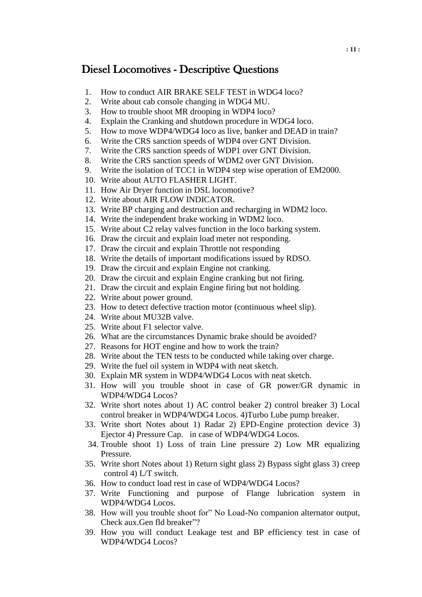#### Diesel Locomotives - Descriptive Questions

- 1. How to conduct AIR BRAKE SELF TEST in WDG4 loco?
- 2. Write about cab console changing in WDG4 MU.
- 3. How to trouble shoot MR drooping in WDP4 loco?
- 4. Explain the Cranking and shutdown procedure in WDG4 loco.
- 5. How to move WDP4/WDG4 loco as live, banker and DEAD in train?
- 6. Write the CRS sanction speeds of WDP4 over GNT Division.
- 7. Write the CRS sanction speeds of WDP1 over GNT Division.
- 8. Write the CRS sanction speeds of WDM2 over GNT Division.
- 9. Write the isolation of TCC1 in WDP4 step wise operation of EM2000.
- 10. Write about AUTO FLASHER LIGHT.
- 11. How Air Dryer function in DSL locomotive?
- 12. Write about AIR FLOW INDICATOR.
- 13. Write BP charging and destruction and recharging in WDM2 loco.
- 14. Write the independent brake working in WDM2 loco.
- 15. Write about C2 relay valves function in the loco barking system.
- 16. Draw the circuit and explain load meter not responding.
- 17. Draw the circuit and explain Throttle not responding
- 18. Write the details of important modifications issued by RDSO.
- 19. Draw the circuit and explain Engine not cranking.
- 20. Draw the circuit and explain Engine cranking but not firing.
- 21. Draw the circuit and explain Engine firing but not holding.
- 22. Write about power ground.
- 23. How to detect defective traction motor (continuous wheel slip).
- 24. Write about MU32B valve.
- 25. Write about F1 selector valve.
- 26. What are the circumstances Dynamic brake should be avoided?
- 27. Reasons for HOT engine and how to work the train?
- 28. Write about the TEN tests to be conducted while taking over charge.
- 29. Write the fuel oil system in WDP4 with neat sketch.
- 30. Explain MR system in WDP4/WDG4 Locos with neat sketch.
- 31. How will you trouble shoot in case of GR power/GR dynamic in WDP4/WDG4 Locos?
- 32. Write short notes about 1) AC control beaker 2) control breaker 3) Local control breaker in WDP4/WDG4 Locos. 4)Turbo Lube pump breaker.
- 33. Write short Notes about 1) Radar 2) EPD-Engine protection device 3) Ejector 4) Pressure Cap. in case of WDP4/WDG4 Locos.
- 34. Trouble shoot 1) Loss of train Line pressure 2) Low MR equalizing Pressure.
- 35. Write short Notes about 1) Return sight glass 2) Bypass sight glass 3) creep control 4) L/T switch.
- 36. How to conduct load rest in case of WDP4/WDG4 Locos?
- 37. Write Functioning and purpose of Flange lubrication system in WDP4/WDG4 Locos.
- 38. How will you trouble shoot for" No Load-No companion alternator output, Check aux.Gen fld breaker"?
- 39. How you will conduct Leakage test and BP efficiency test in case of WDP4/WDG4 Locos?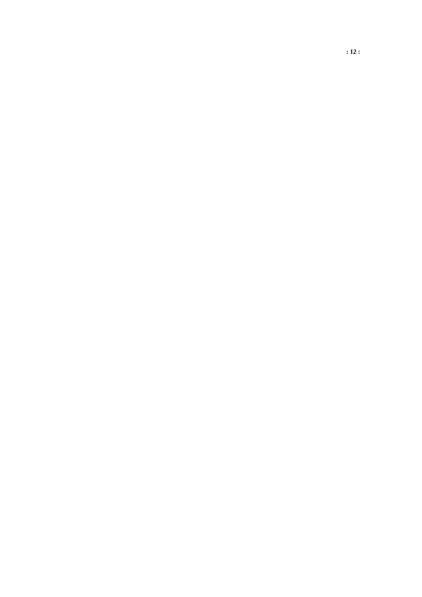**: 12 :**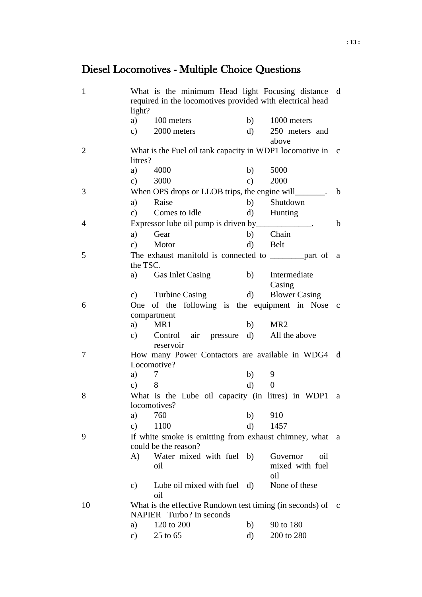# Diesel Locomotives - Multiple Choice Questions

| $\mathbf{1}$   | What is the minimum Head light Focusing distance d                            |                             |                                           |              |  |  |
|----------------|-------------------------------------------------------------------------------|-----------------------------|-------------------------------------------|--------------|--|--|
|                | required in the locomotives provided with electrical head                     |                             |                                           |              |  |  |
|                | light?                                                                        |                             |                                           |              |  |  |
|                | 100 meters<br>a)                                                              | b)                          | 1000 meters                               |              |  |  |
|                | 2000 meters<br>$\mathbf{c})$                                                  | $\rm d)$                    | 250 meters and<br>above                   |              |  |  |
| $\overline{2}$ | What is the Fuel oil tank capacity in WDP1 locomotive in                      |                             |                                           | $\mathbf{c}$ |  |  |
|                | litres?                                                                       |                             |                                           |              |  |  |
|                | 4000<br>a)                                                                    | b)                          | 5000                                      |              |  |  |
|                | $\mathbf{c})$<br>3000                                                         | $\mathbf{c})$               | 2000                                      |              |  |  |
| 3              | When OPS drops or LLOB trips, the engine will_______.                         |                             |                                           | $\mathbf b$  |  |  |
|                | Raise<br>a)                                                                   | b)                          | Shutdown                                  |              |  |  |
|                | Comes to Idle<br>$\mathbf{c})$                                                | d)                          | Hunting                                   |              |  |  |
| 4              | Expressor lube oil pump is driven by _____________.                           |                             |                                           | $\mathbf b$  |  |  |
|                | Gear<br>a)                                                                    | b)                          | Chain                                     |              |  |  |
|                | Motor<br>$\mathbf{c}$ )                                                       | $\rm d)$                    | <b>Belt</b>                               |              |  |  |
| 5              | The exhaust manifold is connected to __________ part of                       |                             |                                           | a            |  |  |
|                | the TSC.                                                                      |                             |                                           |              |  |  |
|                | Gas Inlet Casing<br>a)                                                        | b)                          | Intermediate                              |              |  |  |
|                | <b>Turbine Casing</b><br>c)                                                   | d)                          | Casing<br><b>Blower Casing</b>            |              |  |  |
| 6              | One                                                                           |                             | of the following is the equipment in Nose |              |  |  |
|                | compartment                                                                   |                             |                                           | $\mathbf{c}$ |  |  |
|                | MR1<br>a)                                                                     | b)                          | MR <sub>2</sub>                           |              |  |  |
|                | air<br>$\mathbf{c})$<br>Control                                               | $\mathbf{d}$<br>pressure    | All the above                             |              |  |  |
|                | reservoir                                                                     |                             |                                           |              |  |  |
| 7              | How many Power Contactors are available in WDG4<br>d                          |                             |                                           |              |  |  |
|                | Locomotive?                                                                   |                             |                                           |              |  |  |
|                | 7<br>a)                                                                       | b)                          | 9                                         |              |  |  |
|                | $\mathbf{c}$<br>8                                                             | d)                          | $\overline{0}$                            |              |  |  |
| 8              | What is the Lube oil capacity (in litres) in WDP1                             |                             |                                           | a            |  |  |
|                | locomotives?                                                                  |                             |                                           |              |  |  |
|                | 760<br>a)                                                                     | b)                          | 910                                       |              |  |  |
|                | 1100<br>$\mathbf{c})$                                                         | d)                          | 1457                                      |              |  |  |
| 9              | If white smoke is emitting from exhaust chimney, what<br>could be the reason? |                             |                                           | a            |  |  |
|                | A)                                                                            | Water mixed with fuel b)    | Governor<br>oil                           |              |  |  |
|                | oil                                                                           |                             | mixed with fuel                           |              |  |  |
|                |                                                                               |                             | oil                                       |              |  |  |
|                | $\mathbf{c})$                                                                 | Lube oil mixed with fuel d) | None of these                             |              |  |  |
|                | oil                                                                           |                             |                                           |              |  |  |
| 10             | What is the effective Rundown test timing (in seconds) of                     |                             |                                           | <sub>c</sub> |  |  |
|                | NAPIER Turbo? In seconds                                                      |                             |                                           |              |  |  |
|                | 120 to 200<br>a)                                                              | b)                          | 90 to 180                                 |              |  |  |
|                | 25 to 65<br>$\mathbf{c})$                                                     | $\rm d)$                    | 200 to 280                                |              |  |  |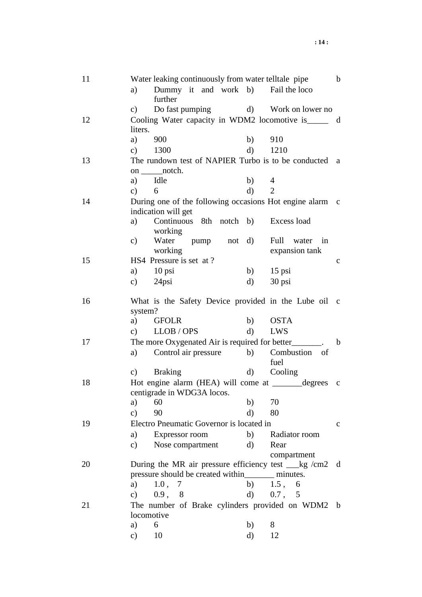| 11 |               | Water leaking continuously from water telltale pipe                           |     |              |                                                      | $\mathbf b$  |
|----|---------------|-------------------------------------------------------------------------------|-----|--------------|------------------------------------------------------|--------------|
|    | a)            | Dummy it and work b) Fail the loco                                            |     |              |                                                      |              |
|    |               | further                                                                       |     |              |                                                      |              |
|    | c)            | Do fast pumping                                                               |     | $\mathbf{d}$ | Work on lower no                                     |              |
| 12 |               | Cooling Water capacity in WDM2 locomotive is_____                             |     |              |                                                      | d            |
|    | liters.       |                                                                               |     |              |                                                      |              |
|    | a)            | 900                                                                           |     | b)           | 910                                                  |              |
|    | $\mathbf{c})$ | 1300                                                                          |     | $\mathbf{d}$ | 1210                                                 |              |
| 13 |               | The rundown test of NAPIER Turbo is to be conducted                           |     |              |                                                      | a            |
|    |               | on _______ notch.                                                             |     |              |                                                      |              |
|    | a)            | Idle                                                                          |     | b)           | 4                                                    |              |
|    | $\mathbf{c})$ | 6                                                                             |     | $\mathbf{d}$ | $\overline{2}$                                       |              |
| 14 |               | During one of the following occasions Hot engine alarm<br>indication will get |     |              |                                                      | $\mathbf{c}$ |
|    | a)            | Continuous 8th notch b)                                                       |     |              | Excess load                                          |              |
|    |               | working                                                                       |     |              |                                                      |              |
|    | $\mathbf{c})$ | Water<br>pump                                                                 | not | $\mathbf{d}$ | Full<br>water<br>in                                  |              |
|    |               | working                                                                       |     |              | expansion tank                                       |              |
| 15 |               | HS4 Pressure is set at ?                                                      |     |              |                                                      | $\mathbf c$  |
|    | a)            | 10 psi                                                                        |     | b)           | $15$ psi                                             |              |
|    | c)            | 24psi                                                                         |     | $\rm d$      | 30 psi                                               |              |
| 16 |               |                                                                               |     |              | What is the Safety Device provided in the Lube oil c |              |
|    | system?       |                                                                               |     |              |                                                      |              |
|    | a)            | <b>GFOLR</b>                                                                  |     | b)           | <b>OSTA</b>                                          |              |
|    | c)            | LLOB/OPS                                                                      |     | $\rm d$      | LWS                                                  |              |
| 17 |               | The more Oxygenated Air is required for better_______                         |     |              |                                                      | b            |
|    | a)            | Control air pressure                                                          |     | b)           | Combustion of<br>fuel                                |              |
|    | $\mathbf{c})$ | <b>Braking</b>                                                                |     | $\rm d$      | Cooling                                              |              |
| 18 |               | Hot engine alarm (HEA) will come at ________ degrees                          |     |              |                                                      | $\mathbf{c}$ |
|    |               | centigrade in WDG3A locos.                                                    |     |              |                                                      |              |
|    | a)            | 60                                                                            |     | b)           | 70                                                   |              |
|    | $\mathbf{c})$ | 90                                                                            |     | $\mathbf{d}$ | 80                                                   |              |
| 19 |               | Electro Pneumatic Governor is located in                                      |     |              |                                                      | $\mathbf c$  |
|    | a)            | Expressor room                                                                |     | b)           | Radiator room                                        |              |
|    | c)            | Nose compartment                                                              |     | $\rm d)$     | Rear                                                 |              |
|    |               |                                                                               |     |              | compartment                                          |              |
| 20 |               | During the MR air pressure efficiency test <u>kg</u> /cm2                     |     |              |                                                      | $\mathbf d$  |
|    |               | pressure should be created within                                             |     |              | minutes.                                             |              |
|    | a)            | 1.0,<br>7                                                                     |     | b)           | 1.5, 6                                               |              |
|    | c)            | 0.9,<br>8                                                                     |     | $\mathbf{d}$ | 0.7, 5                                               |              |
| 21 |               | The number of Brake cylinders provided on WDM2                                |     |              |                                                      | b            |
|    | locomotive    |                                                                               |     |              |                                                      |              |
|    | a)            | 6                                                                             |     | b)           | 8                                                    |              |
|    | c)            | 10                                                                            |     | $\rm d)$     | 12                                                   |              |
|    |               |                                                                               |     |              |                                                      |              |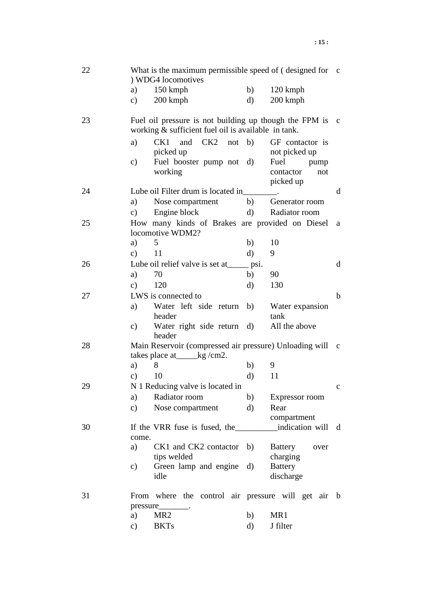| What is the maximum permissible speed of (designed for<br>22<br>) WDG4 locomotives |                                                                                                                                                                                                |              |  |  |  |  |
|------------------------------------------------------------------------------------|------------------------------------------------------------------------------------------------------------------------------------------------------------------------------------------------|--------------|--|--|--|--|
|                                                                                    |                                                                                                                                                                                                |              |  |  |  |  |
|                                                                                    | 150 kmph<br>a)<br>b)<br>$120 \; \mathrm{kmph}$                                                                                                                                                 |              |  |  |  |  |
|                                                                                    | 200 kmph<br>200 kmph<br>$\rm d$<br>$\mathbf{c})$                                                                                                                                               |              |  |  |  |  |
| 23                                                                                 | Fuel oil pressure is not building up though the FPM is<br>working & sufficient fuel oil is available in tank.                                                                                  | $\mathbf{c}$ |  |  |  |  |
|                                                                                    | CK2<br>a)<br>CK1<br>and<br>b)<br>not<br>GF contactor is<br>picked up<br>not picked up<br>Fuel booster pump not d)<br>Fuel<br>$\mathbf{c})$<br>pump<br>working<br>contactor<br>not<br>picked up |              |  |  |  |  |
| 24                                                                                 | Lube oil Filter drum is located in                                                                                                                                                             | d            |  |  |  |  |
|                                                                                    | Nose compartment<br>a)<br>b)<br>Generator room                                                                                                                                                 |              |  |  |  |  |
|                                                                                    | Engine block<br>Radiator room<br>$\mathbf{d}$<br>c)                                                                                                                                            |              |  |  |  |  |
| 25                                                                                 | How many kinds of Brakes are provided on Diesel<br>locomotive WDM2?                                                                                                                            | a            |  |  |  |  |
|                                                                                    | 5<br>10<br>a)<br>b)                                                                                                                                                                            |              |  |  |  |  |
|                                                                                    | $\mathbf{c}$ )<br>11<br>$\rm d$<br>9                                                                                                                                                           |              |  |  |  |  |
| 26                                                                                 | Lube oil relief valve is set at <u>s</u> psi.                                                                                                                                                  | $\mathbf d$  |  |  |  |  |
|                                                                                    | 70<br>b)<br>90<br>a)                                                                                                                                                                           |              |  |  |  |  |
|                                                                                    | 120<br>130<br>$\mathbf{c})$<br>$\rm d)$                                                                                                                                                        |              |  |  |  |  |
| 27                                                                                 | LWS is connected to                                                                                                                                                                            | $\mathbf b$  |  |  |  |  |
|                                                                                    | Water left side return<br>Water expansion<br>a)<br>b)<br>header<br>tank                                                                                                                        |              |  |  |  |  |
|                                                                                    | Water right side return<br>d)<br>All the above<br>c)<br>header                                                                                                                                 |              |  |  |  |  |
| 28                                                                                 | Main Reservoir (compressed air pressure) Unloading will<br>$\mathbf{c}$<br>takes place at $\_\$ {kg/cm2.}                                                                                      |              |  |  |  |  |
|                                                                                    | b)<br>9<br>a)<br>8                                                                                                                                                                             |              |  |  |  |  |
|                                                                                    | 10<br>d)<br>11<br>$\mathbf{c})$                                                                                                                                                                |              |  |  |  |  |
| 29                                                                                 | N 1 Reducing valve is located in                                                                                                                                                               | $\mathbf{C}$ |  |  |  |  |
|                                                                                    | Radiator room<br>a)<br>b)<br>Expressor room                                                                                                                                                    |              |  |  |  |  |
|                                                                                    | Rear<br>Nose compartment<br>d)<br>c)                                                                                                                                                           |              |  |  |  |  |
|                                                                                    | compartment                                                                                                                                                                                    |              |  |  |  |  |
| 30                                                                                 | indication will<br>If the VRR fuse is fused, the                                                                                                                                               | $\mathbf d$  |  |  |  |  |
|                                                                                    | come.                                                                                                                                                                                          |              |  |  |  |  |
|                                                                                    | CK1 and CK2 contactor<br><b>Battery</b><br>a)<br>b)<br>over                                                                                                                                    |              |  |  |  |  |
|                                                                                    | tips welded<br>charging                                                                                                                                                                        |              |  |  |  |  |
|                                                                                    | Green lamp and engine<br><b>Battery</b><br>$\rm d$<br>c)                                                                                                                                       |              |  |  |  |  |
|                                                                                    | discharge<br>idle                                                                                                                                                                              |              |  |  |  |  |
| 31                                                                                 | From where the control air pressure will get air b<br>pressure <sub>__________</sub> .                                                                                                         |              |  |  |  |  |
|                                                                                    | MR1<br>a)<br>MR <sub>2</sub><br>b)                                                                                                                                                             |              |  |  |  |  |
|                                                                                    | J filter<br><b>BKTs</b><br>d)<br>$\mathbf{c})$                                                                                                                                                 |              |  |  |  |  |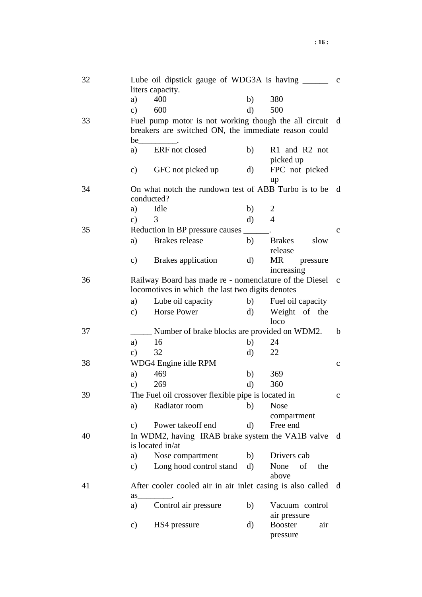| 32 | Lube oil dipstick gauge of WDG3A is having ______<br>$\mathbf{C}$ |              |                       |              |  |  |
|----|-------------------------------------------------------------------|--------------|-----------------------|--------------|--|--|
|    | liters capacity.                                                  |              |                       |              |  |  |
|    | 400<br>a)                                                         | b)           | 380                   |              |  |  |
|    | 600<br>$\mathbf{c})$                                              | $\rm d$      | 500                   |              |  |  |
| 33 | Fuel pump motor is not working though the all circuit             |              |                       | d            |  |  |
|    | breakers are switched ON, the immediate reason could              |              |                       |              |  |  |
|    | be                                                                |              |                       |              |  |  |
|    | ERF not closed<br>a)                                              | b)           | R1 and R2 not         |              |  |  |
|    |                                                                   |              | picked up             |              |  |  |
|    | GFC not picked up<br>c)                                           | d)           | FPC not picked<br>up  |              |  |  |
| 34 | On what notch the rundown test of ABB Turbo is to be              |              |                       | d            |  |  |
|    | conducted?                                                        |              |                       |              |  |  |
|    | Idle<br>a)                                                        | b)           | 2                     |              |  |  |
|    | 3<br>$\mathbf{c})$                                                | $\rm d$      | $\overline{4}$        |              |  |  |
| 35 | Reduction in BP pressure causes ______                            |              |                       | $\mathbf{C}$ |  |  |
|    | <b>Brakes</b> release<br>a)                                       | b)           | <b>Brakes</b><br>slow |              |  |  |
|    |                                                                   |              | release               |              |  |  |
|    | <b>Brakes</b> application<br>$\mathbf{c})$                        | $\rm d$      | <b>MR</b><br>pressure |              |  |  |
|    |                                                                   |              | increasing            |              |  |  |
| 36 | Railway Board has made re - nomenclature of the Diesel            |              |                       | $\mathbf{c}$ |  |  |
|    | locomotives in which the last two digits denotes                  |              |                       |              |  |  |
|    | Lube oil capacity<br>a)                                           | b)           | Fuel oil capacity     |              |  |  |
|    | Horse Power<br>$\mathbf{c})$                                      | $\mathbf{d}$ | Weight of the         |              |  |  |
|    |                                                                   |              | loco                  |              |  |  |
| 37 | Number of brake blocks are provided on WDM2.                      |              |                       | $\mathbf b$  |  |  |
|    | 16<br>a)                                                          | b)           | 24                    |              |  |  |
|    | 32<br>$\mathbf{c})$                                               | $\rm d)$     | 22                    |              |  |  |
| 38 | WDG4 Engine idle RPM                                              |              |                       | $\mathbf c$  |  |  |
|    | 469<br>a)                                                         | b)           | 369                   |              |  |  |
|    | 269<br>$\mathbf{c})$                                              | d)           | 360                   |              |  |  |
| 39 | The Fuel oil crossover flexible pipe is located in                |              |                       | $\mathbf C$  |  |  |
|    | Radiator room<br>a)                                               | b)           | <b>Nose</b>           |              |  |  |
|    |                                                                   |              | compartment           |              |  |  |
|    | Power takeoff end<br>$\mathbf{c})$                                | $\rm d$      | Free end              |              |  |  |
| 40 | In WDM2, having IRAB brake system the VA1B valve                  |              |                       | d            |  |  |
|    | is located in/at                                                  |              |                       |              |  |  |
|    | Nose compartment<br>a)                                            | b)           | Drivers cab           |              |  |  |
|    | Long hood control stand<br>$\mathbf{c})$                          | $\mathbf{d}$ | None<br>the<br>of     |              |  |  |
|    |                                                                   |              | above                 |              |  |  |
| 41 | After cooler cooled air in air inlet casing is also called        |              |                       | d            |  |  |
|    | as                                                                |              |                       |              |  |  |
|    | Control air pressure<br>a)                                        | b)           | Vacuum control        |              |  |  |
|    |                                                                   |              | air pressure          |              |  |  |
|    | HS4 pressure<br>$\mathbf{c})$                                     | d)           | <b>Booster</b><br>air |              |  |  |
|    |                                                                   |              | pressure              |              |  |  |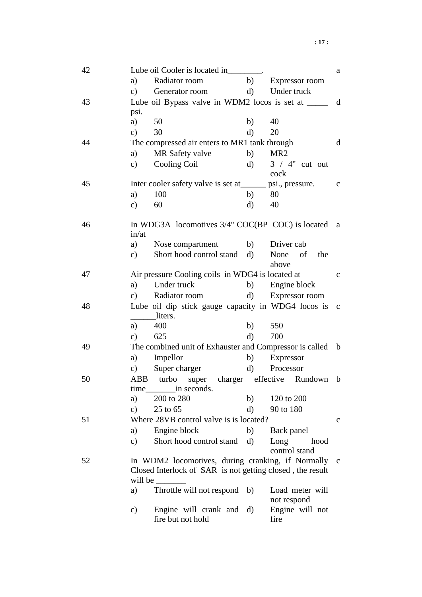| 42 | Lube oil Cooler is located in________.                    |                                                             |              |                                |              |  |
|----|-----------------------------------------------------------|-------------------------------------------------------------|--------------|--------------------------------|--------------|--|
|    | a)                                                        | Radiator room                                               | b)           | Expressor room                 |              |  |
|    | $\mathbf{c}$                                              | Generator room                                              | $\rm d)$     | Under truck                    |              |  |
| 43 |                                                           | Lube oil Bypass valve in WDM2 locos is set at ______        |              |                                | d            |  |
|    | psi.                                                      |                                                             |              |                                |              |  |
|    | a)                                                        | 50                                                          | b)           | 40                             |              |  |
|    | $\mathbf{c})$                                             | 30                                                          | $\mathbf{d}$ | 20                             |              |  |
| 44 |                                                           | The compressed air enters to MR1 tank through               |              |                                | d            |  |
|    | a)                                                        | MR Safety valve                                             | b)           | MR <sub>2</sub>                |              |  |
|    | c)                                                        | Cooling Coil                                                | $\mathbf{d}$ | $3 / 4$ " cut out<br>cock      |              |  |
| 45 |                                                           | Inter cooler safety valve is set at _______ psi., pressure. |              |                                | $\mathbf{C}$ |  |
|    | a)                                                        | 100                                                         | b)           | 80                             |              |  |
|    | $\mathbf{c})$                                             | 60                                                          | $\rm d)$     | 40                             |              |  |
| 46 | in/at                                                     | In WDG3A locomotives 3/4" COC(BP COC) is located            |              |                                | a            |  |
|    | a)                                                        | Nose compartment                                            | b)           | Driver cab                     |              |  |
|    | c)                                                        | Short hood control stand                                    | $\mathbf{d}$ | None<br>of<br>the<br>above     |              |  |
| 47 | Air pressure Cooling coils in WDG4 is located at          |                                                             |              |                                |              |  |
|    | a)                                                        | Under truck                                                 | b)           | Engine block                   | $\mathbf C$  |  |
|    | $\mathbf{c}$                                              | Radiator room                                               | $\rm d)$     | Expressor room                 |              |  |
| 48 |                                                           | Lube oil dip stick gauge capacity in WDG4 locos is          |              |                                | $\mathbf{C}$ |  |
|    |                                                           | liters.                                                     |              |                                |              |  |
|    | a)                                                        | 400                                                         | b)           | 550                            |              |  |
|    | $\mathbf{c})$                                             | 625                                                         | $\mathbf{d}$ | 700                            |              |  |
| 49 |                                                           | The combined unit of Exhauster and Compressor is called b   |              |                                |              |  |
|    | a)                                                        | Impellor                                                    | b)           | Expressor                      |              |  |
|    | c)                                                        | Super charger                                               | $\rm d)$     | Processor                      |              |  |
| 50 | ABB                                                       | turbo<br>charger<br>super                                   |              | effective Rundown              | $\mathbf b$  |  |
|    |                                                           | time__________in seconds.                                   |              |                                |              |  |
|    | a)                                                        | 200 to 280                                                  | b)           | 120 to 200                     |              |  |
|    | $\mathbf{c})$                                             | 25 to 65                                                    | $\mathbf{d}$ | 90 to 180                      |              |  |
| 51 |                                                           | Where 28VB control valve is is located?                     |              |                                | $\mathbf c$  |  |
|    | a)                                                        | Engine block                                                | b)           | Back panel                     |              |  |
|    | $\mathbf{c})$                                             | Short hood control stand                                    | $\mathbf{d}$ | Long<br>hood                   |              |  |
|    |                                                           |                                                             |              | control stand                  |              |  |
| 52 |                                                           | In WDM2 locomotives, during cranking, if Normally           |              |                                | $\mathbf{c}$ |  |
|    | Closed Interlock of SAR is not getting closed, the result |                                                             |              |                                |              |  |
|    |                                                           | will be                                                     |              |                                |              |  |
|    | a)                                                        | Throttle will not respond                                   | b)           | Load meter will<br>not respond |              |  |
|    | c)                                                        | Engine will crank and                                       | d)           | Engine will not                |              |  |
|    |                                                           | fire but not hold                                           |              | fire                           |              |  |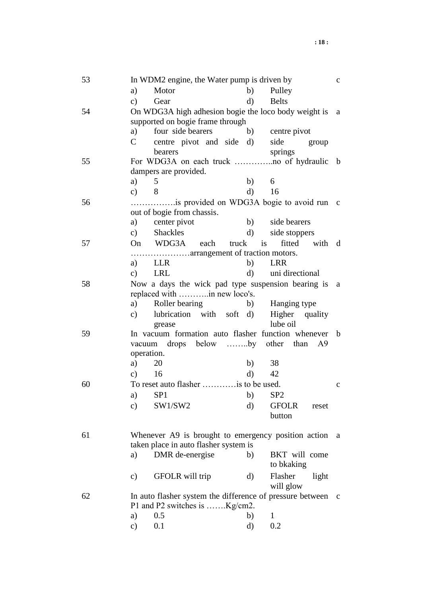| 53 | In WDM2 engine, the Water pump is driven by               |                              |              |  |  |
|----|-----------------------------------------------------------|------------------------------|--------------|--|--|
|    | Motor<br>a)                                               | b)<br>Pulley                 |              |  |  |
|    | $\mathbf{c})$<br>Gear                                     | $\mathbf{d}$<br><b>Belts</b> |              |  |  |
| 54 | On WDG3A high adhesion bogie the loco body weight is      |                              | a            |  |  |
|    | supported on bogie frame through                          |                              |              |  |  |
|    | four side bearers<br>a)                                   | b)<br>centre pivot           |              |  |  |
|    | centre pivot and side d)<br>$\mathcal{C}$                 | side                         | group        |  |  |
|    | bearers                                                   | springs                      |              |  |  |
| 55 |                                                           |                              |              |  |  |
|    | dampers are provided.                                     |                              |              |  |  |
|    | 5<br>a)                                                   | b)<br>6                      |              |  |  |
|    | $\mathbf{c})$<br>8                                        | $\rm d$<br>16                |              |  |  |
| 56 | is provided on WDG3A bogie to avoid run c                 |                              |              |  |  |
|    | out of bogie from chassis.                                |                              |              |  |  |
|    | center pivot<br>a)                                        | b)<br>side bearers           |              |  |  |
|    | Shackles<br>c)                                            | d) side stoppers             |              |  |  |
| 57 | WDG3A each<br>truck<br>On                                 | fitted<br><i>is</i>          | with d       |  |  |
|    |                                                           |                              |              |  |  |
|    | a) LLR                                                    | <b>LRR</b><br>b)             |              |  |  |
|    | <b>LRL</b><br>$\mathbf{c})$                               | $\rm d$<br>uni directional   |              |  |  |
| 58 | Now a days the wick pad type suspension bearing is a      |                              |              |  |  |
|    | replaced with in new loco's.                              |                              |              |  |  |
|    | Roller bearing<br>a)                                      | b)<br>Hanging type           |              |  |  |
|    | lubrication with soft d)<br>c)                            | Higher quality               |              |  |  |
|    | grease                                                    | lube oil                     |              |  |  |
| 59 | In vacuum formation auto flasher function whenever b      |                              |              |  |  |
|    | vacuum drops below by other than                          |                              | A9           |  |  |
|    | operation.<br>20<br>a)                                    | b)<br>38                     |              |  |  |
|    | $\mathbf{c}$<br>- 16                                      | $\mathbf{d}$<br>42           |              |  |  |
| 60 | To reset auto flasher  is to be used.                     |                              |              |  |  |
|    |                                                           |                              | $\mathbf c$  |  |  |
|    | SP <sub>1</sub><br>a)                                     | b)<br>SP <sub>2</sub>        |              |  |  |
|    | SW1/SW2<br>$\mathbf{c})$                                  | $\rm d)$<br><b>GFOLR</b>     | reset        |  |  |
|    |                                                           | button                       |              |  |  |
| 61 | Whenever A9 is brought to emergency position action       |                              | a            |  |  |
|    | taken place in auto flasher system is                     |                              |              |  |  |
|    | DMR de-energise<br>a)                                     | BKT will come<br>b)          |              |  |  |
|    |                                                           | to bkaking                   |              |  |  |
|    | GFOLR will trip<br>c)                                     | Flasher<br>d)                | light        |  |  |
|    |                                                           | will glow                    |              |  |  |
| 62 | In auto flasher system the difference of pressure between |                              | $\mathbf{c}$ |  |  |
|    | P1 and P2 switches is Kg/cm2.                             |                              |              |  |  |
|    | 0.5<br>a)                                                 | b)<br>$\mathbf{1}$           |              |  |  |
|    | 0.1<br>$\mathbf{c})$                                      | 0.2<br>d)                    |              |  |  |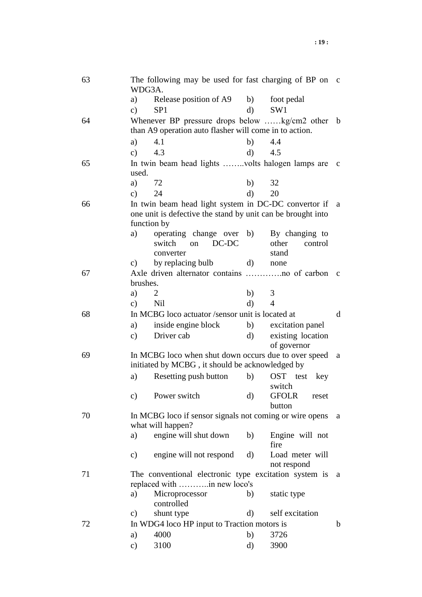| 63<br>The following may be used for fast charging of BP on<br>WDG3A. |                                                 |                                                                            |              | $\mathbf{c}$                                |              |  |
|----------------------------------------------------------------------|-------------------------------------------------|----------------------------------------------------------------------------|--------------|---------------------------------------------|--------------|--|
|                                                                      | a)                                              | Release position of A9                                                     | b)           | foot pedal                                  |              |  |
|                                                                      | $\mathbf{c})$                                   | SP <sub>1</sub>                                                            | d)           | SW <sub>1</sub>                             |              |  |
| 64                                                                   |                                                 | Whenever BP pressure drops below kg/cm2 other                              |              |                                             | b            |  |
|                                                                      |                                                 | than A9 operation auto flasher will come in to action.                     |              |                                             |              |  |
|                                                                      | a)                                              | 4.1                                                                        | b)           | 4.4                                         |              |  |
|                                                                      | $\mathbf{c})$                                   | 4.3                                                                        | d)           | 4.5                                         |              |  |
| 65                                                                   | used.                                           | In twin beam head lights volts halogen lamps are                           |              |                                             | $\mathbf c$  |  |
|                                                                      | a)                                              | 72                                                                         | b)           | 32                                          |              |  |
|                                                                      | $\mathbf{c})$                                   | 24                                                                         | d)           | 20                                          |              |  |
| 66                                                                   |                                                 | In twin beam head light system in DC-DC convertor if                       |              |                                             | a            |  |
|                                                                      |                                                 | one unit is defective the stand by unit can be brought into<br>function by |              |                                             |              |  |
|                                                                      | a)                                              | operating change over<br>DC-DC<br>switch<br>on<br>converter                | b)           | By changing to<br>other<br>control<br>stand |              |  |
|                                                                      | c)                                              | by replacing bulb                                                          | d)           | none                                        |              |  |
| 67                                                                   |                                                 |                                                                            |              |                                             | $\mathbf{c}$ |  |
|                                                                      | brushes.                                        |                                                                            |              |                                             |              |  |
|                                                                      | a)                                              | 2                                                                          | b)           | 3                                           |              |  |
|                                                                      | $\mathbf{c})$                                   | Nil                                                                        | d)           | $\overline{4}$                              |              |  |
| 68                                                                   |                                                 | In MCBG loco actuator /sensor unit is located at                           |              |                                             | $\mathbf d$  |  |
|                                                                      | a)                                              | inside engine block                                                        | b)           | excitation panel                            |              |  |
|                                                                      | $\mathbf{c})$                                   | Driver cab                                                                 | $\rm d)$     | existing location<br>of governor            |              |  |
| 69                                                                   |                                                 | In MCBG loco when shut down occurs due to over speed                       |              |                                             | $\mathbf{a}$ |  |
|                                                                      | initiated by MCBG, it should be acknowledged by |                                                                            |              |                                             |              |  |
|                                                                      | a)                                              | Resetting push button                                                      | b)           | OST test<br>key<br>switch                   |              |  |
|                                                                      | c)                                              | Power switch                                                               | d)           | <b>GFOLR</b><br>reset<br>button             |              |  |
| 70                                                                   |                                                 | In MCBG loco if sensor signals not coming or wire opens                    |              |                                             | a            |  |
|                                                                      |                                                 | what will happen?                                                          |              |                                             |              |  |
|                                                                      | a)                                              | engine will shut down                                                      | b)           | Engine will not<br>fire                     |              |  |
|                                                                      | $\mathbf{c})$                                   | engine will not respond                                                    | $\mathbf{d}$ | Load meter will<br>not respond              |              |  |
| 71                                                                   |                                                 | The conventional electronic type excitation system is                      |              |                                             | a            |  |
|                                                                      |                                                 | replaced with in new loco's                                                |              |                                             |              |  |
|                                                                      | a)                                              | Microprocessor<br>controlled                                               | b)           | static type                                 |              |  |
|                                                                      | $\mathbf{c})$                                   | shunt type                                                                 | d)           | self excitation                             |              |  |
| 72                                                                   |                                                 | In WDG4 loco HP input to Traction motors is                                |              |                                             | $\mathbf b$  |  |
|                                                                      | a)                                              | 4000                                                                       | b)           | 3726                                        |              |  |
|                                                                      | $\mathbf{c})$                                   | 3100                                                                       | d)           | 3900                                        |              |  |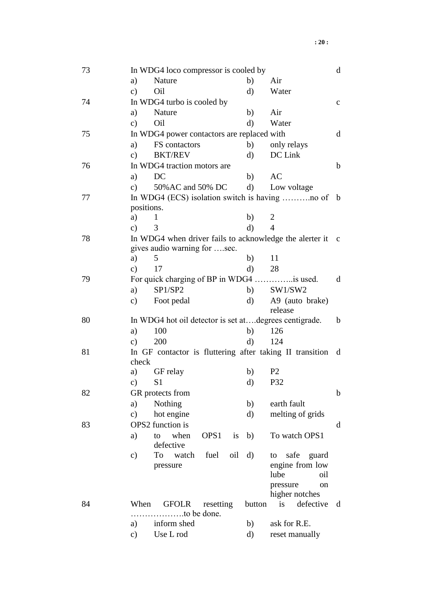| 73 | In WDG4 loco compressor is cooled by |                                            |                  |     | $\mathbf d$  |                                                          |              |
|----|--------------------------------------|--------------------------------------------|------------------|-----|--------------|----------------------------------------------------------|--------------|
|    | a)                                   | Nature                                     |                  |     | b)           | Air                                                      |              |
|    | $\mathbf{c})$                        | Oil                                        |                  |     | $\rm d)$     | Water                                                    |              |
| 74 |                                      | In WDG4 turbo is cooled by                 |                  |     |              |                                                          | $\mathbf{C}$ |
|    | a)                                   | Nature                                     |                  |     | b)           | Air                                                      |              |
|    | $\mathbf{c})$                        | Oil                                        |                  |     | d)           | Water                                                    |              |
| 75 |                                      | In WDG4 power contactors are replaced with |                  |     |              |                                                          | $\mathbf d$  |
|    | a)                                   | FS contactors                              |                  |     | b)           | only relays                                              |              |
|    | $\mathbf{c})$                        | <b>BKT/REV</b>                             |                  |     | $\rm d)$     | DC Link                                                  |              |
| 76 |                                      | In WDG4 traction motors are                |                  |     |              |                                                          | $\mathbf b$  |
|    | a)                                   | DC                                         |                  |     | b)           | AC                                                       |              |
|    | $\mathbf{c}$ )                       | 50% AC and 50% DC                          |                  |     | $\mathbf{d}$ | Low voltage                                              |              |
| 77 |                                      |                                            |                  |     |              | In WDG4 (ECS) isolation switch is having no of b         |              |
|    | positions.                           |                                            |                  |     |              |                                                          |              |
|    | a)                                   | 1                                          |                  |     | b)           | $\overline{2}$                                           |              |
|    | $\mathbf{c})$                        | 3                                          |                  |     | $\rm d)$     | $\overline{4}$                                           |              |
| 78 |                                      |                                            |                  |     |              | In WDG4 when driver fails to acknowledge the alerter it  | $\mathbf{c}$ |
|    |                                      | gives audio warning for sec.               |                  |     |              |                                                          |              |
|    | a)                                   | 5                                          |                  |     | b)           | 11                                                       |              |
|    | $\mathbf{c})$                        | 17                                         |                  |     | d)           | 28                                                       |              |
| 79 |                                      |                                            |                  |     |              | For quick charging of BP in WDG4 is used.                | d            |
|    | a)                                   | SP1/SP2                                    |                  |     | b)           | SW1/SW2                                                  |              |
|    | $\mathbf{c})$                        | Foot pedal                                 |                  |     | $\rm d)$     | A9 (auto brake)                                          |              |
|    |                                      |                                            |                  |     |              | release                                                  |              |
| 80 |                                      |                                            |                  |     |              | In WDG4 hot oil detector is set at degrees centigrade.   | $\mathbf b$  |
|    | a)                                   | 100                                        |                  |     | b)           | 126                                                      |              |
|    | $\mathbf{c})$                        | 200                                        |                  |     | d)           | 124                                                      |              |
| 81 | check                                |                                            |                  |     |              | In GF contactor is fluttering after taking II transition | d            |
|    | a)                                   | GF relay                                   |                  |     | b)           | P <sub>2</sub>                                           |              |
|    | $\mathbf{c})$                        | S1                                         |                  |     | $\mathbf{d}$ | P32                                                      |              |
| 82 |                                      | GR protects from                           |                  |     |              |                                                          | $\mathbf b$  |
|    | a)                                   | Nothing                                    |                  |     | b)           | earth fault                                              |              |
|    | $\mathbf{c})$                        | hot engine                                 |                  |     | d)           | melting of grids                                         |              |
| 83 |                                      | <b>OPS2</b> function is                    |                  |     |              |                                                          | d            |
|    | a)                                   | when<br>to                                 | OPS <sub>1</sub> | is  | b)           | To watch OPS1                                            |              |
|    |                                      | defective                                  |                  |     |              |                                                          |              |
|    | c)                                   | watch<br>To                                | fuel             | oil | d)           | safe guard<br>to                                         |              |
|    |                                      | pressure                                   |                  |     |              | engine from low                                          |              |
|    |                                      |                                            |                  |     |              | lube<br>oil                                              |              |
|    |                                      |                                            |                  |     |              | pressure<br>on                                           |              |
|    |                                      |                                            |                  |     |              | higher notches                                           |              |
| 84 | When                                 | <b>GFOLR</b>                               | resetting        |     | button       | defective<br>is                                          | d            |
|    |                                      |                                            | to be done.      |     |              |                                                          |              |
|    | a)                                   | inform shed                                |                  |     | b)           | ask for R.E.                                             |              |
|    | $\mathbf{c})$                        | Use L rod                                  |                  |     | $\rm d)$     | reset manually                                           |              |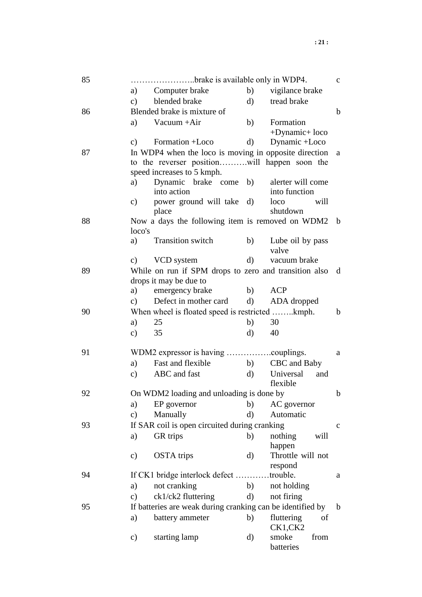| 85 | brake is available only in WDP4. |                                                            |              | $\mathbf{C}$                |              |
|----|----------------------------------|------------------------------------------------------------|--------------|-----------------------------|--------------|
|    | a)                               | Computer brake                                             | b)           | vigilance brake             |              |
|    | c)                               | blended brake                                              | d)           | tread brake                 |              |
| 86 |                                  | Blended brake is mixture of                                |              |                             | $\mathbf b$  |
|    | a)                               | Vacuum + Air                                               | b)           | Formation                   |              |
|    |                                  |                                                            |              | +Dynamic+ loco              |              |
|    | $\mathbf{c})$                    | Formation +Loco                                            | d)           | Dynamic +Loco               |              |
| 87 |                                  | In WDP4 when the loco is moving in opposite direction      |              |                             | a            |
|    |                                  |                                                            |              |                             |              |
|    |                                  | speed increases to 5 kmph.                                 |              |                             |              |
|    | a)                               | Dynamic brake come                                         | b)           | alerter will come           |              |
|    |                                  | into action                                                |              | into function               |              |
|    | c)                               | power ground will take                                     | $\rm d$      | will<br>loco                |              |
| 88 |                                  | place                                                      |              | shutdown                    |              |
|    | loco's                           | Now a days the following item is removed on WDM2 b         |              |                             |              |
|    | a)                               | <b>Transition switch</b>                                   | b)           | Lube oil by pass            |              |
|    |                                  |                                                            |              | valve                       |              |
|    |                                  | c) VCD system                                              | d)           | vacuum brake                |              |
| 89 |                                  | While on run if SPM drops to zero and transition also      |              |                             | d            |
|    |                                  | drops it may be due to                                     |              |                             |              |
|    | a)                               | emergency brake                                            | b)           | <b>ACP</b>                  |              |
|    | c)                               | Defect in mother card                                      | $\rm d$      | ADA dropped                 |              |
| 90 |                                  | When wheel is floated speed is restricted kmph.            |              |                             | $\mathbf b$  |
|    | a)                               | 25                                                         | b)           | 30                          |              |
|    | c)                               | 35                                                         | $\rm d)$     | 40                          |              |
|    |                                  |                                                            |              |                             |              |
| 91 |                                  |                                                            |              |                             | a            |
|    | a)                               | Fast and flexible                                          | b)           | CBC and Baby                |              |
|    | c)                               | ABC and fast                                               | $\rm d$      | Universal<br>and            |              |
|    |                                  |                                                            |              | flexible                    |              |
| 92 |                                  | On WDM2 loading and unloading is done by                   |              |                             | $\mathbf b$  |
|    | a)                               | EP governor                                                | b)           | AC governor                 |              |
|    | $\mathbf{c})$                    | Manually                                                   | $\mathbf{d}$ | Automatic                   |              |
| 93 |                                  | If SAR coil is open circuited during cranking              |              |                             | $\mathbf{C}$ |
|    | a)                               | GR trips                                                   | b)           | nothing<br>will             |              |
|    |                                  |                                                            |              | happen<br>Throttle will not |              |
|    | $\mathbf{c})$                    | OSTA trips                                                 | d)           | respond                     |              |
| 94 |                                  | If CK1 bridge interlock defect                             |              | .trouble.                   | a            |
|    | a)                               | not cranking                                               | b)           | not holding                 |              |
|    | $\mathbf{c})$                    | ck1/ck2 fluttering                                         | $\mathbf{d}$ | not firing                  |              |
| 95 |                                  | If batteries are weak during cranking can be identified by |              |                             | $\mathbf b$  |
|    | a)                               | battery ammeter                                            | b)           | fluttering<br>οf            |              |
|    |                                  |                                                            |              | CK1,CK2                     |              |
|    | c)                               | starting lamp                                              | d)           | smoke<br>from               |              |
|    |                                  |                                                            |              | batteries                   |              |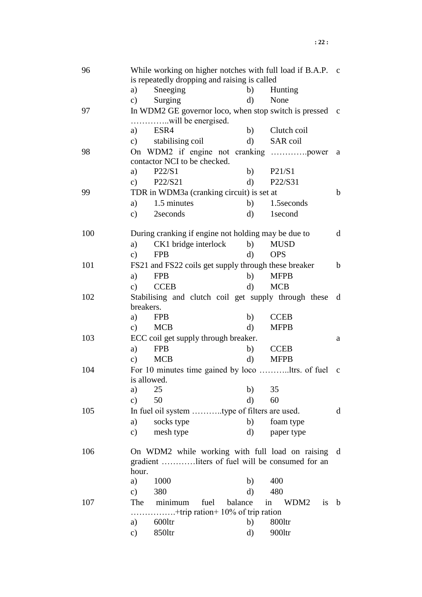| 96  | While working on higher notches with full load if B.A.P. c         |              |                         |              |  |  |
|-----|--------------------------------------------------------------------|--------------|-------------------------|--------------|--|--|
|     | is repeatedly dropping and raising is called                       |              |                         |              |  |  |
|     | a)<br>Sneeging                                                     | b)           | Hunting                 |              |  |  |
|     | Surging<br>c)                                                      | $\rm d)$     | None                    |              |  |  |
| 97  | In WDM2 GE governor loco, when stop switch is pressed              |              |                         | $\mathbf{c}$ |  |  |
|     | a) ESR4                                                            | b)           | Clutch coil             |              |  |  |
|     | stabilising coil<br>c)                                             | $\mathbf{d}$ | SAR coil                |              |  |  |
| 98  |                                                                    |              |                         | a            |  |  |
|     | contactor NCI to be checked.                                       |              |                         |              |  |  |
|     | P22/S1<br>a)                                                       | b)           | P21/S1                  |              |  |  |
|     | P22/S21<br>c)                                                      | $\mathbf{d}$ | P22/S31                 |              |  |  |
| 99  | TDR in WDM3a (cranking circuit) is set at                          |              |                         | $\mathbf b$  |  |  |
|     | 1.5 minutes<br>a)                                                  | b)           | 1.5 seconds             |              |  |  |
|     | c)<br>2 seconds                                                    | $\rm d)$     | 1second                 |              |  |  |
| 100 | During cranking if engine not holding may be due to                |              |                         | $\mathbf d$  |  |  |
|     | CK1 bridge interlock<br>a)                                         | b)           | <b>MUSD</b>             |              |  |  |
|     | <b>FPB</b><br>$\mathbf{c})$                                        | $\rm d)$     | <b>OPS</b>              |              |  |  |
| 101 |                                                                    |              |                         |              |  |  |
|     | FS21 and FS22 coils get supply through these breaker<br><b>FPB</b> |              |                         | $\mathbf b$  |  |  |
|     | a)                                                                 | b)           | <b>MFPB</b>             |              |  |  |
|     | <b>CCEB</b><br>$\mathbf{c}$                                        | $\mathbf{d}$ | <b>MCB</b>              |              |  |  |
| 102 | Stabilising and clutch coil get supply through these<br>breakers.  |              |                         | d            |  |  |
|     | <b>FPB</b><br>a)                                                   | b)           | <b>CCEB</b>             |              |  |  |
|     | $\mathbf{c})$<br><b>MCB</b>                                        | $\rm d)$     | <b>MFPB</b>             |              |  |  |
| 103 | ECC coil get supply through breaker.                               |              |                         | a            |  |  |
|     | <b>FPB</b><br>a)                                                   | b)           | <b>CCEB</b>             |              |  |  |
|     | <b>MCB</b><br>$\mathbf{c})$                                        | $\mathbf{d}$ | <b>MFPB</b>             |              |  |  |
| 104 |                                                                    |              |                         |              |  |  |
|     | For 10 minutes time gained by loco ltrs. of fuel<br>is allowed.    |              |                         | $\mathbf{c}$ |  |  |
|     | 25<br>a)                                                           | b)           | 35                      |              |  |  |
|     | 50<br>$\mathbf{c})$                                                | $\mathbf{d}$ | 60                      |              |  |  |
| 105 | In fuel oil system type of filters are used.                       |              |                         | d            |  |  |
|     | socks type<br>a)                                                   | b)           | foam type               |              |  |  |
|     | mesh type<br>c)                                                    | d)           | paper type              |              |  |  |
| 106 | On WDM2 while working with full load on raising d                  |              |                         |              |  |  |
|     | gradient liters of fuel will be consumed for an                    |              |                         |              |  |  |
|     | hour.                                                              |              |                         |              |  |  |
|     | 1000<br>a)                                                         | b)           | 400                     |              |  |  |
|     | c)<br>380                                                          | $\rm d$      | 480                     |              |  |  |
| 107 | The<br>minimum<br>fuel                                             | balance      | WDM2<br>in<br><i>is</i> | b            |  |  |
|     | $\ldots$ +trip ration+ 10% of trip ration                          |              |                         |              |  |  |
|     | 600ltr<br>a)                                                       | b)           | 800ltr                  |              |  |  |
|     | 850ltr<br>$\mathbf{c})$                                            | d)           | 900ltr                  |              |  |  |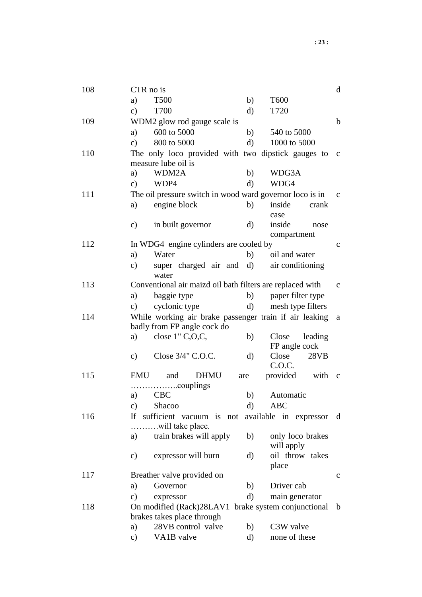| 108 | CTR no is                                                                 | $\mathbf d$  |  |  |  |
|-----|---------------------------------------------------------------------------|--------------|--|--|--|
|     | <b>T500</b><br>b)<br>T600<br>a)                                           |              |  |  |  |
|     | T700<br>T720<br>$\mathbf{c})$<br>$\rm d$                                  |              |  |  |  |
| 109 | WDM2 glow rod gauge scale is                                              | $\mathbf b$  |  |  |  |
|     | 600 to 5000<br>a)<br>b)<br>540 to 5000                                    |              |  |  |  |
|     | 800 to 5000<br>$\mathbf{d}$<br>1000 to 5000<br>$\mathbf{c})$              |              |  |  |  |
| 110 | The only loco provided with two dipstick gauges to                        | $\mathbf{C}$ |  |  |  |
|     | measure lube oil is                                                       |              |  |  |  |
|     | WDM2A<br>b)<br>WDG3A<br>a)                                                |              |  |  |  |
|     | $\mathbf{d}$<br>WDG4<br>$\mathbf{c})$<br>WDP4                             |              |  |  |  |
| 111 | The oil pressure switch in wood ward governor loco is in                  | $\mathbf{C}$ |  |  |  |
|     | engine block<br>inside<br>a)<br>b)<br>crank<br>case                       |              |  |  |  |
|     | $\rm d$<br>in built governor<br>inside<br>c)<br>nose<br>compartment       |              |  |  |  |
| 112 | In WDG4 engine cylinders are cooled by                                    | $\mathbf{C}$ |  |  |  |
|     | a)<br>Water<br>b)<br>oil and water                                        |              |  |  |  |
|     | super charged air and d)<br>air conditioning<br>$\mathbf{c})$             |              |  |  |  |
|     | water                                                                     |              |  |  |  |
| 113 | Conventional air maizd oil bath filters are replaced with                 | $\mathbf{C}$ |  |  |  |
|     | b)<br>baggie type<br>paper filter type<br>a)                              |              |  |  |  |
|     | cyclonic type<br>mesh type filters<br>$\rm d$<br>$\mathbf{c})$            |              |  |  |  |
| 114 | While working air brake passenger train if air leaking<br>a               |              |  |  |  |
|     | badly from FP angle cock do                                               |              |  |  |  |
|     | close 1" C,O,C,<br>b)<br>Close<br>leading<br>a)<br>FP angle cock          |              |  |  |  |
|     | Close 3/4" C.O.C.<br>Close<br>$\rm d)$<br>28VB<br>$\mathbf{c})$<br>C.O.C. |              |  |  |  |
| 115 | provided<br>EMU<br>and<br><b>DHMU</b><br>with<br>are                      | $\mathbf{c}$ |  |  |  |
|     | couplings                                                                 |              |  |  |  |
|     | <b>CBC</b><br>b)<br>Automatic<br>a)                                       |              |  |  |  |
|     | d)<br><b>ABC</b><br>Shacoo<br>c)                                          |              |  |  |  |
| 116 | sufficient vacuum is not<br>If<br>available in expressor                  | d            |  |  |  |
|     | will take place.<br>train brakes will apply                               |              |  |  |  |
|     | only loco brakes<br>b)<br>a)<br>will apply                                |              |  |  |  |
|     | expressor will burn<br>oil throw takes<br>c)<br>d)<br>place               |              |  |  |  |
| 117 | Breather valve provided on                                                | $\mathbf c$  |  |  |  |
|     | Governor<br>Driver cab<br>b)<br>a)                                        |              |  |  |  |
|     | $\rm d)$<br>main generator<br>$\mathbf{c})$<br>expressor                  |              |  |  |  |
| 118 | On modified (Rack)28LAV1 brake system conjunctional                       | b            |  |  |  |
|     | brakes takes place through                                                |              |  |  |  |
|     | 28VB control valve<br>C3W valve<br>a)<br>b)                               |              |  |  |  |
|     | VA1B valve<br>none of these<br>$\rm d)$<br>$\mathbf{c})$                  |              |  |  |  |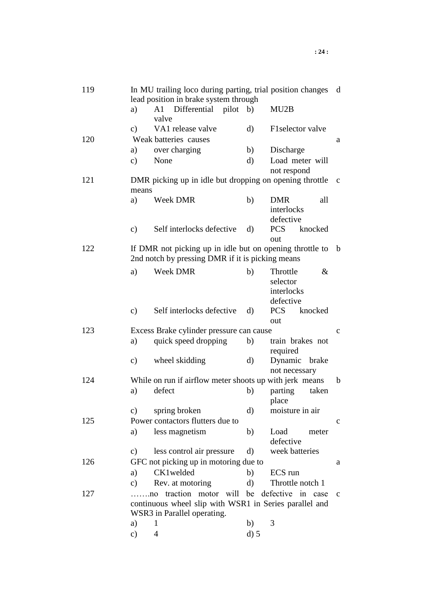| In MU trailing loco during parting, trial position changes<br>119<br>lead position in brake system through |               |        |                                                  |              | d                                                        |              |
|------------------------------------------------------------------------------------------------------------|---------------|--------|--------------------------------------------------|--------------|----------------------------------------------------------|--------------|
|                                                                                                            |               |        |                                                  |              |                                                          |              |
|                                                                                                            | a)            |        | A1 Differential pilot                            | b)           | MU <sub>2</sub> B                                        |              |
|                                                                                                            | c)            | valve  | VA1 release valve                                | $\rm d$      | F1selector valve                                         |              |
|                                                                                                            |               |        |                                                  |              |                                                          |              |
| 120                                                                                                        |               |        | Weak batteries causes                            |              |                                                          | a            |
|                                                                                                            | a)            |        | over charging                                    | b)           | Discharge                                                |              |
|                                                                                                            | $\mathbf{c})$ | None   |                                                  | $\rm d)$     | Load meter will<br>not respond                           |              |
| 121                                                                                                        |               |        |                                                  |              | DMR picking up in idle but dropping on opening throttle  |              |
|                                                                                                            | means         |        |                                                  |              |                                                          | $\mathbf c$  |
|                                                                                                            | a)            |        | Week DMR                                         | b)           | <b>DMR</b><br>all                                        |              |
|                                                                                                            |               |        |                                                  |              | interlocks                                               |              |
|                                                                                                            |               |        |                                                  |              | defective                                                |              |
|                                                                                                            | $\mathbf{c})$ |        | Self interlocks defective                        | $\mathbf{d}$ | <b>PCS</b><br>knocked                                    |              |
|                                                                                                            |               |        |                                                  |              | out                                                      |              |
| 122                                                                                                        |               |        |                                                  |              | If DMR not picking up in idle but on opening throttle to | $\mathbf b$  |
|                                                                                                            |               |        | 2nd notch by pressing DMR if it is picking means |              |                                                          |              |
|                                                                                                            | a)            |        | Week DMR                                         | b)           | $\&$<br>Throttle                                         |              |
|                                                                                                            |               |        |                                                  |              | selector                                                 |              |
|                                                                                                            |               |        |                                                  |              | interlocks                                               |              |
|                                                                                                            |               |        |                                                  |              | defective                                                |              |
|                                                                                                            | $\mathbf{c})$ |        | Self interlocks defective                        | $\rm d)$     | <b>PCS</b><br>knocked                                    |              |
|                                                                                                            |               |        |                                                  |              | out                                                      |              |
| 123                                                                                                        |               |        | Excess Brake cylinder pressure can cause         |              |                                                          | $\mathbf{C}$ |
|                                                                                                            | a)            |        | quick speed dropping                             | b)           | train brakes not                                         |              |
|                                                                                                            |               |        |                                                  |              | required                                                 |              |
|                                                                                                            | c)            |        | wheel skidding                                   | d)           | Dynamic brake                                            |              |
|                                                                                                            |               |        |                                                  |              | not necessary                                            |              |
| 124                                                                                                        |               |        |                                                  |              | While on run if airflow meter shoots up with jerk means  | $\mathbf b$  |
|                                                                                                            | a)            | defect |                                                  | b)           | parting<br>taken                                         |              |
|                                                                                                            |               |        |                                                  |              | place                                                    |              |
|                                                                                                            | $\mathbf{c})$ |        | spring broken                                    | d)           | moisture in air                                          |              |
| 125                                                                                                        |               |        | Power contactors flutters due to                 |              |                                                          | $\mathbf{C}$ |
|                                                                                                            | a)            |        | less magnetism                                   | b)           | Load<br>meter                                            |              |
|                                                                                                            |               |        |                                                  |              | defective                                                |              |
|                                                                                                            | c)            |        | less control air pressure                        | d)           | week batteries                                           |              |
| 126                                                                                                        |               |        | GFC not picking up in motoring due to            |              |                                                          | a            |
|                                                                                                            | a)            |        | CK1welded                                        | b)           | ECS run                                                  |              |
|                                                                                                            | $\mathbf{c})$ |        | Rev. at motoring                                 | $\rm d$      | Throttle notch 1                                         |              |
| 127                                                                                                        |               |        |                                                  |              | no traction motor will be defective in case              | $\mathbf{C}$ |
|                                                                                                            |               |        |                                                  |              | continuous wheel slip with WSR1 in Series parallel and   |              |
|                                                                                                            |               |        | WSR3 in Parallel operating.                      |              |                                                          |              |
|                                                                                                            | a)            | 1      |                                                  | b)           | 3                                                        |              |
|                                                                                                            | $\mathbf{c})$ | 4      |                                                  | $d$ ) 5      |                                                          |              |
|                                                                                                            |               |        |                                                  |              |                                                          |              |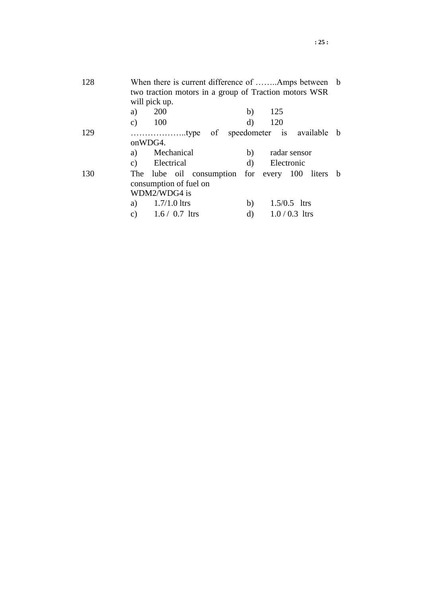| 128 | When there is current difference of Amps between b<br>two traction motors in a group of Traction motors WSR<br>will pick up. |         |                               |  |
|-----|------------------------------------------------------------------------------------------------------------------------------|---------|-------------------------------|--|
|     | <b>200</b><br>a)                                                                                                             | b)      | 125                           |  |
|     | 100<br>c)                                                                                                                    | $\rm d$ | 120                           |  |
| 129 | type<br>onWDG4.                                                                                                              |         | of speedometer is available b |  |
|     | Mechanical<br>a)                                                                                                             | b)      | radar sensor                  |  |
|     | Electrical<br>c)                                                                                                             | d)      | Electronic                    |  |
| 130 | The lube oil consumption for every 100 liters b<br>consumption of fuel on<br>WDM2/WDG4 is                                    |         |                               |  |
|     | $1.7/1.0$ ltrs<br>a)                                                                                                         | b)      | $1.5/0.5$ ltrs                |  |
|     | $1.6/0.7$ ltrs<br>c)                                                                                                         | d)      | $1.0 / 0.3$ ltrs              |  |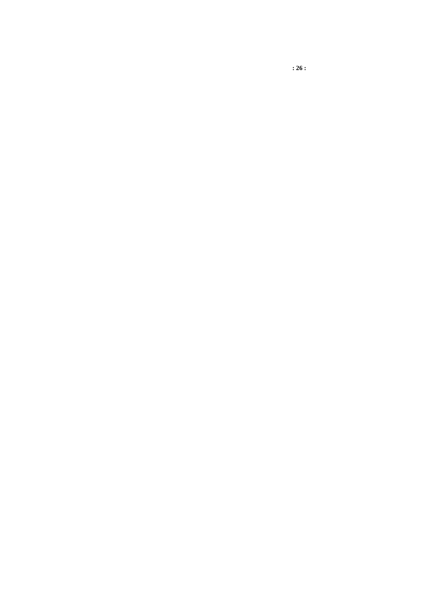**: 26 :**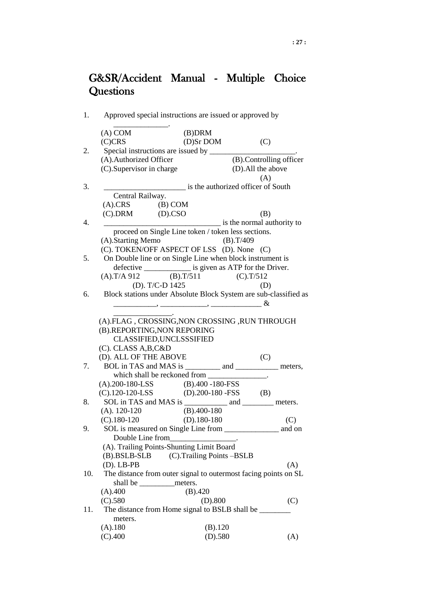## G&SR/Accident Manual - Multiple Choice **Questions**

1. Approved special instructions are issued or approved by

\_\_\_\_\_\_\_\_\_\_\_\_\_\_.

|     | $(A)$ COM                          | $(B)$ DRM                                                              |                            |
|-----|------------------------------------|------------------------------------------------------------------------|----------------------------|
|     | (C)CRS                             | (D)Sr DOM                                                              | (C)                        |
| 2.  |                                    |                                                                        |                            |
|     | (A). Authorized Officer            |                                                                        | (B). Controlling officer   |
|     | (C). Supervisor in charge          |                                                                        | (D). All the above         |
|     |                                    |                                                                        | (A)                        |
| 3.  |                                    | is the authorized officer of South                                     |                            |
|     | Central Railway.                   |                                                                        |                            |
|     |                                    |                                                                        |                            |
|     | (A).CRS (B) COM<br>(C).DRM (D).CSO |                                                                        | (B)                        |
| 4.  |                                    |                                                                        | is the normal authority to |
|     |                                    | proceed on Single Line token $\prime$ token less sections.             |                            |
|     | (A).Starting Memo                  | $(B)$ .T/409                                                           |                            |
|     |                                    | (C). TOKEN/OFF ASPECT OF LSS (D). None (C)                             |                            |
| 5.  |                                    | On Double line or on Single Line when block instrument is              |                            |
|     |                                    | defective ______________ is given as ATP for the Driver.               |                            |
|     |                                    | (A).T/A 912 (B).T/511 (C).T/512                                        |                            |
|     |                                    | (D). T/C-D 1425                                                        | (D)                        |
| 6.  |                                    | Block stations under Absolute Block System are sub-classified as       |                            |
|     |                                    |                                                                        |                            |
|     |                                    |                                                                        |                            |
|     |                                    | (A).FLAG, CROSSING, NON CROSSING, RUN THROUGH                          |                            |
|     |                                    | (B).REPORTING, NON REPORING                                            |                            |
|     |                                    | <b>CLASSIFIED, UNCLSSSIFIED</b>                                        |                            |
|     | (C). CLASS A, B, C&D               |                                                                        |                            |
|     | (D). ALL OF THE ABOVE              |                                                                        | (C)                        |
| 7.  |                                    |                                                                        |                            |
|     |                                    | which shall be reckoned from                                           |                            |
|     |                                    |                                                                        |                            |
|     |                                    | (A).200-180-LSS (B).400-180-FSS<br>(C).120-120-LSS (D).200-180-FSS (B) |                            |
| 8.  |                                    |                                                                        |                            |
|     |                                    | (A). $120-120$ (B). $400-180$                                          |                            |
|     | $(C).180-120$                      | $(D).180-180$                                                          | (C)                        |
| 9.  |                                    |                                                                        |                            |
|     |                                    | Double Line from_________________.                                     |                            |
|     |                                    | (A). Trailing Points-Shunting Limit Board                              |                            |
|     | $(B).BSLB-SLB$                     | (C). Trailing Points - BSLB                                            |                            |
|     | $(D)$ . LB-PB                      |                                                                        | (A)                        |
| 10. |                                    | The distance from outer signal to outermost facing points on SL        |                            |
|     |                                    |                                                                        |                            |
|     |                                    | (B).420                                                                |                            |
|     | (A).400                            | (D).800                                                                |                            |
|     | (C).580                            |                                                                        | (C)                        |
| 11. |                                    | The distance from Home signal to BSLB shall be ______                  |                            |
|     | meters.                            |                                                                        |                            |
|     | (A).180                            | (B).120                                                                |                            |
|     | (C).400                            | (D).580                                                                | (A)                        |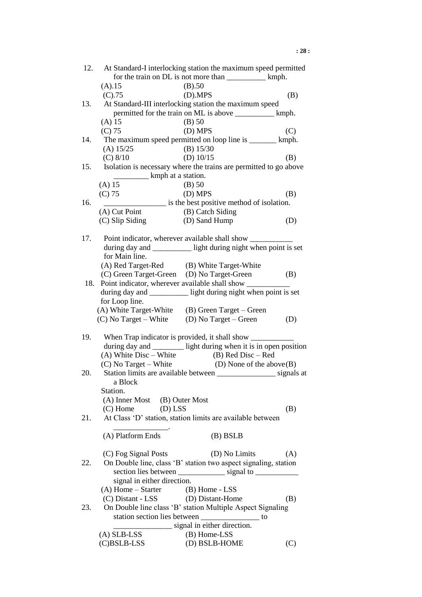| 12. |                                                 | At Standard-I interlocking station the maximum speed permitted                                   |     |
|-----|-------------------------------------------------|--------------------------------------------------------------------------------------------------|-----|
|     |                                                 |                                                                                                  |     |
|     | (A).15                                          | (B).50                                                                                           |     |
|     | (C).75                                          | (D).MPS                                                                                          | (B) |
| 13. |                                                 | At Standard-III interlocking station the maximum speed                                           |     |
|     |                                                 | permitted for the train on ML is above _________________ kmph.                                   |     |
|     | $(A)$ 15                                        | $(B)$ 50                                                                                         |     |
|     | $(C)$ 75                                        | $(D)$ MPS                                                                                        | (C) |
| 14. |                                                 | The maximum speed permitted on loop line is _________ kmph.                                      |     |
|     | (B) 15/30<br>(A) 15/25                          |                                                                                                  |     |
| 15. | (C) 8/10                                        | (D) $10/15$                                                                                      | (B) |
|     | _____________ kmph at a station.                | Isolation is necessary where the trains are permitted to go above                                |     |
|     | $(A)$ 15                                        | $(B)$ 50                                                                                         |     |
|     | (C) 75                                          | $(D)$ MPS                                                                                        | (B) |
| 16. |                                                 | is the best positive method of isolation.                                                        |     |
|     | (A) Cut Point                                   | (B) Catch Siding                                                                                 |     |
|     | (C) Slip Siding (D) Sand Hump                   |                                                                                                  | (D) |
|     |                                                 |                                                                                                  |     |
| 17. |                                                 | Point indicator, wherever available shall show ______                                            |     |
|     |                                                 | during day and __________ light during night when point is set                                   |     |
|     | for Main line.                                  |                                                                                                  |     |
|     | (A) Red Target-Red (B) White Target-White       |                                                                                                  |     |
|     | (C) Green Target-Green (D) No Target-Green      |                                                                                                  | (B) |
| 18. |                                                 |                                                                                                  |     |
|     |                                                 | during day and __________ light during night when point is set                                   |     |
|     | for Loop line.                                  |                                                                                                  |     |
|     |                                                 | (A) White Target-White (B) Green Target – Green                                                  |     |
|     | $(C)$ No Target – White $(D)$ No Target – Green |                                                                                                  | (D) |
|     |                                                 |                                                                                                  |     |
| 19. |                                                 |                                                                                                  |     |
|     |                                                 | during day and _________ light during when it is in open position                                |     |
|     |                                                 | (A) White Disc – White $(B)$ Red Disc – Red<br>(C) No Target – White $(D)$ None of the above (B) |     |
|     |                                                 |                                                                                                  |     |
| 20. |                                                 | Station limits are available between ______________________ signals at                           |     |
|     | a Block                                         |                                                                                                  |     |
|     | Station.<br>(A) Inner Most (B) Outer Most       |                                                                                                  |     |
|     | $(C)$ Home $(D)$ LSS                            |                                                                                                  | (B) |
| 21. |                                                 | At Class 'D' station, station limits are available between                                       |     |
|     |                                                 |                                                                                                  |     |
|     | (A) Platform Ends                               | (B) BSLB                                                                                         |     |
|     |                                                 |                                                                                                  |     |
|     | (C) Fog Signal Posts                            | (D) No Limits                                                                                    | (A) |
| 22. |                                                 | On Double line, class 'B' station two aspect signaling, station                                  |     |
|     |                                                 |                                                                                                  |     |
|     | signal in either direction.                     |                                                                                                  |     |
|     | $(A)$ Home – Starter (B) Home - LSS             |                                                                                                  |     |
|     | (C) Distant - LSS (D) Distant-Home              |                                                                                                  | (B) |
| 23. |                                                 | On Double line class 'B' station Multiple Aspect Signaling                                       |     |
|     |                                                 | station section lies between _______________ to                                                  |     |
|     |                                                 | __ signal in either direction.                                                                   |     |
|     | $(A)$ SLB-LSS                                   | (B) Home-LSS                                                                                     |     |
|     | (C)BSLB-LSS                                     | (D) BSLB-HOME                                                                                    | (C) |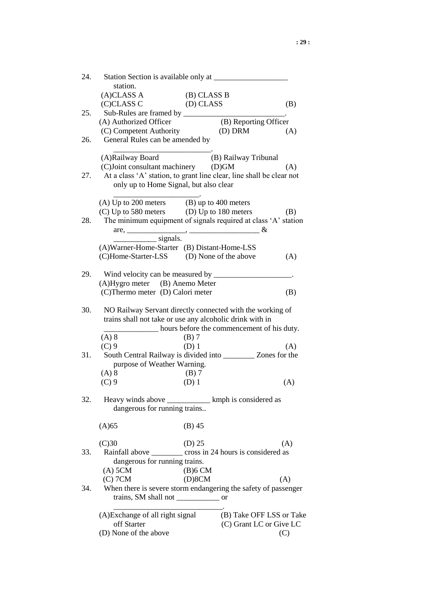| 24. | Station Section is available only at ______ |                                                                                                                |     |
|-----|---------------------------------------------|----------------------------------------------------------------------------------------------------------------|-----|
|     | station.                                    |                                                                                                                |     |
|     | (A)CLASS A                                  | $(B)$ CLASS B                                                                                                  |     |
|     | (C)CLASS C                                  | (D) CLASS                                                                                                      | (B) |
| 25. |                                             |                                                                                                                |     |
|     | (A) Authorized Officer                      | $(B)$ Reporting Officer                                                                                        |     |
|     | (C) Competent Authority                     | (D) DRM                                                                                                        | (A) |
| 26. | General Rules can be amended by             |                                                                                                                |     |
|     | (A)Railway Board                            | (B) Railway Tribunal                                                                                           |     |
|     |                                             | (C)Joint consultant machinery (D)GM                                                                            | (A) |
| 27. |                                             | At a class 'A' station, to grant line clear, line shall be clear not<br>only up to Home Signal, but also clear |     |
|     |                                             | (A) Up to 200 meters (B) up to 400 meters                                                                      |     |
|     |                                             | (C) Up to 580 meters (D) Up to 180 meters                                                                      | (B) |
| 28. | are, $\qquad \qquad$                        | The minimum equipment of signals required at class 'A' station<br>&                                            |     |
|     | $\frac{\text{signals}}{\text{signals}}$     |                                                                                                                |     |
|     |                                             | (A)Warner-Home-Starter (B) Distant-Home-LSS                                                                    |     |
|     |                                             | (C)Home-Starter-LSS (D) None of the above                                                                      | (A) |
| 29. | Wind velocity can be measured by _______    |                                                                                                                |     |
|     | (A)Hygro meter (B) Anemo Meter              |                                                                                                                |     |
|     | (C)Thermo meter (D) Calori meter            |                                                                                                                | (B) |
| 30. |                                             | NO Railway Servant directly connected with the working of                                                      |     |
|     |                                             | trains shall not take or use any alcoholic drink with in                                                       |     |
|     |                                             | hours before the commencement of his duty.                                                                     |     |
|     | $(A)$ 8                                     | $(B)$ 7                                                                                                        |     |
|     | $(C)$ 9                                     | $(D)$ 1                                                                                                        | (A) |
| 31. |                                             |                                                                                                                |     |
|     | purpose of Weather Warning.                 |                                                                                                                |     |
|     | $(A)$ 8                                     | $(B)$ 7                                                                                                        |     |
|     | $(C)$ 9                                     | $(D)$ 1                                                                                                        | (A) |
| 32. |                                             |                                                                                                                |     |
|     | dangerous for running trains                |                                                                                                                |     |
|     | (A)65                                       | $(B)$ 45                                                                                                       |     |
|     | (C)30                                       | $(D)$ 25                                                                                                       | (A) |
| 33. |                                             | Rainfall above <u>cross</u> in 24 hours is considered as                                                       |     |
|     | dangerous for running trains.               |                                                                                                                |     |
|     | $(A)$ 5CM                                   | $(B)$ 6 CM                                                                                                     |     |
|     | $(C)$ 7CM                                   | (D)8CM                                                                                                         | (A) |

34. When there is severe storm endangering the safety of passenger trains, SM shall not \_\_\_\_\_\_\_\_\_\_\_ or

\_\_\_\_\_\_\_\_\_\_\_\_\_\_\_\_\_\_\_\_\_\_\_\_\_\_\_\_.

| (A) Exchange of all right signal | (B) Take OFF LSS or Take |
|----------------------------------|--------------------------|
| off Starter                      | (C) Grant LC or Give LC  |
| (D) None of the above            | (C)                      |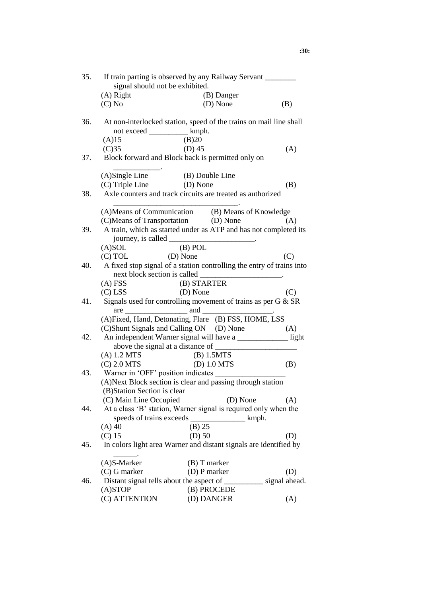| 35. | If train parting is observed by any Railway Servant |                                                                                                                 |               |  |  |
|-----|-----------------------------------------------------|-----------------------------------------------------------------------------------------------------------------|---------------|--|--|
|     | signal should not be exhibited.                     |                                                                                                                 |               |  |  |
|     | $(A)$ Right                                         | (B) Danger                                                                                                      |               |  |  |
|     | $(C)$ No                                            | (D) None                                                                                                        | (B)           |  |  |
| 36. | not exceed _____________ kmph.                      | At non-interlocked station, speed of the trains on mail line shall                                              |               |  |  |
|     | (A)15                                               | (B)20                                                                                                           |               |  |  |
|     | (C)35                                               | $(D)$ 45                                                                                                        | (A)           |  |  |
| 37. |                                                     | Block forward and Block back is permitted only on                                                               |               |  |  |
|     | (A)Single Line                                      | (B) Double Line                                                                                                 |               |  |  |
|     | (C) Triple Line (D) None                            |                                                                                                                 | (B)           |  |  |
| 38. |                                                     | Axle counters and track circuits are treated as authorized                                                      |               |  |  |
|     |                                                     | (A)Means of Communication (B) Means of Knowledge<br>(C)Means of Transportation (D) None (A)                     |               |  |  |
|     |                                                     |                                                                                                                 | (A)           |  |  |
| 39. |                                                     | A train, which as started under as ATP and has not completed its<br>journey, is called _______________________. |               |  |  |
|     | (A)SOL                                              | $(B)$ POL                                                                                                       |               |  |  |
|     | (D) None<br>$(C)$ TOL                               |                                                                                                                 | (C)           |  |  |
| 40. |                                                     | A fixed stop signal of a station controlling the entry of trains into                                           |               |  |  |
|     | $(A)$ FSS                                           | (B) STARTER                                                                                                     |               |  |  |
|     | $(C)$ LSS                                           | (D) None                                                                                                        | (C)           |  |  |
| 41. |                                                     | Signals used for controlling movement of trains as per G $\&$ SR                                                |               |  |  |
|     |                                                     |                                                                                                                 |               |  |  |
|     |                                                     | (A)Fixed, Hand, Detonating, Flare (B) FSS, HOME, LSS                                                            |               |  |  |
|     |                                                     | (C)Shunt Signals and Calling ON (D) None                                                                        | (A)           |  |  |
| 42. |                                                     | An independent Warner signal will have a ________________ light                                                 |               |  |  |
|     | $(A)$ 1.2 MTS                                       | $(B)$ 1.5MTS                                                                                                    |               |  |  |
|     | $(C)$ 2.0 MTS                                       | (D) 1.0 MTS                                                                                                     | (B)           |  |  |
| 43. | Warner in 'OFF' position indicates                  |                                                                                                                 |               |  |  |
|     |                                                     | (A) Next Block section is clear and passing through station                                                     |               |  |  |
|     | (B) Station Section is clear                        |                                                                                                                 |               |  |  |
|     | (C) Main Line Occupied                              | (D) None                                                                                                        | (A)           |  |  |
| 44. |                                                     | At a class 'B' station, Warner signal is required only when the                                                 |               |  |  |
|     | $(A)$ 40                                            | $(B)$ 25                                                                                                        |               |  |  |
|     | $(C)$ 15                                            | $(D)$ 50                                                                                                        | (D)           |  |  |
| 45. |                                                     | In colors light area Warner and distant signals are identified by                                               |               |  |  |
|     | (A)S-Marker                                         | $(B)$ T marker                                                                                                  |               |  |  |
|     | $(C)$ G marker                                      | (D) P marker                                                                                                    | (D)           |  |  |
| 46. | Distant signal tells about the aspect of ______     |                                                                                                                 | signal ahead. |  |  |
|     | (A)STOP                                             | (B) PROCEDE                                                                                                     |               |  |  |
|     | (C) ATTENTION                                       | (D) DANGER                                                                                                      | (A)           |  |  |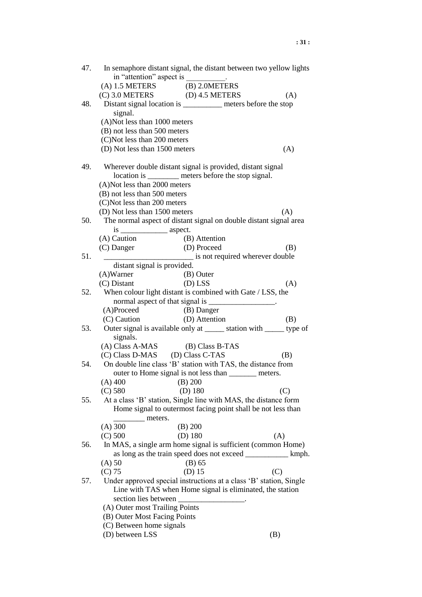| 47. |                                                              |                                                            | In semaphore distant signal, the distant between two yellow lights     |
|-----|--------------------------------------------------------------|------------------------------------------------------------|------------------------------------------------------------------------|
|     |                                                              | in "attention" aspect is ___________.                      |                                                                        |
|     | $(A)$ 1.5 METERS                                             | $(B)$ 2.0METERS                                            |                                                                        |
|     |                                                              | $(C)$ 3.0 METERS $(D)$ 4.5 METERS                          | (A)                                                                    |
| 48. | signal.                                                      |                                                            | Distant signal location is _________ meters before the stop            |
|     | (A)Not less than 1000 meters                                 |                                                            |                                                                        |
|     | (B) not less than 500 meters                                 |                                                            |                                                                        |
|     | (C)Not less than 200 meters                                  |                                                            |                                                                        |
|     | (D) Not less than 1500 meters                                |                                                            | (A)                                                                    |
|     |                                                              |                                                            |                                                                        |
| 49. |                                                              | Wherever double distant signal is provided, distant signal |                                                                        |
|     |                                                              | location is __________ meters before the stop signal.      |                                                                        |
|     | (A)Not less than 2000 meters                                 |                                                            |                                                                        |
|     | (B) not less than 500 meters                                 |                                                            |                                                                        |
|     | (C)Not less than 200 meters                                  |                                                            |                                                                        |
|     | (D) Not less than 1500 meters                                |                                                            | (A)                                                                    |
| 50. |                                                              |                                                            | The normal aspect of distant signal on double distant signal area      |
|     |                                                              |                                                            |                                                                        |
|     | (A) Caution<br>(C) Danger                                    | (B) Attention                                              |                                                                        |
|     |                                                              | (D) Proceed                                                | (B)                                                                    |
| 51. |                                                              |                                                            | is not required wherever double                                        |
|     | distant signal is provided.                                  |                                                            |                                                                        |
|     | (A)Warner                                                    | (B) Outer                                                  |                                                                        |
|     | (C) Distant                                                  | $(D)$ LSS                                                  | (A)                                                                    |
| 52. |                                                              | When colour light distant is combined with Gate / LSS, the |                                                                        |
|     |                                                              | normal aspect of that signal is __________________.        |                                                                        |
|     | (A)Proceed                                                   |                                                            |                                                                        |
|     | (C) Caution                                                  | (B) Danger<br>(D) Attention                                | (B)                                                                    |
| 53. |                                                              |                                                            | Outer signal is available only at _______ station with _______ type of |
|     | signals.                                                     |                                                            |                                                                        |
|     |                                                              | (A) Class A-MAS (B) Class B-TAS                            |                                                                        |
|     | (C) Class D-MAS (D) Class C-TAS                              |                                                            | (B)                                                                    |
| 54. | On double line class 'B' station with TAS, the distance from |                                                            |                                                                        |
|     |                                                              | outer to Home signal is not less than _________ meters.    |                                                                        |
|     | $(A)$ 400 $(B)$ 200                                          |                                                            |                                                                        |
|     | (C) 580                                                      | $(D)$ 180                                                  | (C)                                                                    |
| 55. |                                                              |                                                            | At a class 'B' station, Single line with MAS, the distance form        |
|     |                                                              |                                                            | Home signal to outermost facing point shall be not less than           |
|     | meters.                                                      |                                                            |                                                                        |
|     | $(A)$ 300                                                    | (B) 200                                                    |                                                                        |
|     | $(C)$ 500                                                    | $(D)$ 180                                                  | (A)                                                                    |
| 56. |                                                              |                                                            | In MAS, a single arm home signal is sufficient (common Home)           |
|     |                                                              |                                                            | as long as the train speed does not exceed ___________________ kmph.   |
|     | (A) 50                                                       | $(B)$ 65                                                   |                                                                        |
|     | (C) 75                                                       | $(D)$ 15                                                   | (C)                                                                    |
| 57. |                                                              |                                                            | Under approved special instructions at a class 'B' station, Single     |
|     |                                                              |                                                            | Line with TAS when Home signal is eliminated, the station              |
|     | section lies between _                                       |                                                            |                                                                        |
|     | (A) Outer most Trailing Points                               |                                                            |                                                                        |
|     | (B) Outer Most Facing Points                                 |                                                            |                                                                        |
|     | (C) Between home signals                                     |                                                            |                                                                        |
|     | (D) between LSS                                              |                                                            | (B)                                                                    |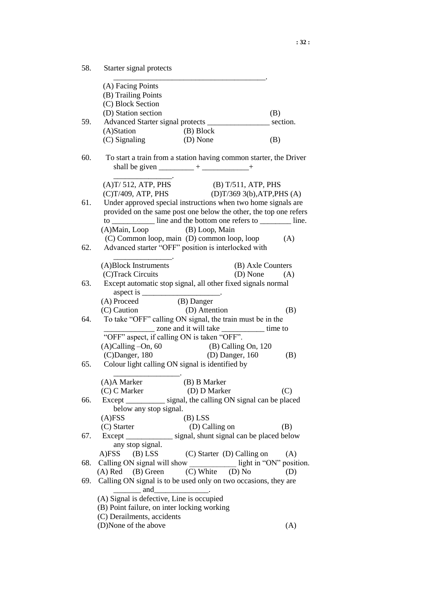58. Starter signal protects

|     | (A) Facing Points                            |                                                                         |          |
|-----|----------------------------------------------|-------------------------------------------------------------------------|----------|
|     | (B) Trailing Points                          |                                                                         |          |
|     | (C) Block Section                            |                                                                         |          |
|     | (D) Station section                          |                                                                         | (B)      |
| 59. |                                              |                                                                         | section. |
|     | (A)Station                                   | (B) Block                                                               |          |
|     | (C) Signaling                                | (D) None                                                                | (B)      |
| 60. |                                              | To start a train from a station having common starter, the Driver       |          |
|     |                                              | shall be given ________ + __________ +                                  |          |
|     | $(A)T/512$ , ATP, PHS                        | (B) T/511, ATP, PHS                                                     |          |
|     | (C)T/409, ATP, PHS                           | (D)T/3693(b),ATP,PHS(A)                                                 |          |
| 61. |                                              | Under approved special instructions when two home signals are           |          |
|     |                                              | provided on the same post one below the other, the top one refers       |          |
|     |                                              | to ____________ line and the bottom one refers to __________ line.      |          |
|     |                                              | (A)Main, Loop (B) Loop, Main                                            |          |
|     |                                              | (C) Common loop, main (D) common loop, loop                             | (A)      |
| 62. |                                              | Advanced starter "OFF" position is interlocked with                     |          |
|     | (A)Block Instruments                         | (B) Axle Counters                                                       |          |
|     | (C)Track Circuits                            | (D) None                                                                | (A)      |
| 63. |                                              | Except automatic stop signal, all other fixed signals normal            |          |
|     | aspect is $\frac{ }{ }$                      |                                                                         |          |
|     | (A) Proceed (B) Danger                       |                                                                         |          |
|     | (C) Caution                                  | (D) Attention                                                           | (B)      |
| 64. |                                              | To take "OFF" calling ON signal, the train must be in the               |          |
|     |                                              | zone and it will take _______________ time to                           |          |
|     |                                              | "OFF" aspect, if calling ON is taken "OFF".                             |          |
|     | $(A)$ Calling $-On, 60$                      | A)Calling -On, 60 (B) Calling On, 120<br>(C)Danger, 180 (D) Danger, 160 |          |
|     |                                              |                                                                         | (B)      |
| 65. |                                              | Colour light calling ON signal is identified by                         |          |
|     | (A)A Marker                                  | (B) B Marker                                                            |          |
|     | (C) C Marker                                 | (D) D Marker                                                            | (C)      |
| 66. |                                              | Except ____________ signal, the calling ON signal can be placed         |          |
|     | below any stop signal.                       |                                                                         |          |
|     | (A) FSS                                      | $(B)$ LSS                                                               |          |
|     | (C) Starter                                  | (D) Calling on                                                          | (B)      |
| 67. |                                              | Except ________________ signal, shunt signal can be placed below        |          |
|     | any stop signal.                             |                                                                         |          |
|     | A) FSS                                       | (B) LSS (C) Starter (D) Calling on                                      | (A)      |
| 68. |                                              | Calling ON signal will show _____________ light in "ON" position.       |          |
|     | $(A)$ Red<br>(B) Green                       | $(C)$ White $(D)$ No                                                    | (D)      |
| 69. | $\frac{1}{\sqrt{1-\frac{1}{2}}}\text{ and }$ | Calling ON signal is to be used only on two occasions, they are         |          |
|     | (A) Signal is defective, Line is occupied    |                                                                         |          |
|     | (B) Point failure, on inter locking working  |                                                                         |          |
|     | (C) Derailments, accidents                   |                                                                         |          |
|     | (D)None of the above                         |                                                                         | (A)      |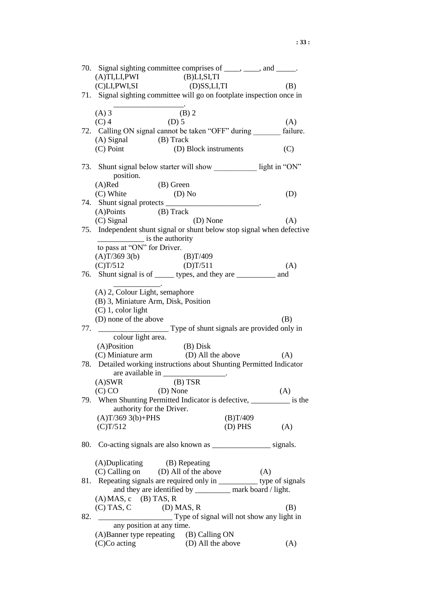|     | 70. Signal sighting committee comprises of _____, _____, and ______.     |                                                            |          |
|-----|--------------------------------------------------------------------------|------------------------------------------------------------|----------|
|     | (A)TI,LI,PWI                                                             | (B)LI,SI,TI<br>(D)SS,LI,TI                                 |          |
|     | (C)LI.PWI,SI                                                             |                                                            | (B)      |
|     | 71. Signal sighting committee will go on footplate inspection once in    |                                                            |          |
|     |                                                                          |                                                            |          |
|     | $(A)$ 3                                                                  | $(B)$ 2                                                    |          |
|     | $(D)$ 5<br>$(C)$ 4                                                       |                                                            | (A)      |
|     | 72. Calling ON signal cannot be taken "OFF" during _______               |                                                            | failure. |
|     | (A) Signal (B) Track                                                     |                                                            |          |
|     |                                                                          |                                                            |          |
|     | (C) Point                                                                | (D) Block instruments                                      | (C)      |
|     |                                                                          |                                                            |          |
|     | 73. Shunt signal below starter will show ______________ light in "ON"    |                                                            |          |
|     | position.                                                                |                                                            |          |
|     | (A)Red (B) Green                                                         |                                                            |          |
|     | $(C)$ White $(D)$ No                                                     |                                                            | (D)      |
|     |                                                                          |                                                            |          |
|     | (A)Points (B) Track                                                      |                                                            |          |
|     | (C) Signal                                                               | (D) None                                                   | (A)      |
|     | 75. Independent shunt signal or shunt below stop signal when defective   |                                                            |          |
|     | is the authority                                                         |                                                            |          |
|     | to pass at "ON" for Driver.                                              |                                                            |          |
|     | (A)T/3693(b)<br>(B)T/409                                                 |                                                            |          |
|     | (C)T/512                                                                 | (D)T/511                                                   | (A)      |
|     | 76. Shunt signal is of ________ types, and they are ________________ and |                                                            |          |
|     |                                                                          |                                                            |          |
|     | (A) 2, Colour Light, semaphore                                           |                                                            |          |
|     | (B) 3, Miniature Arm, Disk, Position                                     |                                                            |          |
|     | $(C)$ 1, color light                                                     |                                                            |          |
|     | (D) none of the above                                                    |                                                            | (B)      |
|     |                                                                          |                                                            |          |
|     |                                                                          |                                                            |          |
|     | colour light area.                                                       |                                                            |          |
|     | (A)Position (B) Disk<br>(C) Miniature arm (D) All the above              | (B) Disk                                                   |          |
|     |                                                                          |                                                            | (A)      |
|     | 78. Detailed working instructions about Shunting Permitted Indicator     |                                                            |          |
|     | are available in ________________.                                       |                                                            |          |
|     | $(A)SWR$ (B) TSR                                                         |                                                            |          |
|     | (D) None<br>$(C)$ CO                                                     |                                                            | (A)      |
|     | 79. When Shunting Permitted Indicator is defective, ____________ is the  |                                                            |          |
|     | authority for the Driver.                                                |                                                            |          |
|     | $(A)T/3693(b)+PHS$                                                       | (B)T/409                                                   |          |
|     | (C) T/512                                                                | (D) PHS                                                    | (A)      |
|     |                                                                          |                                                            |          |
| 80. | Co-acting signals are also known as _______________________ signals.     |                                                            |          |
|     |                                                                          |                                                            |          |
|     | (A)Duplicating (B) Repeating                                             |                                                            |          |
|     | (C) Calling on (D) All of the above                                      |                                                            | (A)      |
|     | 81. Repeating signals are required only in ___________ type of signals   |                                                            |          |
|     |                                                                          | and they are identified by ___________ mark board / light. |          |
|     | $(A)$ MAS, c $(B)$ TAS, R                                                |                                                            |          |
|     | $(C)$ TAS, C $(D)$ MAS, R                                                |                                                            | (B)      |
| 82. | Type of signal will not show any light in                                |                                                            |          |
|     | any position at any time.                                                |                                                            |          |
|     | (A)Banner type repeating (B) Calling ON                                  |                                                            |          |
|     | (C)Co acting                                                             | (D) All the above                                          | (A)      |
|     |                                                                          |                                                            |          |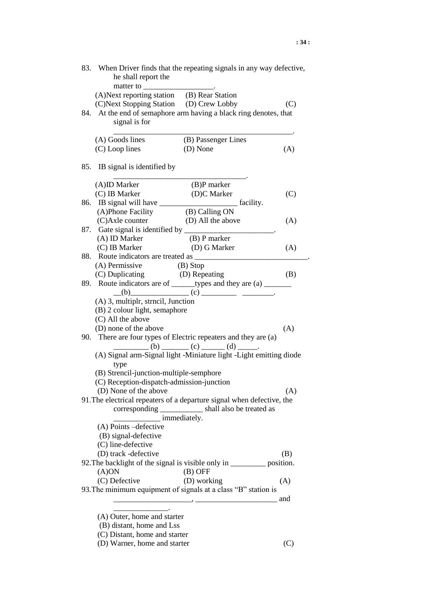|                                                                       | 83. When Driver finds that the repeating signals in any way defective,                                                                                                                                                                                                                                                                                                                                                       |     |
|-----------------------------------------------------------------------|------------------------------------------------------------------------------------------------------------------------------------------------------------------------------------------------------------------------------------------------------------------------------------------------------------------------------------------------------------------------------------------------------------------------------|-----|
| he shall report the                                                   |                                                                                                                                                                                                                                                                                                                                                                                                                              |     |
| matter to                                                             |                                                                                                                                                                                                                                                                                                                                                                                                                              |     |
| (A)Next reporting station (B) Rear Station                            |                                                                                                                                                                                                                                                                                                                                                                                                                              |     |
| (C) Next Stopping Station (D) Crew Lobby                              |                                                                                                                                                                                                                                                                                                                                                                                                                              | (C) |
|                                                                       | 84. At the end of semaphore arm having a black ring denotes, that                                                                                                                                                                                                                                                                                                                                                            |     |
| signal is for                                                         |                                                                                                                                                                                                                                                                                                                                                                                                                              |     |
| (A) Goods lines                                                       | (B) Passenger Lines                                                                                                                                                                                                                                                                                                                                                                                                          |     |
| (C) Loop lines                                                        | (D) None                                                                                                                                                                                                                                                                                                                                                                                                                     | (A) |
| 85. IB signal is identified by                                        |                                                                                                                                                                                                                                                                                                                                                                                                                              |     |
| (A)ID Marker                                                          | (B)P marker                                                                                                                                                                                                                                                                                                                                                                                                                  |     |
| (C) IB Marker                                                         | (D)C Marker                                                                                                                                                                                                                                                                                                                                                                                                                  | (C) |
|                                                                       |                                                                                                                                                                                                                                                                                                                                                                                                                              |     |
|                                                                       |                                                                                                                                                                                                                                                                                                                                                                                                                              |     |
| (A)Phone Facility (B) Calling ON<br>(C)Axle counter (D) All the above |                                                                                                                                                                                                                                                                                                                                                                                                                              | (A) |
|                                                                       |                                                                                                                                                                                                                                                                                                                                                                                                                              |     |
| (A) ID Marker                                                         | (B) P marker                                                                                                                                                                                                                                                                                                                                                                                                                 |     |
| (C) IB Marker                                                         | (D) G Marker                                                                                                                                                                                                                                                                                                                                                                                                                 | (A) |
|                                                                       |                                                                                                                                                                                                                                                                                                                                                                                                                              |     |
| (A) Permissive (B) Stop                                               |                                                                                                                                                                                                                                                                                                                                                                                                                              |     |
| (C) Duplicating (D) Repeating                                         |                                                                                                                                                                                                                                                                                                                                                                                                                              | (B) |
|                                                                       | 89. Route indicators are of ______types and they are (a) _______                                                                                                                                                                                                                                                                                                                                                             |     |
|                                                                       |                                                                                                                                                                                                                                                                                                                                                                                                                              |     |
| (A) 3, multiplr, strncil, Junction                                    |                                                                                                                                                                                                                                                                                                                                                                                                                              |     |
| (B) 2 colour light, semaphore                                         |                                                                                                                                                                                                                                                                                                                                                                                                                              |     |
| (C) All the above                                                     |                                                                                                                                                                                                                                                                                                                                                                                                                              |     |
| (D) none of the above                                                 |                                                                                                                                                                                                                                                                                                                                                                                                                              | (A) |
|                                                                       | 90. There are four types of Electric repeaters and they are (a)                                                                                                                                                                                                                                                                                                                                                              |     |
|                                                                       | $\frac{\phantom{(1)}\phantom{(1)}\phantom{(1)}\phantom{(1)}\phantom{(1)}\phantom{(1)}\phantom{(1)}\phantom{(1)}\phantom{(1)}\phantom{(1)}\phantom{(1)}\phantom{(1)}\phantom{(1)}\phantom{(1)}\phantom{(1)}\phantom{(1)}\phantom{(1)}\phantom{(1)}\phantom{(1)}\phantom{(1)}\phantom{(1)}\phantom{(1)}\phantom{(1)}\phantom{(1)}\phantom{(1)}\phantom{(1)}\phantom{(1)}\phantom{(1)}\phantom{(1)}\phantom{(1)}\phantom{(1)}\$ |     |
|                                                                       | (A) Signal arm-Signal light -Miniature light -Light emitting diode                                                                                                                                                                                                                                                                                                                                                           |     |
| type                                                                  |                                                                                                                                                                                                                                                                                                                                                                                                                              |     |
| (B) Strencil-junction-multiple-semphore                               |                                                                                                                                                                                                                                                                                                                                                                                                                              |     |
| (C) Reception-dispatch-admission-junction                             |                                                                                                                                                                                                                                                                                                                                                                                                                              |     |
| (D) None of the above                                                 | 91. The electrical repeaters of a departure signal when defective, the                                                                                                                                                                                                                                                                                                                                                       | (A) |
|                                                                       | corresponding ______________ shall also be treated as                                                                                                                                                                                                                                                                                                                                                                        |     |
| immediately.                                                          |                                                                                                                                                                                                                                                                                                                                                                                                                              |     |
| (A) Points -defective                                                 |                                                                                                                                                                                                                                                                                                                                                                                                                              |     |
| (B) signal-defective                                                  |                                                                                                                                                                                                                                                                                                                                                                                                                              |     |
| (C) line-defective                                                    |                                                                                                                                                                                                                                                                                                                                                                                                                              |     |
| (D) track -defective                                                  |                                                                                                                                                                                                                                                                                                                                                                                                                              | (B) |
|                                                                       | 92. The backlight of the signal is visible only in _____________ position.                                                                                                                                                                                                                                                                                                                                                   |     |
| $(A)$ ON                                                              | $(B)$ OFF                                                                                                                                                                                                                                                                                                                                                                                                                    |     |
| (C) Defective                                                         | (D) working                                                                                                                                                                                                                                                                                                                                                                                                                  | (A) |
|                                                                       | 93. The minimum equipment of signals at a class "B" station is                                                                                                                                                                                                                                                                                                                                                               |     |
|                                                                       | $\longrightarrow$ and                                                                                                                                                                                                                                                                                                                                                                                                        |     |
|                                                                       |                                                                                                                                                                                                                                                                                                                                                                                                                              |     |
| (A) Outer, home and starter                                           |                                                                                                                                                                                                                                                                                                                                                                                                                              |     |
| (B) distant, home and Lss                                             |                                                                                                                                                                                                                                                                                                                                                                                                                              |     |

<sup>(</sup>C) Distant, home and starter

**: 34 :**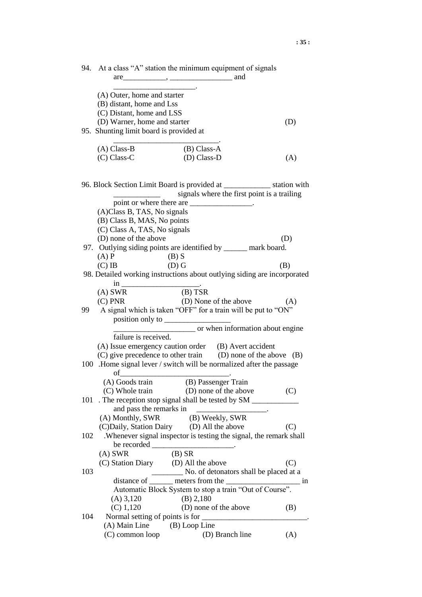94. At a class "A" station the minimum equipment of signals are\_\_\_\_\_\_\_\_\_\_\_, \_\_\_\_\_\_\_\_\_\_\_\_\_\_\_\_ and \_\_\_\_\_\_\_\_\_\_\_\_\_\_\_\_\_\_\_\_\_. (A) Outer, home and starter (B) distant, home and Lss (C) Distant, home and LSS (D) Warner, home and starter (D) 95. Shunting limit board is provided at \_\_\_\_\_\_\_\_\_\_\_\_\_\_\_\_\_\_\_\_\_\_\_\_\_\_\_. (A) Class-B (B) Class-A (C) Class-C (D) Class-D (A) 96. Block Section Limit Board is provided at \_\_\_\_\_\_\_\_\_\_\_\_ station with signals where the first point is a trailing point or where there are (A)Class B, TAS, No signals (B) Class B, MAS, No points (C) Class A, TAS, No signals (D) none of the above (D) 97. Outlying siding points are identified by \_\_\_\_\_\_\_ mark board.  $(A)$  P  $(B)$  S  $(C)$  IB  $(D)$  G  $(B)$ 98. Detailed working instructions about outlying siding are incorporated  $\sin \frac{\pi x}{2}$ (A) SWR  $(B)$  TSR (C) PNR (D) None of the above (A) 99 A signal which is taken "OFF" for a train will be put to "ON" position only to \_\_\_\_\_\_\_\_\_\_\_\_\_\_\_\_\_ \_\_\_\_\_\_\_\_\_\_\_\_\_\_\_\_\_\_\_\_\_ or when information about engine failure is received. (A) Issue emergency caution order (B) Avert accident (C) give precedence to other train (D) none of the above (B) 100 .Home signal lever / switch will be normalized after the passage of\_\_\_\_\_\_\_\_\_\_\_\_\_\_\_\_\_\_\_\_\_\_\_\_\_\_\_\_. (A) Goods train (B) Passenger Train (C) Whole train (D) none of the above (C) 101. The reception stop signal shall be tested by SM and pass the remarks in (A) Monthly, SWR (B) Weekly, SWR (C)Daily, Station Dairy (D) All the above (C) 102 .Whenever signal inspector is testing the signal, the remark shall be recorded  $\underline{\hspace{1cm}}$  (B) SR  $(A)$  SWR (C) Station Diary (D) All the above (C) 103 **\_\_\_\_\_\_\_** No. of detonators shall be placed at a distance of \_\_\_\_\_\_\_ meters from the \_\_\_\_\_\_\_\_\_\_\_\_\_\_\_\_\_\_\_\_\_\_\_\_\_ in Automatic Block System to stop a train "Out of Course".  $(A) 3,120$  (B) 2,180  $(C)$  1,120  $(D)$  none of the above  $(B)$ 104 Normal setting of points is for (A) Main Line (B) Loop Line

(C) common loop (D) Branch line (A)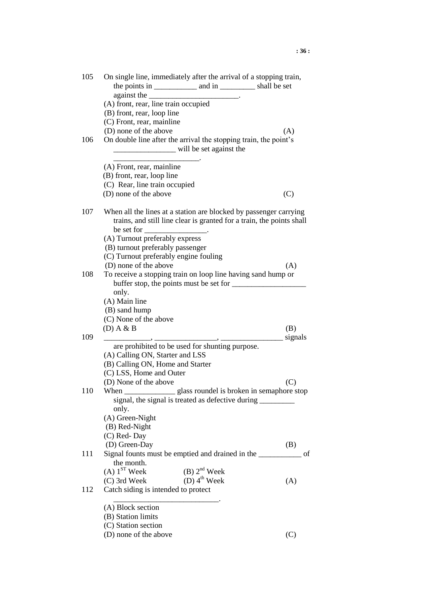| 105 | On single line, immediately after the arrival of a stopping train,    |         |
|-----|-----------------------------------------------------------------------|---------|
|     |                                                                       |         |
|     |                                                                       |         |
|     | (A) front, rear, line train occupied                                  |         |
|     | (B) front, rear, loop line                                            |         |
|     | (C) Front, rear, mainline                                             |         |
|     | (D) none of the above                                                 | (A)     |
| 106 | On double line after the arrival the stopping train, the point's      |         |
|     | will be set against the                                               |         |
|     |                                                                       |         |
|     | (A) Front, rear, mainline                                             |         |
|     | (B) front, rear, loop line                                            |         |
|     | (C) Rear, line train occupied                                         |         |
|     | (D) none of the above                                                 | (C)     |
|     |                                                                       |         |
| 107 | When all the lines at a station are blocked by passenger carrying     |         |
|     | trains, and still line clear is granted for a train, the points shall |         |
|     | be set for $\frac{\qquad \qquad }{2}$ .                               |         |
|     | (A) Turnout preferably express                                        |         |
|     | (B) turnout preferably passenger                                      |         |
|     | (C) Turnout preferably engine fouling                                 |         |
|     | (D) none of the above                                                 | (A)     |
| 108 | To receive a stopping train on loop line having sand hump or          |         |
|     |                                                                       |         |
|     | only.                                                                 |         |
|     | (A) Main line                                                         |         |
|     | (B) sand hump                                                         |         |
|     | (C) None of the above                                                 |         |
|     | $(D)$ A & B                                                           | (B)     |
| 109 |                                                                       | signals |
|     | are prohibited to be used for shunting purpose.                       |         |
|     | (A) Calling ON, Starter and LSS                                       |         |
|     | (B) Calling ON, Home and Starter                                      |         |
|     | (C) LSS, Home and Outer                                               |         |
|     | (D) None of the above                                                 | (C)     |
| 110 | When ___________________ glass roundel is broken in semaphore stop    |         |
|     |                                                                       |         |
|     | only.                                                                 |         |
|     |                                                                       |         |
|     | (A) Green-Night                                                       |         |
|     | (B) Red-Night                                                         |         |
|     | (C) Red-Day                                                           |         |
|     | (D) Green-Day                                                         | (B)     |
| 111 | Signal founts must be emptied and drained in the ______               | οf      |
|     | the month.                                                            |         |
|     | $(A) 1ST$ Week<br>(B) $2nd$ Week                                      |         |
|     | (D) $4^{th}$ Week<br>(C) 3rd Week                                     | (A)     |
| 112 | Catch siding is intended to protect                                   |         |
|     | (A) Block section                                                     |         |
|     | (B) Station limits                                                    |         |
|     | (C) Station section                                                   |         |
|     | (D) none of the above                                                 | (C)     |
|     |                                                                       |         |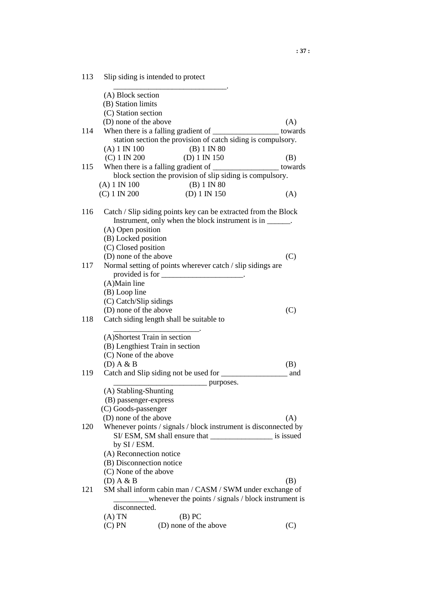113 Slip siding is intended to protect

|     | (A) Block section                                                  |     |
|-----|--------------------------------------------------------------------|-----|
|     | (B) Station limits                                                 |     |
|     | (C) Station section                                                |     |
|     | (D) none of the above                                              | (A) |
| 114 | When there is a falling gradient of ______________________ towards |     |
|     | station section the provision of catch siding is compulsory.       |     |
|     | (B) 1 IN 80<br>$(A) 1$ IN 100                                      |     |
|     | $(C) 1$ IN 200<br>(D) $1 \text{ IN } 150$                          | (B) |
| 115 | When there is a falling gradient of ______________________ towards |     |
|     | block section the provision of slip siding is compulsory.          |     |
|     | $(B) 1$ IN 80<br>$(A) 1$ IN 100                                    |     |
|     | $(C) 1$ IN 200<br>(D) 1 IN 150                                     | (A) |
|     |                                                                    |     |
| 116 | Catch / Slip siding points key can be extracted from the Block     |     |
|     | Instrument, only when the block instrument is in ______.           |     |
|     | (A) Open position                                                  |     |
|     | (B) Locked position                                                |     |
|     | (C) Closed position                                                |     |
|     | (D) none of the above                                              | (C) |
| 117 | Normal setting of points wherever catch / slip sidings are         |     |
|     |                                                                    |     |
|     | (A)Main line                                                       |     |
|     | (B) Loop line                                                      |     |
|     | (C) Catch/Slip sidings                                             |     |
|     | (D) none of the above                                              | (C) |
| 118 | Catch siding length shall be suitable to                           |     |
|     | (A)Shortest Train in section                                       |     |
|     | (B) Lengthiest Train in section                                    |     |
|     | (C) None of the above                                              |     |
|     | $(D)$ A & B                                                        | (B) |
| 119 |                                                                    | and |
|     | _____________ purposes.                                            |     |
|     | (A) Stabling-Shunting                                              |     |
|     | (B) passenger-express                                              |     |
|     | (C) Goods-passenger                                                |     |
|     | (D) none of the above                                              | (A) |
| 120 | Whenever points / signals / block instrument is disconnected by    |     |
|     | SI/ESM, SM shall ensure that _______________________ is issued     |     |
|     | by SI / ESM.                                                       |     |
|     | (A) Reconnection notice                                            |     |
|     | (B) Disconnection notice                                           |     |
|     | (C) None of the above                                              |     |
|     | $(D)$ A & B                                                        | (B) |
| 121 | SM shall inform cabin man / CASM / SWM under exchange of           |     |
|     | whenever the points / signals / block instrument is                |     |
|     | disconnected.                                                      |     |
|     | $(A)$ TN<br>(B) PC                                                 |     |
|     | (C) PN<br>(D) none of the above                                    | (C) |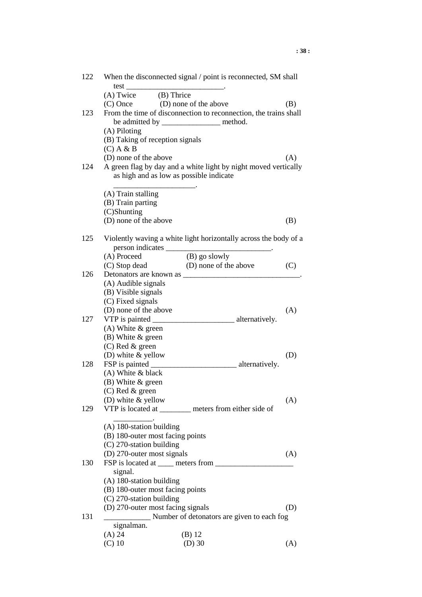| 122 |                                   | When the disconnected signal / point is reconnected, SM shall    |     |
|-----|-----------------------------------|------------------------------------------------------------------|-----|
|     | test                              |                                                                  |     |
|     | (B) Thrice<br>$(A)$ Twice         |                                                                  |     |
|     | (C) Once (D) none of the above    |                                                                  | (B) |
| 123 |                                   | From the time of disconnection to reconnection, the trains shall |     |
|     |                                   |                                                                  |     |
|     | (A) Piloting                      |                                                                  |     |
|     | (B) Taking of reception signals   |                                                                  |     |
|     | $(C)$ A & B                       |                                                                  |     |
|     | (D) none of the above             |                                                                  | (A) |
| 124 |                                   | A green flag by day and a white light by night moved vertically  |     |
|     |                                   | as high and as low as possible indicate                          |     |
|     |                                   |                                                                  |     |
|     | (A) Train stalling                |                                                                  |     |
|     | (B) Train parting                 |                                                                  |     |
|     | (C)Shunting                       |                                                                  |     |
|     | (D) none of the above             |                                                                  | (B) |
|     |                                   |                                                                  |     |
| 125 |                                   | Violently waving a white light horizontally across the body of a |     |
|     | person indicates                  |                                                                  |     |
|     | (A) Proceed                       | (B) go slowly                                                    |     |
|     |                                   | (C) Stop dead (D) none of the above                              | (C) |
| 126 |                                   |                                                                  |     |
|     | (A) Audible signals               |                                                                  |     |
|     | (B) Visible signals               |                                                                  |     |
|     | (C) Fixed signals                 |                                                                  |     |
|     | (D) none of the above             |                                                                  | (A) |
| 127 |                                   |                                                                  |     |
|     | (A) White $&$ green               |                                                                  |     |
|     | (B) White $&$ green               |                                                                  |     |
|     | $(C)$ Red $\&$ green              |                                                                  |     |
|     | (D) white $&$ yellow              |                                                                  | (D) |
| 128 |                                   |                                                                  |     |
|     | (A) White & black                 |                                                                  |     |
|     | $(B)$ White $\&$ green            |                                                                  |     |
|     | $(C)$ Red $\&$ green              |                                                                  |     |
|     | (D) white $&$ yellow              |                                                                  | (A) |
| 129 |                                   | VTP is located at ________ meters from either side of            |     |
|     |                                   |                                                                  |     |
|     | (A) 180-station building          |                                                                  |     |
|     | (B) 180-outer most facing points  |                                                                  |     |
|     | (C) 270-station building          |                                                                  |     |
|     | (D) 270-outer most signals        |                                                                  | (A) |
| 130 |                                   |                                                                  |     |
|     | signal.                           |                                                                  |     |
|     | (A) 180-station building          |                                                                  |     |
|     | (B) 180-outer most facing points  |                                                                  |     |
|     | (C) 270-station building          |                                                                  |     |
|     |                                   |                                                                  |     |
| 131 | (D) 270-outer most facing signals |                                                                  | (D) |
|     |                                   | _Number of detonators are given to each fog                      |     |
|     | signalman.<br>$(A)$ 24            |                                                                  |     |
|     | $(C)$ 10                          | (B) 12                                                           |     |
|     |                                   | $(D)$ 30                                                         | (A) |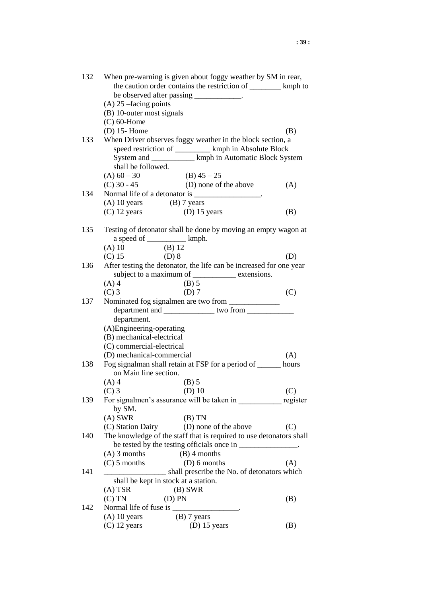| 132 | When pre-warning is given about foggy weather by SM in rear,                                          |                                                |     |
|-----|-------------------------------------------------------------------------------------------------------|------------------------------------------------|-----|
|     | the caution order contains the restriction of ____________ kmph to                                    |                                                |     |
|     | be observed after passing ____________.                                                               |                                                |     |
|     | $(A)$ 25 -facing points                                                                               |                                                |     |
|     | (B) 10-outer most signals                                                                             |                                                |     |
|     | $(C)$ 60-Home                                                                                         |                                                |     |
|     | (D) 15-Home                                                                                           |                                                | (B) |
| 133 | When Driver observes foggy weather in the block section, a                                            |                                                |     |
|     | speed restriction of _________ kmph in Absolute Block                                                 |                                                |     |
|     | System and _____________ kmph in Automatic Block System                                               |                                                |     |
|     | shall be followed.                                                                                    |                                                |     |
|     |                                                                                                       |                                                |     |
|     | (A) $60 - 30$<br>(C) $30 - 45$<br>(B) $45 - 25$<br>(D) none of the above                              |                                                | (A) |
| 134 | Normal life of a detonator is __________________.                                                     |                                                |     |
|     |                                                                                                       |                                                |     |
|     | $(A)$ 10 years $(B)$ 7 years                                                                          |                                                |     |
|     | $(D)$ 15 years<br>$(C)$ 12 years                                                                      |                                                | (B) |
| 135 |                                                                                                       |                                                |     |
|     | Testing of detonator shall be done by moving an empty wagon at<br>a speed of __________________ kmph. |                                                |     |
|     |                                                                                                       |                                                |     |
|     | $(A)$ 10<br>(B) 12                                                                                    |                                                |     |
|     | $(C)$ 15<br>$(D)$ 8                                                                                   |                                                | (D) |
| 136 | After testing the detonator, the life can be increased for one year                                   |                                                |     |
|     | subject to a maximum of _____________ extensions.                                                     |                                                |     |
|     | $(A)$ 4<br>$(B)$ 5                                                                                    |                                                |     |
|     | $(D)$ 7<br>$(C)$ 3                                                                                    |                                                | (C) |
| 137 | Nominated fog signalmen are two from _____________                                                    |                                                |     |
|     |                                                                                                       |                                                |     |
|     | department.                                                                                           |                                                |     |
|     | (A)Engineering-operating                                                                              |                                                |     |
|     | (B) mechanical-electrical                                                                             |                                                |     |
|     | (C) commercial-electrical                                                                             |                                                |     |
|     | (D) mechanical-commercial                                                                             |                                                | (A) |
| 138 | Fog signalman shall retain at FSP for a period of _______ hours                                       |                                                |     |
|     | on Main line section.                                                                                 |                                                |     |
|     | $(A)$ 4<br>$(B)$ 5                                                                                    |                                                |     |
|     | (C) 3 (D) 10                                                                                          |                                                | (C) |
| 139 | For signalmen's assurance will be taken in register                                                   |                                                |     |
|     | by SM.                                                                                                |                                                |     |
|     | $(A)$ SWR<br>$(B)$ TN                                                                                 |                                                |     |
|     | (C) Station Dairy                                                                                     | (D) none of the above                          | (C) |
| 140 | The knowledge of the staff that is required to use detonators shall                                   |                                                |     |
|     | be tested by the testing officials once in _______________.                                           |                                                |     |
|     | $(A)$ 3 months<br>$(B)$ 4 months                                                                      |                                                |     |
|     | $(C)$ 5 months                                                                                        | $(D)$ 6 months                                 | (A) |
| 141 |                                                                                                       | __ shall prescribe the No. of detonators which |     |
|     | shall be kept in stock at a station.                                                                  |                                                |     |
|     | $(A)$ TSR<br>$(B)$ SWR                                                                                |                                                |     |
|     | $(C)$ TN<br>(D) PN                                                                                    |                                                | (B) |
| 142 | Normal life of fuse is _                                                                              |                                                |     |
|     | $(A)$ 10 years<br>$(B)$ 7 years                                                                       |                                                |     |
|     | $(C)$ 12 years                                                                                        | $(D)$ 15 years                                 | (B) |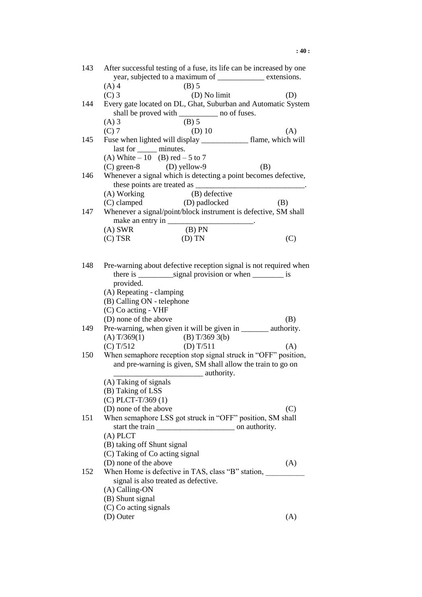| 143 |                                                                     | After successful testing of a fuse, its life can be increased by one                                             |     |
|-----|---------------------------------------------------------------------|------------------------------------------------------------------------------------------------------------------|-----|
|     |                                                                     | year, subjected to a maximum of ________________ extensions.                                                     |     |
|     | $(A)$ 4                                                             | $(B)$ 5                                                                                                          |     |
|     | $(C)$ 3                                                             | (D) No limit                                                                                                     | (D) |
| 144 |                                                                     | Every gate located on DL, Ghat, Suburban and Automatic System<br>shall be proved with _____________ no of fuses. |     |
|     | $(A)$ 3                                                             | $(B)$ 5                                                                                                          |     |
|     | $(C)$ 7                                                             | $(D)$ 10                                                                                                         | (A) |
| 145 |                                                                     |                                                                                                                  |     |
|     | last for <u>____</u> minutes.                                       |                                                                                                                  |     |
|     | (A) White $-10$ (B) red $-5$ to 7                                   |                                                                                                                  |     |
|     | $(C)$ green-8 $(D)$ yellow-9                                        |                                                                                                                  | (B) |
| 146 |                                                                     | Whenever a signal which is detecting a point becomes defective,                                                  |     |
|     |                                                                     |                                                                                                                  |     |
|     |                                                                     | (B) defective                                                                                                    |     |
|     | (A) Working (B) defective<br>(C) clamped (D) padlocked              |                                                                                                                  | (B) |
| 147 |                                                                     | Whenever a signal/point/block instrument is defective, SM shall                                                  |     |
|     |                                                                     |                                                                                                                  |     |
|     | $(A)$ SWR                                                           | (B) PN                                                                                                           |     |
|     | $(C)$ TSR                                                           | $(D)$ TN                                                                                                         | (C) |
|     |                                                                     |                                                                                                                  |     |
| 148 | provided.<br>(A) Repeating - clamping<br>(B) Calling ON - telephone | Pre-warning about defective reception signal is not required when                                                |     |
|     | (C) Co acting - VHF                                                 |                                                                                                                  |     |
|     | (D) none of the above                                               |                                                                                                                  | (B) |
| 149 |                                                                     | Pre-warning, when given it will be given in ________ authority.                                                  |     |
|     | (A) $T/369(1)$ (B) $T/369(3b)$                                      |                                                                                                                  |     |
|     | (C) T/512                                                           | (D) $T/511$                                                                                                      | (A) |
| 150 |                                                                     | When semaphore reception stop signal struck in "OFF" position,                                                   |     |
|     |                                                                     | and pre-warning is given, SM shall allow the train to go on                                                      |     |
|     |                                                                     | <u>______________</u> authority.                                                                                 |     |
|     | (A) Taking of signals                                               |                                                                                                                  |     |
|     | (B) Taking of LSS                                                   |                                                                                                                  |     |
|     | (C) PLCT-T/369 (1)                                                  |                                                                                                                  |     |
|     | (D) none of the above                                               |                                                                                                                  | (C) |
| 151 |                                                                     | When semaphore LSS got struck in "OFF" position, SM shall                                                        |     |
|     | $(A)$ PLCT                                                          |                                                                                                                  |     |
|     | (B) taking off Shunt signal                                         |                                                                                                                  |     |
|     | (C) Taking of Co acting signal                                      |                                                                                                                  |     |
|     | (D) none of the above                                               |                                                                                                                  | (A) |
| 152 |                                                                     | When Home is defective in TAS, class "B" station,                                                                |     |
|     | signal is also treated as defective.                                |                                                                                                                  |     |
|     | (A) Calling-ON                                                      |                                                                                                                  |     |
|     | (B) Shunt signal                                                    |                                                                                                                  |     |
|     | (C) Co acting signals                                               |                                                                                                                  |     |
|     | (D) Outer                                                           |                                                                                                                  | (A) |

**: 40 :**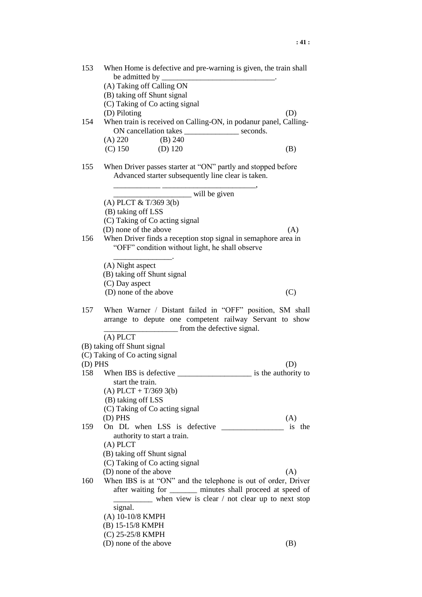| 153       | When Home is defective and pre-warning is given, the train shall                                                   |        |
|-----------|--------------------------------------------------------------------------------------------------------------------|--------|
|           | (A) Taking off Calling ON                                                                                          |        |
|           | (B) taking off Shunt signal                                                                                        |        |
|           | (C) Taking of Co acting signal                                                                                     |        |
|           | (D) Piloting                                                                                                       | (D)    |
| 154       | When train is received on Calling-ON, in podanur panel, Calling-                                                   |        |
|           | ON cancellation takes __________________ seconds.                                                                  |        |
|           | $(A) 220$ (B) 240                                                                                                  |        |
|           | $(C) 150$ $(D) 120$                                                                                                | (B)    |
| 155       | When Driver passes starter at "ON" partly and stopped before<br>Advanced starter subsequently line clear is taken. |        |
|           | will be given                                                                                                      |        |
|           | (A) PLCT $& T/3693(b)$                                                                                             |        |
|           | (B) taking off LSS                                                                                                 |        |
|           | (C) Taking of Co acting signal                                                                                     |        |
|           | (D) none of the above                                                                                              | (A)    |
| 156       | When Driver finds a reception stop signal in semaphore area in<br>"OFF" condition without light, he shall observe  |        |
|           | (A) Night aspect                                                                                                   |        |
|           | (B) taking off Shunt signal                                                                                        |        |
|           | (C) Day aspect                                                                                                     |        |
|           | (D) none of the above                                                                                              | (C)    |
| 157       | When Warner / Distant failed in "OFF" position, SM shall                                                           |        |
|           | arrange to depute one competent railway Servant to show                                                            |        |
|           | from the defective signal.                                                                                         |        |
|           | $(A)$ PLCT                                                                                                         |        |
|           | (B) taking off Shunt signal<br>(C) Taking of Co acting signal                                                      |        |
| $(D)$ PHS |                                                                                                                    | (D)    |
|           |                                                                                                                    |        |
|           | start the train.                                                                                                   |        |
|           | (A) PLCT + T/369 3(b)                                                                                              |        |
|           | (B) taking off LSS                                                                                                 |        |
|           | (C) Taking of Co acting signal                                                                                     |        |
|           | $(D)$ PHS                                                                                                          | (A)    |
| 159       |                                                                                                                    | is the |
|           | authority to start a train.                                                                                        |        |
|           | $(A)$ PLCT                                                                                                         |        |
|           | (B) taking off Shunt signal                                                                                        |        |
|           | (C) Taking of Co acting signal                                                                                     |        |
|           | (D) none of the above                                                                                              | (A)    |
| 160       | When IBS is at "ON" and the telephone is out of order, Driver                                                      |        |
|           | after waiting for ________ minutes shall proceed at speed of                                                       |        |
|           | when view is clear $/$ not clear up to next stop                                                                   |        |
|           | signal.<br>(A) 10-10/8 KMPH                                                                                        |        |
|           |                                                                                                                    |        |
|           | (B) 15-15/8 KMPH<br>(C) 25-25/8 KMPH                                                                               |        |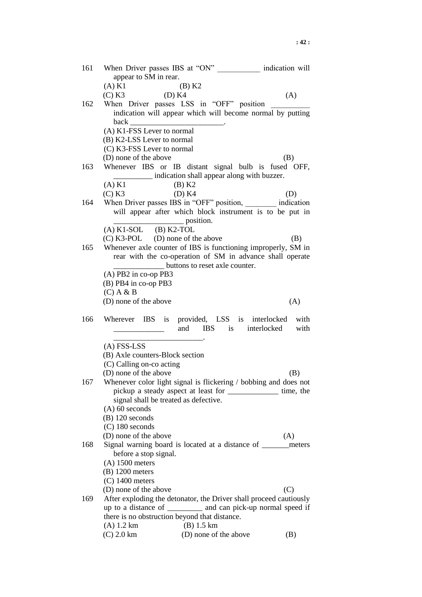| 161 |                                                     | When Driver passes IBS at "ON"                                     | indication will     |
|-----|-----------------------------------------------------|--------------------------------------------------------------------|---------------------|
|     | appear to SM in rear.                               |                                                                    |                     |
|     | $(A)$ K <sub>1</sub>                                | $(B)$ K <sub>2</sub>                                               |                     |
|     | $(C)$ K3                                            | $(D)$ K4                                                           | (A)                 |
| 162 |                                                     | When Driver passes LSS in "OFF" position                           |                     |
|     |                                                     | indication will appear which will become normal by putting         |                     |
|     | back                                                |                                                                    |                     |
|     | (A) K1-FSS Lever to normal                          |                                                                    |                     |
|     | (B) K2-LSS Lever to normal                          |                                                                    |                     |
|     | (C) K3-FSS Lever to normal                          |                                                                    |                     |
|     | (D) none of the above                               |                                                                    | (B)                 |
| 163 |                                                     | Whenever IBS or IB distant signal bulb is fused OFF,               |                     |
|     |                                                     | indication shall appear along with buzzer.                         |                     |
|     | $(A)$ K <sub>1</sub>                                | $(B)$ K <sub>2</sub>                                               |                     |
|     | $(C)$ K3                                            | $(D)$ K4                                                           | (D)                 |
| 164 |                                                     | When Driver passes IBS in "OFF" position, indication               |                     |
|     |                                                     | will appear after which block instrument is to be put in           |                     |
|     |                                                     | position.                                                          |                     |
|     | $(A)$ K <sub>1</sub> -SO <sub>L</sub><br>(B) K2-TOL |                                                                    |                     |
|     | (C) K3-POL (D) none of the above                    |                                                                    | (B)                 |
| 165 |                                                     | Whenever axle counter of IBS is functioning improperly, SM in      |                     |
|     |                                                     | rear with the co-operation of SM in advance shall operate          |                     |
|     |                                                     | _ buttons to reset axle counter.                                   |                     |
|     | $(A)$ PB2 in co-op PB3                              |                                                                    |                     |
|     | $(B)$ PB4 in co-op PB3                              |                                                                    |                     |
|     | $(C)$ A & B                                         |                                                                    |                     |
|     | (D) none of the above                               |                                                                    | (A)                 |
|     |                                                     |                                                                    |                     |
| 166 | Wherever IBS is                                     | provided, LSS is interlocked                                       | with                |
|     |                                                     | <b>IBS</b><br>and<br>is                                            | interlocked<br>with |
|     |                                                     |                                                                    |                     |
|     | $(A)$ FSS-LSS                                       |                                                                    |                     |
|     | (B) Axle counters-Block section                     |                                                                    |                     |
|     | (C) Calling on-co acting                            |                                                                    |                     |
|     | (D) none of the above                               |                                                                    | (B)                 |
| 167 |                                                     | Whenever color light signal is flickering / bobbing and does not   |                     |
|     |                                                     | pickup a steady aspect at least for _______________ time, the      |                     |
|     | signal shall be treated as defective.               |                                                                    |                     |
|     | $(A)$ 60 seconds                                    |                                                                    |                     |
|     | $(B)$ 120 seconds                                   |                                                                    |                     |
|     | $(C)$ 180 seconds                                   |                                                                    |                     |
|     | (D) none of the above                               |                                                                    | (A)                 |
| 168 |                                                     | Signal warning board is located at a distance of ________ meters   |                     |
|     | before a stop signal.                               |                                                                    |                     |
|     | $(A)$ 1500 meters                                   |                                                                    |                     |
|     | $(B)$ 1200 meters                                   |                                                                    |                     |
|     | $(C)$ 1400 meters                                   |                                                                    |                     |
|     | (D) none of the above                               |                                                                    | (C)                 |
|     |                                                     |                                                                    |                     |
| 169 |                                                     | After exploding the detonator, the Driver shall proceed cautiously |                     |
|     |                                                     | up to a distance of ___________ and can pick-up normal speed if    |                     |
|     | there is no obstruction beyond that distance.       |                                                                    |                     |
|     | (A) 1.2 km                                          | (B) 1.5 km                                                         |                     |
|     | $(C)$ 2.0 km                                        | (D) none of the above                                              | (B)                 |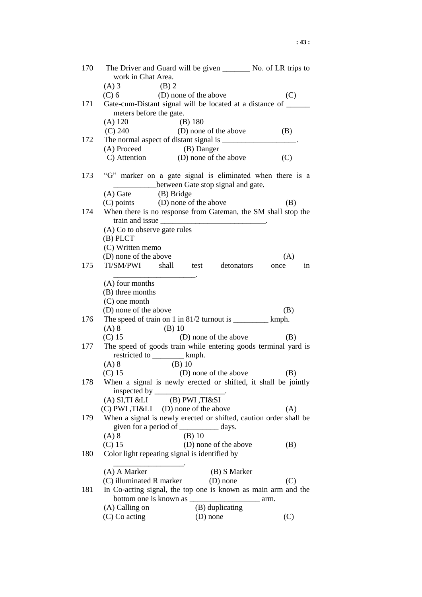| 170 |                                                                                                    |                       |                       |            |
|-----|----------------------------------------------------------------------------------------------------|-----------------------|-----------------------|------------|
|     | work in Ghat Area.                                                                                 |                       |                       |            |
|     | $(A)$ 3                                                                                            | $(B)$ 2               |                       |            |
|     | $(C)$ 6                                                                                            | (D) none of the above |                       | (C)        |
| 171 | Gate-cum-Distant signal will be located at a distance of ______                                    |                       |                       |            |
|     | meters before the gate.                                                                            |                       |                       |            |
|     | $(A)$ 120                                                                                          | (B) 180               |                       |            |
|     | (A) $120$<br>(C) 240 (D) none of the above                                                         |                       |                       |            |
|     |                                                                                                    |                       |                       | (B)        |
| 172 | The normal aspect of distant signal is _____________________.                                      |                       |                       |            |
|     | (A) Proceed (B) Danger<br>C) Attention (D) none of the above                                       |                       |                       |            |
|     |                                                                                                    |                       |                       | (C)        |
| 173 | "G" marker on a gate signal is eliminated when there is a                                          |                       |                       |            |
|     | ______________between Gate stop signal and gate.                                                   |                       |                       |            |
|     | (A) Gate (B) Bridge                                                                                |                       |                       |            |
|     | (C) points (D) none of the above                                                                   |                       |                       | (B)        |
| 174 | When there is no response from Gateman, the SM shall stop the                                      |                       |                       |            |
|     |                                                                                                    |                       |                       |            |
|     | (A) Co to observe gate rules                                                                       |                       |                       |            |
|     | $(B)$ PLCT                                                                                         |                       |                       |            |
|     | (C) Written memo                                                                                   |                       |                       |            |
|     | (D) none of the above                                                                              |                       |                       | (A)        |
| 175 | TI/SM/PWI shall                                                                                    |                       | test detonators       | in<br>once |
|     |                                                                                                    |                       |                       |            |
|     | $(A)$ four months                                                                                  |                       |                       |            |
|     | (B) three months                                                                                   |                       |                       |            |
|     | $(C)$ one month                                                                                    |                       |                       |            |
|     | (D) none of the above                                                                              |                       |                       | (B)        |
| 176 | The speed of train on 1 in 81/2 turnout is ____________ kmph.                                      |                       |                       |            |
|     |                                                                                                    |                       |                       |            |
|     | $(A)$ 8                                                                                            | (B) $10$              |                       |            |
|     | (C) 15                                                                                             | (D) none of the above |                       | (B)        |
| 177 | The speed of goods train while entering goods terminal yard is<br>restricted to ____________ kmph. |                       |                       |            |
|     | $(A)$ 8                                                                                            | (B) $10$              |                       |            |
|     | (C) 15 (D) none of the above                                                                       |                       |                       |            |
|     |                                                                                                    |                       |                       | (B)        |
| 178 | When a signal is newly erected or shifted, it shall be jointly                                     |                       |                       |            |
|     |                                                                                                    | $(B)$ PWI ,TI&SI      |                       |            |
|     | $(A)$ SI, TI & LI                                                                                  |                       |                       |            |
|     | $(C)$ PWI, TI&LI (D) none of the above                                                             |                       |                       | (A)        |
| 179 | When a signal is newly erected or shifted, caution order shall be                                  |                       |                       |            |
|     | given for a period of __________ days.                                                             |                       |                       |            |
|     |                                                                                                    |                       |                       |            |
|     | $(A)$ 8                                                                                            | $(B)$ 10              |                       |            |
|     | $(C)$ 15                                                                                           |                       | (D) none of the above | (B)        |
| 180 | Color light repeating signal is identified by                                                      |                       |                       |            |
|     |                                                                                                    |                       |                       |            |
|     | (A) A Marker                                                                                       |                       | (B) S Marker          |            |
|     | (C) illuminated R marker                                                                           |                       | $(D)$ none            | (C)        |
| 181 | In Co-acting signal, the top one is known as main arm and the                                      |                       |                       |            |
|     |                                                                                                    |                       |                       | arm.       |
|     | (A) Calling on<br>$(C)$ Co acting                                                                  | $(D)$ none            | (B) duplicating       | (C)        |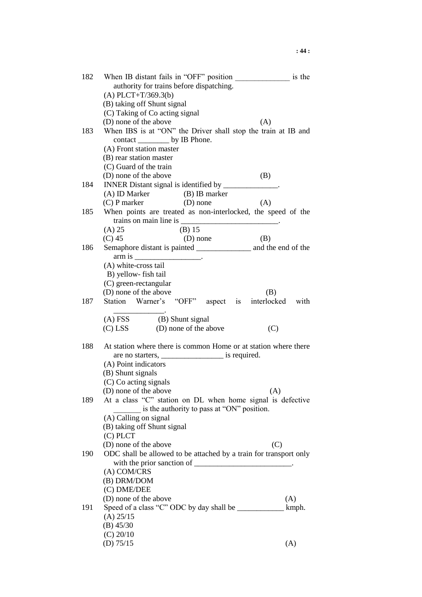| 182 | When IB distant fails in "OFF" position is the                    |
|-----|-------------------------------------------------------------------|
|     | authority for trains before dispatching.                          |
|     | $(A)$ PLCT+T/369.3(b)                                             |
|     | (B) taking off Shunt signal                                       |
|     |                                                                   |
|     | (C) Taking of Co acting signal                                    |
|     | (D) none of the above<br>(A)                                      |
| 183 | When IBS is at "ON" the Driver shall stop the train at IB and     |
|     | contact ___________ by IB Phone.                                  |
|     | (A) Front station master                                          |
|     | (B) rear station master                                           |
|     | (C) Guard of the train                                            |
|     | (D) none of the above<br>(B)                                      |
| 184 | INNER Distant signal is identified by ______________.             |
|     | (A) ID Marker (B) IB marker                                       |
|     |                                                                   |
|     | (D) none<br>(A)<br>$(C)$ P marker                                 |
| 185 | When points are treated as non-interlocked, the speed of the      |
|     |                                                                   |
|     | (A) 25<br>$(B)$ 15                                                |
|     | $(C)$ 45<br>(D) none<br>(B)                                       |
| 186 |                                                                   |
|     |                                                                   |
|     | (A) white-cross tail                                              |
|     | B) yellow- fish tail                                              |
|     |                                                                   |
|     | (C) green-rectangular                                             |
|     | (D) none of the above<br>(B)                                      |
| 187 | Station Warner's "OFF" aspect is interlocked with                 |
|     |                                                                   |
|     | (A) FSS (B) Shunt signal                                          |
|     | (C) LSS (D) none of the above<br>(C)                              |
|     |                                                                   |
| 188 | At station where there is common Home or at station where there   |
|     | are no starters, ______________________ is required.              |
|     | (A) Point indicators                                              |
|     | (B) Shunt signals                                                 |
|     | (C) Co acting signals                                             |
|     | (D) none of the above                                             |
|     | (A)                                                               |
| 189 | At a class "C" station on DL when home signal is defective        |
|     | is the authority to pass at "ON" position.                        |
|     | (A) Calling on signal                                             |
|     | (B) taking off Shunt signal                                       |
|     | (C) PLCT                                                          |
|     | (D) none of the above<br>(C)                                      |
| 190 | ODC shall be allowed to be attached by a train for transport only |
|     |                                                                   |
|     | (A) COM/CRS                                                       |
|     |                                                                   |
|     | (B) DRM/DOM                                                       |
|     | (C) DME/DEE                                                       |
|     | (D) none of the above<br>(A)                                      |
| 191 | kmph.                                                             |
|     | $(A)$ 25/15                                                       |
|     | $(B)$ 45/30                                                       |
|     | (C) 20/10                                                         |
|     | $(D)$ 75/15<br>(A)                                                |
|     |                                                                   |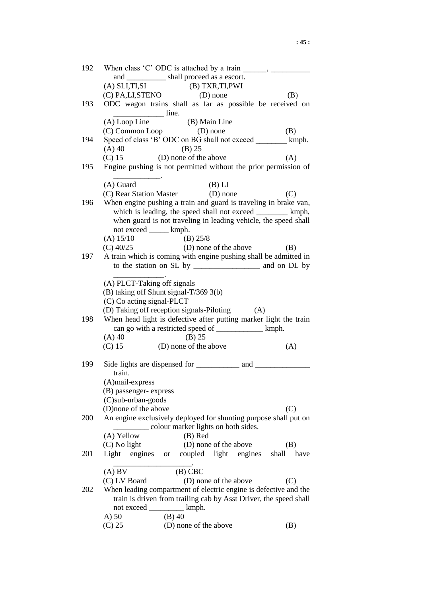| 192 | When class $\mathcal{C}'$ ODC is attached by a train $\mathcal{C}$ ,   |
|-----|------------------------------------------------------------------------|
|     | and ____________ shall proceed as a escort.                            |
|     | (A) SLI, TI, SI<br>(B) TXR, TI, PWI                                    |
|     | (C) PA, LI, STENO (D) none<br>(B)                                      |
| 193 | ODC wagon trains shall as far as possible be received on               |
|     | $\frac{1}{2}$ line.                                                    |
|     | (A) Loop Line (B) Main Line                                            |
|     | (C) Common Loop (D) none<br>(B)                                        |
| 194 | Speed of class 'B' ODC on BG shall not exceed kmph.                    |
|     | $(B)$ 25<br>$(A)$ 40                                                   |
|     | (C) 15 (D) none of the above<br>(A)                                    |
| 195 | Engine pushing is not permitted without the prior permission of        |
|     |                                                                        |
|     | (A) Guard<br>$(B)$ LI                                                  |
|     | (C) Rear Station Master (D) none<br>(C)                                |
| 196 | When engine pushing a train and guard is traveling in brake van,       |
|     | which is leading, the speed shall not exceed _______ kmph,             |
|     | when guard is not traveling in leading vehicle, the speed shall        |
|     | not exceed _______ kmph.                                               |
|     |                                                                        |
|     | (A) $15/10$ (B) $25/8$<br>(C) $40/25$ (D) none of the above (B)        |
| 197 | A train which is coming with engine pushing shall be admitted in       |
|     |                                                                        |
|     |                                                                        |
|     | (A) PLCT-Taking off signals                                            |
|     | (B) taking off Shunt signal-T/369 3(b)                                 |
|     | (C) Co acting signal-PLCT                                              |
|     | (D) Taking off reception signals-Piloting<br>(A)                       |
| 198 | When head light is defective after putting marker light the train      |
|     | can go with a restricted speed of ____________________ kmph.           |
|     | $(A)$ 40<br>(B) 25                                                     |
|     | $(C)$ 15<br>(D) none of the above<br>(A)                               |
|     |                                                                        |
| 199 |                                                                        |
|     | train.                                                                 |
|     | (A)mail-express                                                        |
|     | (B) passenger-express                                                  |
|     | (C)sub-urban-goods                                                     |
|     | (D)none of the above<br>(C)                                            |
| 200 | An engine exclusively deployed for shunting purpose shall put on       |
|     | colour marker lights on both sides.                                    |
|     | (A) Yellow<br>$(B)$ Red                                                |
|     | (C) No light<br>(D) none of the above<br>(B)                           |
| 201 | coupled<br>Light<br>engines<br>light<br>engines<br>shall<br>have<br>or |

| 199 | Side lights are dispensed for ______________ and<br>train.       |                                                                   |  |     |      |
|-----|------------------------------------------------------------------|-------------------------------------------------------------------|--|-----|------|
|     | (A)mail-express                                                  |                                                                   |  |     |      |
|     | (B) passenger-express                                            |                                                                   |  |     |      |
|     | (C)sub-urban-goods                                               |                                                                   |  |     |      |
|     | (D) none of the above                                            |                                                                   |  |     |      |
|     |                                                                  |                                                                   |  | (C) |      |
| 200 | An engine exclusively deployed for shunting purpose shall put on |                                                                   |  |     |      |
|     |                                                                  | _ colour marker lights on both sides.                             |  |     |      |
|     | (A) Yellow                                                       | $(B)$ Red                                                         |  |     |      |
|     | (C) No light (D) none of the above                               |                                                                   |  | (B) |      |
| 201 | Light engines or coupled light engines shall                     |                                                                   |  |     | have |
|     | $(A)$ BV                                                         | $(B)$ CBC                                                         |  |     |      |
|     | (C) LV Board (D) none of the above                               |                                                                   |  | (C) |      |
| 202 | When leading compartment of electric engine is defective and the |                                                                   |  |     |      |
|     |                                                                  | train is driven from trailing cab by Asst Driver, the speed shall |  |     |      |
|     |                                                                  |                                                                   |  |     |      |
|     |                                                                  |                                                                   |  |     |      |
|     | $(A)$ 50                                                         | $(B)$ 40                                                          |  |     |      |
|     | C) 25                                                            | (D) none of the above                                             |  | (B) |      |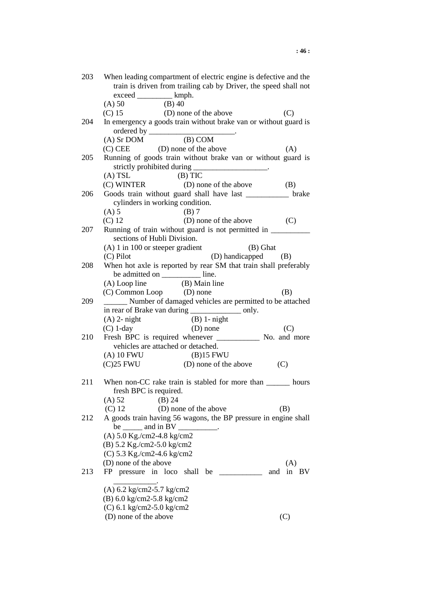| 203 | When leading compartment of electric engine is defective and the                       |
|-----|----------------------------------------------------------------------------------------|
|     | train is driven from trailing cab by Driver, the speed shall not                       |
|     | exceed ____________ kmph.                                                              |
|     | (A) 50<br>$(B)$ 40                                                                     |
|     | (C) 15 (D) none of the above<br>(C)                                                    |
| 204 | In emergency a goods train without brake van or without guard is                       |
|     |                                                                                        |
|     |                                                                                        |
|     | (A) Sr DOM (B) COM<br>(C) CEE (D) none of the above<br>(A)                             |
| 205 | Running of goods train without brake van or without guard is                           |
|     | strictly prohibited during __________________.                                         |
|     |                                                                                        |
|     | (A) TSL (B) TIC<br>(C) WINTER (D) none of the above (B)                                |
| 206 | Goods train without guard shall have last _____________ brake                          |
|     | cylinders in working condition.                                                        |
|     | $(A)$ 5<br>$(B)$ 7                                                                     |
|     | $(C)$ 12<br>(D) none of the above (C)                                                  |
| 207 | Running of train without guard is not permitted in __________                          |
|     | sections of Hubli Division.                                                            |
|     | $(A)$ 1 in 100 or steeper gradient<br>(B) Ghat                                         |
|     | (D) handicapped (B)<br>$(C)$ Pilot                                                     |
| 208 | When hot axle is reported by rear SM that train shall preferably                       |
|     | be admitted on ___________ line.                                                       |
|     | (A) Loop line (B) Main line                                                            |
|     | (C) Common Loop (D) none<br>(B)                                                        |
| 209 | ________ Number of damaged vehicles are permitted to be attached                       |
|     | in rear of Brake van during ____________ only.                                         |
|     |                                                                                        |
|     | (A) 2- night<br>(C) 1-day<br>(D) none<br>(C)<br>$(C) 1$ -day                           |
| 210 |                                                                                        |
|     | vehicles are attached or detached.                                                     |
|     | $(B)15$ FWU<br>$(A)$ 10 FWU                                                            |
|     | $(C)25$ FWU $(D)$ none of the above<br>(C)                                             |
|     |                                                                                        |
| 211 | When non-CC rake train is stabled for more than ________ hours                         |
|     | fresh BPC is required.                                                                 |
|     | (A) 52<br>$(B)$ 24                                                                     |
|     | $(C)$ 12<br>(D) none of the above<br>(B)                                               |
| 212 | A goods train having 56 wagons, the BP pressure in engine shall<br>be ______ and in BV |
|     | (A) $5.0$ Kg./cm2-4.8 kg/cm2                                                           |
|     | (B) $5.2$ Kg./cm2-5.0 kg/cm2                                                           |
|     | (C) 5.3 Kg./cm2-4.6 kg/cm2                                                             |
|     | (D) none of the above<br>(A)                                                           |
| 213 | FP pressure in loco shall be<br>and in BV                                              |
|     |                                                                                        |
|     | $(A)$ 6.2 kg/cm2-5.7 kg/cm2                                                            |
|     | (B) 6.0 kg/cm2-5.8 kg/cm2                                                              |
|     | (C) 6.1 kg/cm2-5.0 kg/cm2                                                              |
|     | (D) none of the above<br>(C)                                                           |
|     |                                                                                        |

**: 46 :**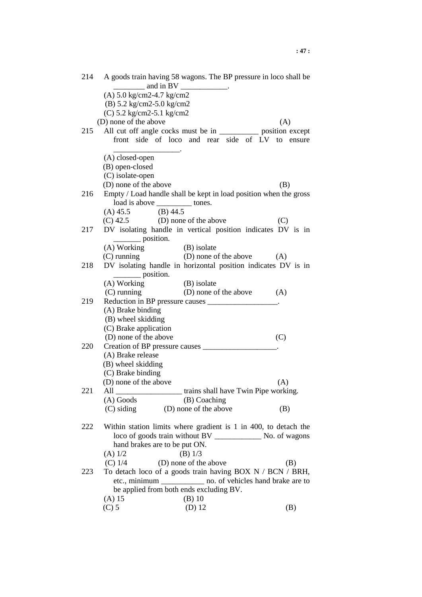| 214 | A goods train having 58 wagons. The BP pressure in loco shall be  |                                      |
|-----|-------------------------------------------------------------------|--------------------------------------|
|     | $\frac{1}{2}$ and in BV $\frac{1}{2}$ .                           |                                      |
|     | (A) $5.0 \text{ kg/cm}2 - 4.7 \text{ kg/cm}2$                     |                                      |
|     | (B) 5.2 kg/cm2-5.0 kg/cm2                                         |                                      |
|     | (C) $5.2 \text{ kg/cm2-}5.1 \text{ kg/cm2}$                       |                                      |
|     | (D) none of the above                                             | (A)                                  |
| 215 | All cut off angle cocks must be in ____________ position except   |                                      |
|     | front side of loco and rear side of LV to ensure                  |                                      |
|     |                                                                   |                                      |
|     | (A) closed-open                                                   |                                      |
|     | (B) open-closed                                                   |                                      |
|     | (C) isolate-open                                                  |                                      |
|     | (D) none of the above                                             | (B)                                  |
| 216 | Empty / Load handle shall be kept in load position when the gross |                                      |
|     | load is above ____________ tones.                                 |                                      |
|     | $(B)$ 44.5<br>$(A)$ 45.5                                          |                                      |
|     | $(C)$ 42.5<br>(D) none of the above                               | (C)                                  |
| 217 | DV isolating handle in vertical position indicates DV is in       |                                      |
|     | position.                                                         |                                      |
|     | (A) Working<br>(B) isolate                                        |                                      |
|     | $(C)$ running<br>(D) none of the above                            | (A)                                  |
| 218 | DV isolating handle in horizontal position indicates DV is in     |                                      |
|     | position.                                                         |                                      |
|     | (A) Working (B) isolate                                           |                                      |
|     | (C) running (D) none of the above                                 | (A)                                  |
| 219 |                                                                   |                                      |
|     | (A) Brake binding                                                 |                                      |
|     | (B) wheel skidding                                                |                                      |
|     | (C) Brake application                                             |                                      |
|     | (D) none of the above                                             | (C)                                  |
| 220 |                                                                   |                                      |
|     | (A) Brake release                                                 |                                      |
|     | (B) wheel skidding                                                |                                      |
|     | (C) Brake binding                                                 |                                      |
|     | (D) none of the above                                             | (A)                                  |
| 221 | All $\overline{\phantom{a} \phantom{a}}$                          | trains shall have Twin Pipe working. |
|     | (A) Goods<br>(B) Coaching                                         |                                      |
|     | $(C)$ siding<br>(D) none of the above                             | (B)                                  |
|     |                                                                   |                                      |
| 222 | Within station limits where gradient is $1$ in 400, to detach the |                                      |
|     |                                                                   |                                      |
|     | hand brakes are to be put ON.                                     |                                      |
|     | $(A)$ 1/2<br>$(B)$ 1/3                                            |                                      |
|     | (D) none of the above<br>$(C)$ 1/4                                | (B)                                  |
| 223 | To detach loco of a goods train having BOX N / BCN / BRH,         |                                      |
|     | etc., minimum _____________ no. of vehicles hand brake are to     |                                      |
|     | be applied from both ends excluding BV.                           |                                      |
|     | $(A)$ 15<br>$(B)$ 10                                              |                                      |
|     | $(C)$ 5<br>(D) 12                                                 | (B)                                  |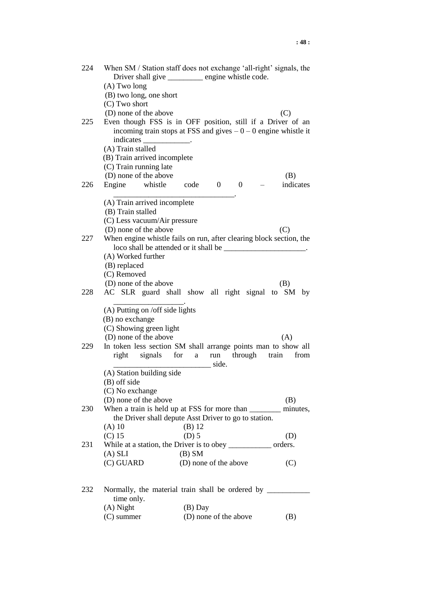| 224 |                                 | When SM / Station staff does not exchange 'all-right' signals, the  |               |
|-----|---------------------------------|---------------------------------------------------------------------|---------------|
|     |                                 | Driver shall give ________ engine whistle code.                     |               |
|     | $(A)$ Two long                  |                                                                     |               |
|     | (B) two long, one short         |                                                                     |               |
|     | (C) Two short                   |                                                                     |               |
|     | (D) none of the above           |                                                                     | (C)           |
|     |                                 |                                                                     |               |
| 225 |                                 | Even though FSS is in OFF position, still if a Driver of an         |               |
|     |                                 | incoming train stops at FSS and gives $-0$ – 0 engine whistle it    |               |
|     |                                 |                                                                     |               |
|     | (A) Train stalled               |                                                                     |               |
|     | (B) Train arrived incomplete    |                                                                     |               |
|     | (C) Train running late          |                                                                     |               |
|     | (D) none of the above           |                                                                     | (B)           |
| 226 | Engine whistle code             | $\overline{0}$<br>$\mathbf{0}$                                      | indicates     |
|     |                                 |                                                                     |               |
|     | (A) Train arrived incomplete    |                                                                     |               |
|     | (B) Train stalled               |                                                                     |               |
|     | (C) Less vacuum/Air pressure    |                                                                     |               |
|     | (D) none of the above           |                                                                     | (C)           |
| 227 |                                 |                                                                     |               |
|     |                                 | When engine whistle fails on run, after clearing block section, the |               |
|     |                                 |                                                                     |               |
|     | (A) Worked further              |                                                                     |               |
|     | (B) replaced                    |                                                                     |               |
|     | (C) Removed                     |                                                                     |               |
|     | (D) none of the above           |                                                                     | (B)           |
| 228 |                                 | AC SLR guard shall show all right signal to SM by                   |               |
|     |                                 |                                                                     |               |
|     | (A) Putting on /off side lights |                                                                     |               |
|     | (B) no exchange                 |                                                                     |               |
|     | (C) Showing green light         |                                                                     |               |
|     | (D) none of the above           |                                                                     | (A)           |
| 229 |                                 | In token less section SM shall arrange points man to show all       |               |
|     | signals for<br>right            | through<br>a run                                                    | train<br>from |
|     |                                 | $\frac{\ }{}$ side.                                                 |               |
|     |                                 |                                                                     |               |
|     | (A) Station building side       |                                                                     |               |
|     | (B) off side                    |                                                                     |               |
|     | (C) No exchange                 |                                                                     |               |
|     | (D) none of the above           |                                                                     | (B)           |
| 230 |                                 | When a train is held up at FSS for more than ___________ minutes,   |               |
|     |                                 | the Driver shall depute Asst Driver to go to station.               |               |
|     | $(A)$ 10                        | $(B)$ 12                                                            |               |
|     | $(C)$ 15                        | $(D)$ 5                                                             | (D)           |
| 231 |                                 | While at a station, the Driver is to obey _________________ orders. |               |
|     | (A) SLI                         | $(B)$ SM                                                            |               |
|     | (C) GUARD                       | (D) none of the above                                               | (C)           |
|     |                                 |                                                                     |               |
|     |                                 |                                                                     |               |
| 232 |                                 |                                                                     |               |
|     |                                 | Normally, the material train shall be ordered by _______            |               |
|     | time only.                      |                                                                     |               |
|     | (A) Night                       | $(B)$ Day                                                           |               |
|     | (C) summer                      | (D) none of the above                                               | (B)           |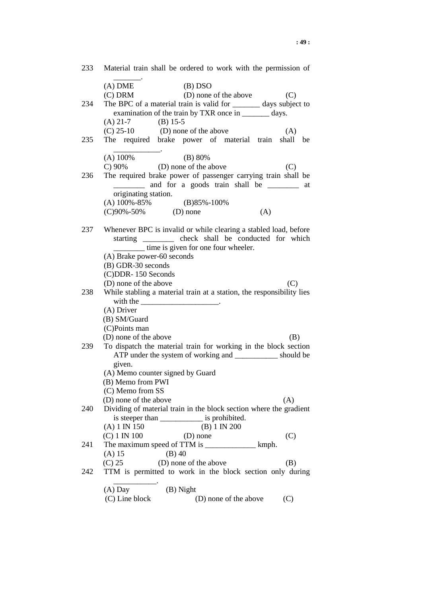| 233 | Material train shall be ordered to work with the permission of                                                                                                                                                                                                                                                                                                                                              |
|-----|-------------------------------------------------------------------------------------------------------------------------------------------------------------------------------------------------------------------------------------------------------------------------------------------------------------------------------------------------------------------------------------------------------------|
|     | $(A)$ DME<br>$(B)$ DSO                                                                                                                                                                                                                                                                                                                                                                                      |
|     | $(C)$ DRM<br>(D) none of the above<br>(C)                                                                                                                                                                                                                                                                                                                                                                   |
| 234 | The BPC of a material train is valid for ________ days subject to                                                                                                                                                                                                                                                                                                                                           |
|     | examination of the train by TXR once in _________ days.                                                                                                                                                                                                                                                                                                                                                     |
|     |                                                                                                                                                                                                                                                                                                                                                                                                             |
|     | $(A) 21-7$ $(B) 15-5$                                                                                                                                                                                                                                                                                                                                                                                       |
|     | $(C)$ 25-10 $(D)$ none of the above<br>(A)                                                                                                                                                                                                                                                                                                                                                                  |
| 235 | The required brake power of material train shall<br>be                                                                                                                                                                                                                                                                                                                                                      |
|     |                                                                                                                                                                                                                                                                                                                                                                                                             |
|     | $(A)$ 100%<br>(B) 80%<br>C) 90% (D) none of the above                                                                                                                                                                                                                                                                                                                                                       |
|     | (C)                                                                                                                                                                                                                                                                                                                                                                                                         |
| 236 | The required brake power of passenger carrying train shall be                                                                                                                                                                                                                                                                                                                                               |
|     | and for a goods train shall be _______ at                                                                                                                                                                                                                                                                                                                                                                   |
|     | originating station.                                                                                                                                                                                                                                                                                                                                                                                        |
|     | (A) $100\% - 85\%$ (B) $85\% - 100\%$                                                                                                                                                                                                                                                                                                                                                                       |
|     | $(C)90\% - 50\%$ (D) none<br>(A)                                                                                                                                                                                                                                                                                                                                                                            |
|     |                                                                                                                                                                                                                                                                                                                                                                                                             |
| 237 | Whenever BPC is invalid or while clearing a stabled load, before                                                                                                                                                                                                                                                                                                                                            |
|     | starting __________ check shall be conducted for which                                                                                                                                                                                                                                                                                                                                                      |
|     | time is given for one four wheeler.                                                                                                                                                                                                                                                                                                                                                                         |
|     | (A) Brake power-60 seconds                                                                                                                                                                                                                                                                                                                                                                                  |
|     | (B) GDR-30 seconds                                                                                                                                                                                                                                                                                                                                                                                          |
|     | (C)DDR-150 Seconds                                                                                                                                                                                                                                                                                                                                                                                          |
|     | (D) none of the above<br>(C)                                                                                                                                                                                                                                                                                                                                                                                |
| 238 | While stabling a material train at a station, the responsibility lies                                                                                                                                                                                                                                                                                                                                       |
|     | with the $\frac{1}{\sqrt{1-\frac{1}{2}}\sqrt{1-\frac{1}{2}}\sqrt{1-\frac{1}{2}}\sqrt{1-\frac{1}{2}}\sqrt{1-\frac{1}{2}}\sqrt{1-\frac{1}{2}}\sqrt{1-\frac{1}{2}}\sqrt{1-\frac{1}{2}}\sqrt{1-\frac{1}{2}}\sqrt{1-\frac{1}{2}}\sqrt{1-\frac{1}{2}}\sqrt{1-\frac{1}{2}}\sqrt{1-\frac{1}{2}}\sqrt{1-\frac{1}{2}}\sqrt{1-\frac{1}{2}}\sqrt{1-\frac{1}{2}}\sqrt{1-\frac{1}{2}}\sqrt{1-\frac{1}{2}}\sqrt{1-\frac{1$ |
|     | (A) Driver                                                                                                                                                                                                                                                                                                                                                                                                  |
|     | (B) SM/Guard                                                                                                                                                                                                                                                                                                                                                                                                |
|     | (C)Points man                                                                                                                                                                                                                                                                                                                                                                                               |
|     | (D) none of the above<br>(B)                                                                                                                                                                                                                                                                                                                                                                                |
| 239 | To dispatch the material train for working in the block section                                                                                                                                                                                                                                                                                                                                             |
|     | ATP under the system of working and _______________ should be                                                                                                                                                                                                                                                                                                                                               |
|     | given.                                                                                                                                                                                                                                                                                                                                                                                                      |
|     | (A) Memo counter signed by Guard                                                                                                                                                                                                                                                                                                                                                                            |
|     | (B) Memo from PWI                                                                                                                                                                                                                                                                                                                                                                                           |
|     | (C) Memo from SS                                                                                                                                                                                                                                                                                                                                                                                            |
|     | (D) none of the above<br>(A)                                                                                                                                                                                                                                                                                                                                                                                |
| 240 | Dividing of material train in the block section where the gradient                                                                                                                                                                                                                                                                                                                                          |
|     | is steeper than ______________ is prohibited.                                                                                                                                                                                                                                                                                                                                                               |
|     | (A) 1 IN 150<br>$(B) 1$ IN 200                                                                                                                                                                                                                                                                                                                                                                              |
|     | $(C) 1$ IN 100<br>(C)<br>$(D)$ none                                                                                                                                                                                                                                                                                                                                                                         |
| 241 | The maximum speed of TTM is ______________________ kmph.                                                                                                                                                                                                                                                                                                                                                    |
|     | $(B)$ 40<br>$(A)$ 15                                                                                                                                                                                                                                                                                                                                                                                        |
|     | (D) none of the above<br>$(C)$ 25<br>(B)                                                                                                                                                                                                                                                                                                                                                                    |
| 242 | TTM is permitted to work in the block section only during                                                                                                                                                                                                                                                                                                                                                   |
|     |                                                                                                                                                                                                                                                                                                                                                                                                             |
|     | (B) Night<br>$(A)$ Day                                                                                                                                                                                                                                                                                                                                                                                      |
|     | (C) Line block<br>(D) none of the above<br>(C)                                                                                                                                                                                                                                                                                                                                                              |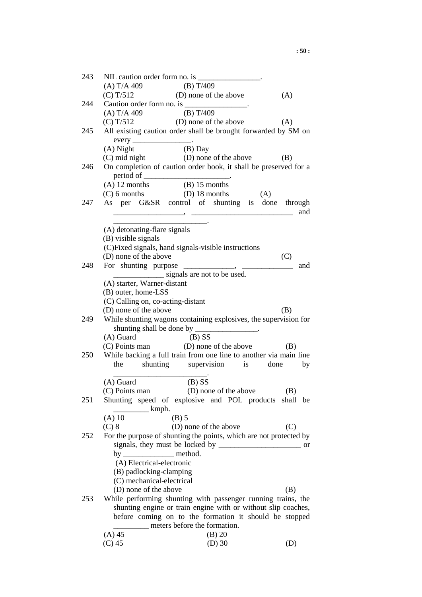| 243 |                                                                                                               |
|-----|---------------------------------------------------------------------------------------------------------------|
|     | (A) T/A 409 (B) T/409                                                                                         |
|     | (D) none of the above<br>(C) T/512<br>(A)                                                                     |
| 244 | Caution order form no. is __________________.                                                                 |
|     | (A) T/A 409<br>(B) $T/409$                                                                                    |
|     | (D) none of the above<br>(C) T/512<br>(A)                                                                     |
| 245 | All existing caution order shall be brought forwarded by SM on                                                |
|     | $every$ _______________________.                                                                              |
|     | $(B)$ Day<br>$(A)$ Night                                                                                      |
|     | (A) Night (B) Day<br>(C) mid night (D) none of the above<br>(B)                                               |
| 246 | On completion of caution order book, it shall be preserved for a<br>period of ______________________________. |
|     | $(A)$ 12 months $(B)$ 15 months                                                                               |
|     | $(C) 6$ months $(D) 18$ months $(A)$                                                                          |
| 247 | As per G&SR control of shunting is done through                                                               |
|     | and                                                                                                           |
|     |                                                                                                               |
|     | (A) detonating-flare signals                                                                                  |
|     | (B) visible signals                                                                                           |
|     | (C) Fixed signals, hand signals-visible instructions                                                          |
|     | (D) none of the above<br>(C)                                                                                  |
| 248 | and                                                                                                           |
|     | signals are not to be used.                                                                                   |
|     | (A) starter, Warner-distant                                                                                   |
|     | (B) outer, home-LSS                                                                                           |
|     | (C) Calling on, co-acting-distant                                                                             |
|     | (D) none of the above<br>(B)                                                                                  |
| 249 | While shunting wagons containing explosives, the supervision for                                              |
|     | shunting shall be done by ________________.                                                                   |
|     | $(A)$ Guard $(B)$ SS                                                                                          |
|     | (C) Points man (D) none of the above<br>(B)                                                                   |
| 250 | While backing a full train from one line to another via main line                                             |
|     | shunting supervision is done<br>the<br>by                                                                     |
|     |                                                                                                               |
|     | (A) Guard<br>(B) SS                                                                                           |
|     | $(C)$ Points man $(D)$ none of the above $(B)$                                                                |
| 251 | Shunting speed of explosive and POL products shall be                                                         |
|     | kmph.                                                                                                         |
|     | $(A)$ 10<br>$(B)$ 5                                                                                           |
|     | (D) none of the above<br>(C)<br>$(C)$ 8                                                                       |
| 252 | For the purpose of shunting the points, which are not protected by                                            |
|     |                                                                                                               |
|     | method.                                                                                                       |
|     | (A) Electrical-electronic                                                                                     |
|     | (B) padlocking-clamping                                                                                       |
|     | (C) mechanical-electrical                                                                                     |
|     | (D) none of the above<br>(B)                                                                                  |
| 253 | While performing shunting with passenger running trains, the                                                  |
|     | shunting engine or train engine with or without slip coaches,                                                 |
|     | before coming on to the formation it should be stopped                                                        |
|     | meters before the formation.                                                                                  |
|     | $(A)$ 45<br>$(B)$ 20                                                                                          |
|     | $(C)$ 45<br>$(D)$ 30<br>(D)                                                                                   |
|     |                                                                                                               |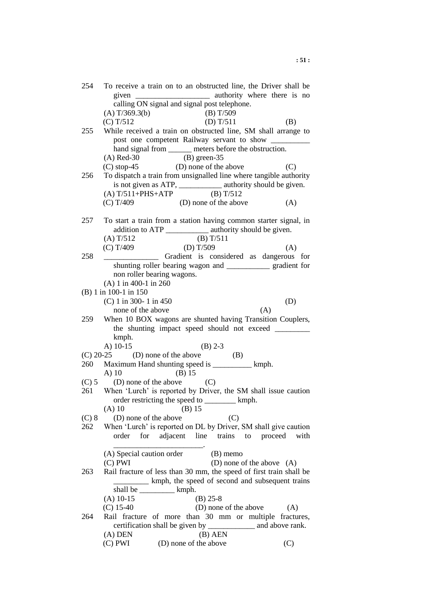| 254     | To receive a train on to an obstructed line, the Driver shall be<br>calling ON signal and signal post telephone.<br>(B) T/509<br>(A) T/369.3(b) |
|---------|-------------------------------------------------------------------------------------------------------------------------------------------------|
|         | (C) T/512<br>(D) $T/511$<br>(B)                                                                                                                 |
| 255     | While received a train on obstructed line, SM shall arrange to<br>post one competent Railway servant to show __________                         |
|         | hand signal from _______ meters before the obstruction.<br>$(A) Red-30$ $(B) green-35$                                                          |
|         | (C) stop-45 (D) none of the above<br>(C)                                                                                                        |
| 256     | To dispatch a train from unsignalled line where tangible authority                                                                              |
|         | is not given as ATP, ____________ authority should be given.                                                                                    |
|         | (A) $T/511+PHS+ATP$ (B) $T/512$                                                                                                                 |
|         | $(C) T/409$ (D) none of the above<br>(A)                                                                                                        |
| 257     | To start a train from a station having common starter signal, in                                                                                |
|         | addition to ATP ______________ authority should be given.                                                                                       |
|         | (B) T/511<br>(A) T/512                                                                                                                          |
|         | (C) T/409<br>(D) $T/509$<br>(A)                                                                                                                 |
| 258     | Gradient is considered as dangerous for                                                                                                         |
|         | shunting roller bearing wagon and _______________ gradient for                                                                                  |
|         | non roller bearing wagons.                                                                                                                      |
|         | $(A) 1 in 400-1 in 260$                                                                                                                         |
|         | (B) 1 in 100-1 in 150                                                                                                                           |
|         | $(C)$ 1 in 300- 1 in 450<br>(D)                                                                                                                 |
|         | none of the above<br>(A)                                                                                                                        |
| 259     | When 10 BOX wagons are shunted having Transition Couplers,                                                                                      |
|         | the shunting impact speed should not exceed                                                                                                     |
|         | kmph.                                                                                                                                           |
|         | A) $10-15$<br>$(B)$ 2-3                                                                                                                         |
|         | $(C)$ 20-25 (D) none of the above (B)                                                                                                           |
| 260     | Maximum Hand shunting speed is ____________ kmph.                                                                                               |
|         | $(B)$ 15<br>$A)$ 10                                                                                                                             |
| $(C)$ 5 | (D) none of the above (C)                                                                                                                       |
|         | 261 When 'Lurch' is reported by Driver, the SM shall issue caution                                                                              |
|         | order restricting the speed to __________ kmph.                                                                                                 |
|         | $(B)$ 15<br>$(A)$ 10                                                                                                                            |
| $(C)$ 8 | (D) none of the above<br>(C)                                                                                                                    |
| 262     | When 'Lurch' is reported on DL by Driver, SM shall give caution                                                                                 |
|         | for adjacent line trains to proceed with<br>order                                                                                               |
|         |                                                                                                                                                 |
|         |                                                                                                                                                 |
|         | (A) Special caution order (B) memo                                                                                                              |
|         | $(C)$ PWI<br>(D) none of the above $(A)$                                                                                                        |
| 263     | Rail fracture of less than 30 mm, the speed of first train shall be                                                                             |
|         | kmph, the speed of second and subsequent trains                                                                                                 |
|         | shall be ________________ kmph.                                                                                                                 |
|         | $(A)$ 10-15<br>$(B)$ 25-8                                                                                                                       |
|         | $(C)$ 15-40<br>(D) none of the above<br>(A)                                                                                                     |
| 264     | Rail fracture of more than 30 mm or multiple fractures,                                                                                         |
|         |                                                                                                                                                 |
|         | $(B)$ AEN<br>$(A)$ DEN<br>(C) PWI<br>(D) none of the above<br>(C)                                                                               |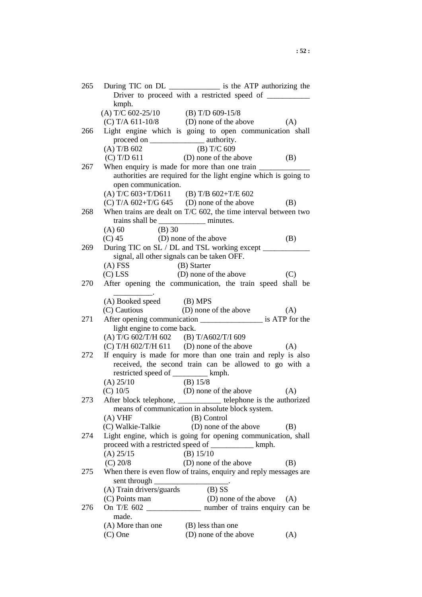|     |                                             | 265 During TIC on DL __________________ is the ATP authorizing the                                                                      |     |
|-----|---------------------------------------------|-----------------------------------------------------------------------------------------------------------------------------------------|-----|
|     |                                             | Driver to proceed with a restricted speed of __________                                                                                 |     |
|     | kmph.                                       |                                                                                                                                         |     |
|     | (A) T/C $602-25/10$ (B) T/D $609-15/8$      |                                                                                                                                         |     |
|     |                                             | $(C) T/A 611-10/8$ (D) none of the above (A)                                                                                            |     |
| 266 |                                             | Light engine which is going to open communication shall                                                                                 |     |
|     |                                             |                                                                                                                                         |     |
|     | proceed on ____________________ authority.  |                                                                                                                                         |     |
|     |                                             | (A) T/B 602 (B) T/C 609<br>(C) T/D 611 (D) none of the above                                                                            |     |
|     |                                             |                                                                                                                                         | (B) |
| 267 |                                             |                                                                                                                                         |     |
|     |                                             | authorities are required for the light engine which is going to                                                                         |     |
|     | open communication.                         |                                                                                                                                         |     |
|     | (A) T/C $603+T/D611$ (B) T/B $602+T/E$ 602  |                                                                                                                                         |     |
|     |                                             | $(C) T/A 602+T/G 645$ (D) none of the above (B)                                                                                         |     |
| 268 |                                             | When trains are dealt on $T/C$ 602, the time interval between two                                                                       |     |
|     |                                             |                                                                                                                                         |     |
|     | $(A) 60$ (B) 30                             |                                                                                                                                         |     |
|     | (C) 45 (D) none of the above                |                                                                                                                                         | (B) |
|     |                                             |                                                                                                                                         |     |
| 269 |                                             |                                                                                                                                         |     |
|     | signal, all other signals can be taken OFF. |                                                                                                                                         |     |
|     |                                             | (A) FSS (B) Starter<br>(C) LSS (D) none of the above (C)                                                                                |     |
|     |                                             |                                                                                                                                         |     |
| 270 |                                             | After opening the communication, the train speed shall be                                                                               |     |
|     |                                             |                                                                                                                                         |     |
|     | (A) Booked speed (B) MPS                    |                                                                                                                                         |     |
|     |                                             | (C) Cautious (D) none of the above                                                                                                      | (A) |
| 271 |                                             | After opening communication ____________________ is ATP for the                                                                         |     |
|     | light engine to come back.                  |                                                                                                                                         |     |
|     | (A) T/G 602/T/H 602 (B) T/A602/T/I 609      |                                                                                                                                         |     |
|     |                                             | (C) T/H $602/T/H$ 611 (D) none of the above (A)                                                                                         |     |
| 272 |                                             | If enquiry is made for more than one train and reply is also                                                                            |     |
|     |                                             | received, the second train can be allowed to go with a                                                                                  |     |
|     |                                             |                                                                                                                                         |     |
|     | restricted speed of ___________ kmph.       |                                                                                                                                         |     |
|     |                                             |                                                                                                                                         |     |
|     |                                             |                                                                                                                                         |     |
| 273 |                                             | (A) $25/10$ (B) $15/8$<br>(C) $10/5$ (D) none of the above (A)<br>After block telephone, ___________________telephone is the authorized |     |
|     |                                             | means of communication in absolute block system.                                                                                        |     |
|     | (A) VHF                                     | (B) Control                                                                                                                             |     |
|     | (C) Walkie-Talkie                           | (D) none of the above                                                                                                                   | (B) |
| 274 |                                             | Light engine, which is going for opening communication, shall                                                                           |     |
|     |                                             | proceed with a restricted speed of ____________ kmph.                                                                                   |     |
|     | $(A)$ 25/15                                 | (B) 15/10                                                                                                                               |     |
|     | (C) 20/8                                    | (D) none of the above                                                                                                                   | (B) |
| 275 |                                             | When there is even flow of trains, enquiry and reply messages are                                                                       |     |
|     |                                             |                                                                                                                                         |     |
|     |                                             |                                                                                                                                         |     |
|     | (A) Train drivers/guards (B) SS             |                                                                                                                                         |     |
|     |                                             |                                                                                                                                         |     |
| 276 |                                             |                                                                                                                                         |     |
|     | made.                                       |                                                                                                                                         |     |
|     | (A) More than one                           | (B) less than one                                                                                                                       |     |
|     | $(C)$ One                                   | (D) none of the above                                                                                                                   | (A) |
|     |                                             |                                                                                                                                         |     |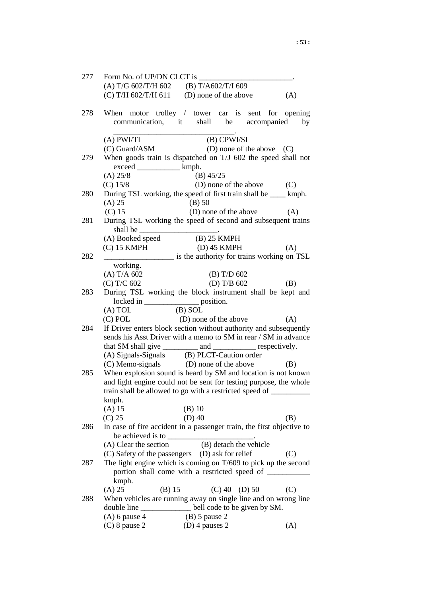| 277 |                                                                                        |     |
|-----|----------------------------------------------------------------------------------------|-----|
|     | (A) T/G $602/T/H$ $602$ (B) T/A602/T/I 609                                             |     |
|     | $(C) T/H 602/T/H 611$ (D) none of the above                                            | (A) |
| 278 | When motor trolley / tower car is sent for opening                                     |     |
|     | communication, it shall be accompanied                                                 | by  |
|     | (A) PWI/TI<br>$(B)$ CPWI/SI                                                            |     |
|     | (D) none of the above $(C)$<br>(C) Guard/ASM                                           |     |
| 279 | When goods train is dispatched on T/J 602 the speed shall not<br>$exceed \_\_\_kimpl.$ |     |
|     | (A) 25/8<br>$(B)$ 45/25                                                                |     |
|     | $(C)$ 15/8<br>(D) none of the above (C)                                                |     |
|     |                                                                                        |     |
| 280 | During TSL working, the speed of first train shall be _____ kmph.<br>(A) 25<br>(B) 50  |     |
|     | $(C)$ 15<br>(D) none of the above (A)                                                  |     |
| 281 | During TSL working the speed of second and subsequent trains<br>shall be               |     |
|     | (A) Booked speed $(B)$ 25 KMPH<br>(C) 15 KMPH (D) 45 KMPH                              |     |
|     | $(D)$ 45 KMPH<br>(C) 15 KMPH                                                           | (A) |
| 282 | is the authority for trains working on TSL                                             |     |
|     | working.                                                                               |     |
|     | (A) T/A 602<br>$(B)$ T/D 602                                                           |     |
|     | $(C)$ T/C 602<br>(D) T/B $602$                                                         | (B) |
| 283 | During TSL working the block instrument shall be kept and                              |     |
|     |                                                                                        |     |
|     | $(A) TOL$ $(B) SOL$                                                                    |     |
|     | (C) POL (D) none of the above                                                          | (A) |
| 284 | If Driver enters block section without authority and subsequently                      |     |
|     | sends his Asst Driver with a memo to SM in rear / SM in advance                        |     |
|     | that SM shall give ___________ and ____________ respectively.                          |     |
|     | (A) Signals-Signals (B) PLCT-Caution order                                             |     |
|     | (C) Memo-signals (D) none of the above                                                 | (B) |
| 285 | When explosion sound is heard by SM and location is not known                          |     |
|     | and light engine could not be sent for testing purpose, the whole                      |     |
|     | train shall be allowed to go with a restricted speed of _______                        |     |
|     | kmph.                                                                                  |     |
|     | $(A)$ 15<br>$(B)$ 10                                                                   |     |
|     | $(C)$ 25<br>$(D)$ 40                                                                   | (B) |
| 286 | In case of fire accident in a passenger train, the first objective to                  |     |
|     |                                                                                        |     |
|     | (B) detach the vehicle<br>(A) Clear the section                                        |     |
|     | (C) Safety of the passengers (D) ask for relief                                        | (C) |
| 287 | The light engine which is coming on $T/609$ to pick up the second                      |     |
|     | portion shall come with a restricted speed of __________<br>kmph.                      |     |
|     | $(A)$ 25<br>$(C)$ 40<br>$(B)$ 15<br>$(D)$ 50                                           | (C) |
| 288 | When vehicles are running away on single line and on wrong line                        |     |
|     | double line ______________ bell code to be given by SM.                                |     |
|     | $(A)$ 6 pause 4<br>$(B)$ 5 pause 2                                                     |     |
|     | $(C)$ 8 pause 2<br>$(D)$ 4 pauses 2                                                    | (A) |
|     |                                                                                        |     |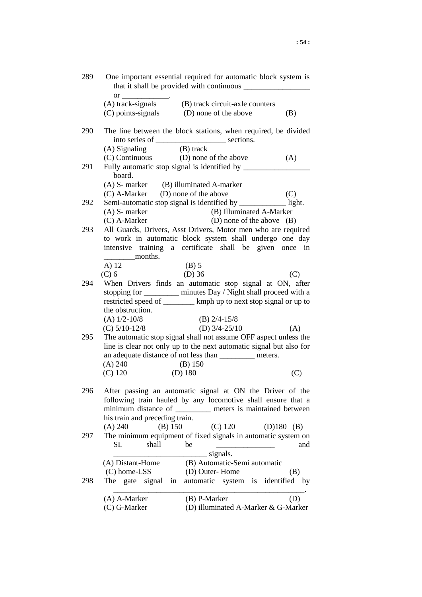| 289<br>One important essential required for automatic block system is |                                                                                                                                                                                                                                |                                                                                                                                                                                         |              |
|-----------------------------------------------------------------------|--------------------------------------------------------------------------------------------------------------------------------------------------------------------------------------------------------------------------------|-----------------------------------------------------------------------------------------------------------------------------------------------------------------------------------------|--------------|
|                                                                       | or and the control of the control of the control of the control of the control of the control of the control of the control of the control of the control of the control of the control of the control of the control of the c |                                                                                                                                                                                         |              |
|                                                                       | (A) track-signals                                                                                                                                                                                                              | (B) track circuit-axle counters                                                                                                                                                         |              |
|                                                                       |                                                                                                                                                                                                                                | (C) points-signals (D) none of the above                                                                                                                                                | (B)          |
|                                                                       |                                                                                                                                                                                                                                |                                                                                                                                                                                         |              |
| 290                                                                   |                                                                                                                                                                                                                                | The line between the block stations, when required, be divided<br>into series of _________________________ sections.                                                                    |              |
|                                                                       | (A) Signaling (B) track                                                                                                                                                                                                        |                                                                                                                                                                                         |              |
|                                                                       |                                                                                                                                                                                                                                | (C) Continuous (D) none of the above                                                                                                                                                    | (A)          |
| 291                                                                   |                                                                                                                                                                                                                                |                                                                                                                                                                                         |              |
|                                                                       | board.                                                                                                                                                                                                                         |                                                                                                                                                                                         |              |
|                                                                       |                                                                                                                                                                                                                                | (A) S- marker (B) illuminated A-marker                                                                                                                                                  |              |
|                                                                       | (C) A-Marker (D) none of the above                                                                                                                                                                                             |                                                                                                                                                                                         | (C)          |
| 292                                                                   |                                                                                                                                                                                                                                | Semi-automatic stop signal is identified by _______________ light.                                                                                                                      |              |
|                                                                       | $(A)$ S- marker                                                                                                                                                                                                                | (B) Illuminated A-Marker                                                                                                                                                                |              |
|                                                                       | (C) A-Marker                                                                                                                                                                                                                   | (D) none of the above (B)                                                                                                                                                               |              |
| 293                                                                   |                                                                                                                                                                                                                                | All Guards, Drivers, Asst Drivers, Motor men who are required                                                                                                                           |              |
|                                                                       |                                                                                                                                                                                                                                | to work in automatic block system shall undergo one day                                                                                                                                 |              |
|                                                                       |                                                                                                                                                                                                                                | intensive training a certificate shall be given once in                                                                                                                                 |              |
|                                                                       |                                                                                                                                                                                                                                |                                                                                                                                                                                         |              |
|                                                                       | $A)$ 12                                                                                                                                                                                                                        | $(B)$ 5                                                                                                                                                                                 |              |
|                                                                       | $(C)$ 6                                                                                                                                                                                                                        | (D) $36$                                                                                                                                                                                | (C)          |
| 294                                                                   |                                                                                                                                                                                                                                | When Drivers finds an automatic stop signal at ON, after                                                                                                                                |              |
|                                                                       |                                                                                                                                                                                                                                | stopping for ___________ minutes Day / Night shall proceed with a                                                                                                                       |              |
|                                                                       |                                                                                                                                                                                                                                | restricted speed of _________ kmph up to next stop signal or up to                                                                                                                      |              |
|                                                                       | the obstruction.                                                                                                                                                                                                               |                                                                                                                                                                                         |              |
|                                                                       | $(A)$ 1/2-10/8                                                                                                                                                                                                                 | (B) $2/4 - 15/8$                                                                                                                                                                        |              |
|                                                                       | $(C)$ 5/10-12/8                                                                                                                                                                                                                | (D) $3/4 - 25/10$                                                                                                                                                                       | (A)          |
| 295                                                                   |                                                                                                                                                                                                                                | The automatic stop signal shall not assume OFF aspect unless the                                                                                                                        |              |
|                                                                       |                                                                                                                                                                                                                                | line is clear not only up to the next automatic signal but also for                                                                                                                     |              |
|                                                                       |                                                                                                                                                                                                                                | an adequate distance of not less than ___________ meters.                                                                                                                               |              |
|                                                                       | (A) 240                                                                                                                                                                                                                        | (B) 150                                                                                                                                                                                 |              |
|                                                                       | $(C)$ 120                                                                                                                                                                                                                      | (D) $180$                                                                                                                                                                               | (C)          |
|                                                                       |                                                                                                                                                                                                                                |                                                                                                                                                                                         |              |
| 296                                                                   | his train and preceding train.                                                                                                                                                                                                 | After passing an automatic signal at ON the Driver of the<br>following train hauled by any locomotive shall ensure that a<br>minimum distance of _________ meters is maintained between |              |
|                                                                       | (A) 240                                                                                                                                                                                                                        | (B) 150<br>$(C)$ 120                                                                                                                                                                    | $(D)180$ (B) |
| 297                                                                   |                                                                                                                                                                                                                                | The minimum equipment of fixed signals in automatic system on                                                                                                                           |              |
|                                                                       | shall<br>SL                                                                                                                                                                                                                    | be                                                                                                                                                                                      | and          |
|                                                                       |                                                                                                                                                                                                                                |                                                                                                                                                                                         |              |
|                                                                       |                                                                                                                                                                                                                                | signals.<br>(A) Distant-Home (B) Automatic-Semi automatic                                                                                                                               |              |
|                                                                       |                                                                                                                                                                                                                                | (D) Outer-Home                                                                                                                                                                          |              |
|                                                                       | $(C)$ home-LSS                                                                                                                                                                                                                 |                                                                                                                                                                                         | (B)          |
| 298                                                                   | The gate signal in                                                                                                                                                                                                             | automatic system is identified by                                                                                                                                                       |              |
|                                                                       |                                                                                                                                                                                                                                |                                                                                                                                                                                         |              |
|                                                                       | (A) A-Marker<br>(C) G-Marker                                                                                                                                                                                                   | (B) P-Marker<br>(D) illuminated A-Marker & G-Marker                                                                                                                                     | (D)          |
|                                                                       |                                                                                                                                                                                                                                |                                                                                                                                                                                         |              |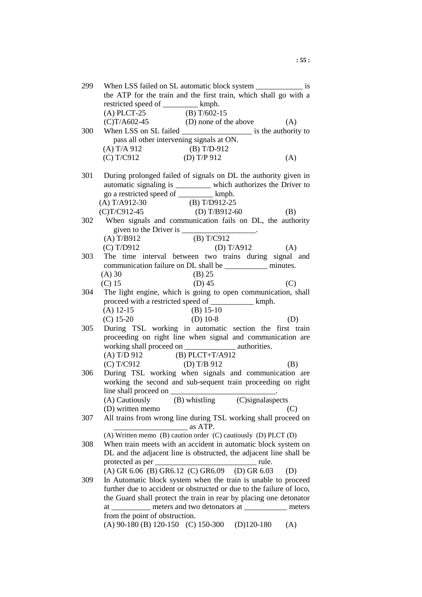| 299 | When LSS failed on SL automatic block system ________________ is                 |
|-----|----------------------------------------------------------------------------------|
|     | the ATP for the train and the first train, which shall go with a                 |
|     | restricted speed of __________ kmph.                                             |
|     | (A) PLCT-25 (B) T/602-15                                                         |
|     | $(C) T/A 602-45$ (D) none of the above<br>(A)                                    |
|     |                                                                                  |
|     | pass all other intervening signals at ON.                                        |
|     |                                                                                  |
|     | (A) T/A 912 (B) T/D-912<br>(C) T/C912 (D) T/P 912<br>(A)                         |
|     |                                                                                  |
|     | 301 During prolonged failed of signals on DL the authority given in              |
|     | automatic signaling is ___________ which authorizes the Driver to                |
|     | go a restricted speed of __________ kmph.                                        |
|     | (A) T/A912-30 (B) T/D912-25                                                      |
|     | $(C) T/C912-45$ (D) T/B912-60<br>(B)                                             |
|     | 302 When signals and communication fails on DL, the authority                    |
|     | given to the Driver is ___________________.                                      |
|     | (A) T/B912                                                                       |
|     | (B) T/C912<br>(D) T/A912<br>(C) T/D912<br>(A)                                    |
| 303 | The time interval between two trains during signal and                           |
|     | communication failure on DL shall be ____________ minutes.                       |
|     | (A) 30                                                                           |
|     | (B) 25<br>(D) 45<br>$(C)$ 15<br>(C)                                              |
| 304 | The light engine, which is going to open communication, shall                    |
|     | proceed with a restricted speed of __________ kmph.                              |
|     |                                                                                  |
|     | (A) $12-15$<br>(B) $15-10$<br>(C) $15-20$<br>(D) $10-8$<br>(D)                   |
| 305 | During TSL working in automatic section the first train                          |
|     | proceeding on right line when signal and communication are                       |
|     | working shall proceed on _________________ authorities.                          |
|     | (A) T/D 912 (B) PLCT+T/A912                                                      |
|     | (C) T/C912 (D) T/B 912<br>(B)                                                    |
| 306 | During TSL working when signals and communication are                            |
|     | working the second and sub-sequent train proceeding on right                     |
|     |                                                                                  |
|     | (A) Cautiously (B) whistling (C) signal aspects                                  |
|     | (C)<br>(D) written memo                                                          |
| 307 | All trains from wrong line during TSL working shall proceed on                   |
|     | as ATP.                                                                          |
|     | (A) Written memo (B) caution order (C) cautiously (D) PLCT (D)                   |
| 308 | When train meets with an accident in automatic block system on                   |
|     | DL and the adjacent line is obstructed, the adjacent line shall be               |
|     | protected as per _<br>rule.<br><u> 1980 - Johann Barbara, martxa alemaniar a</u> |
|     | (A) GR 6.06 (B) GR6.12 (C) GR6.09 (D) GR 6.03<br>(D)                             |
| 309 | In Automatic block system when the train is unable to proceed                    |
|     | further due to accident or obstructed or due to the failure of loco,             |
|     | the Guard shall protect the train in rear by placing one detonator               |
|     | at ____________ meters and two detonators at _____________ meters                |
|     | from the point of obstruction.                                                   |
|     | $(A)$ 90-180 (B) 120-150 (C) 150-300<br>$(D)$ 120-180<br>(A)                     |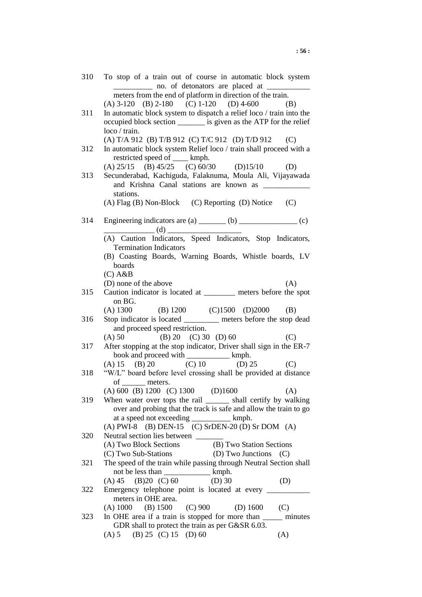| 310 | To stop of a train out of course in automatic block system<br>no. of detonators are placed at _________                                                                                                                                              |
|-----|------------------------------------------------------------------------------------------------------------------------------------------------------------------------------------------------------------------------------------------------------|
|     | meters from the end of platform in direction of the train.                                                                                                                                                                                           |
|     | (A) $3-120$ (B) $2-180$ (C) $1-120$ (D) $4-600$ (B)                                                                                                                                                                                                  |
| 311 | In automatic block system to dispatch a relief loco / train into the                                                                                                                                                                                 |
|     | occupied block section ________ is given as the ATP for the relief                                                                                                                                                                                   |
|     | loco / train.                                                                                                                                                                                                                                        |
|     |                                                                                                                                                                                                                                                      |
|     | (A) T/A 912 (B) T/B 912 (C) T/C 912 (D) T/D 912 (C)                                                                                                                                                                                                  |
| 312 | In automatic block system Relief loco / train shall proceed with a                                                                                                                                                                                   |
|     | restricted speed of _____ kmph.                                                                                                                                                                                                                      |
|     | (A) $25/15$ (B) $45/25$ (C) $60/30$ (D) $15/10$ (D)                                                                                                                                                                                                  |
| 313 | Secunderabad, Kachiguda, Falaknuma, Moula Ali, Vijayawada                                                                                                                                                                                            |
|     |                                                                                                                                                                                                                                                      |
|     | stations.                                                                                                                                                                                                                                            |
|     | $(A)$ Flag (B) Non-Block (C) Reporting (D) Notice (C)                                                                                                                                                                                                |
| 314 | Engineering indicators are (a) $\underline{\hspace{1cm}}$ (b) $\underline{\hspace{1cm}}$ (c)                                                                                                                                                         |
|     | $(d)$ and the same set of $(d)$ and $(d)$ and $(d)$ and $(d)$ and $(d)$ and $(d)$ and $(d)$ and $(d)$ and $(d)$ and $(d)$ and $(d)$ and $(d)$ and $(d)$ and $(d)$ and $(d)$ and $(d)$ and $(d)$ and $(d)$ and $(d)$ and $(d)$ and $(d)$ and $(d)$ an |
|     | (A) Caution Indicators, Speed Indicators, Stop Indicators,                                                                                                                                                                                           |
|     | <b>Termination Indicators</b>                                                                                                                                                                                                                        |
|     | (B) Coasting Boards, Warning Boards, Whistle boards, LV                                                                                                                                                                                              |
|     | boards                                                                                                                                                                                                                                               |
|     | $(C)$ A&B                                                                                                                                                                                                                                            |
|     | (D) none of the above<br>(A)                                                                                                                                                                                                                         |
| 315 | Caution indicator is located at _________ meters before the spot                                                                                                                                                                                     |
|     | on BG.                                                                                                                                                                                                                                               |
|     | (A) 1300 (B) 1200 (C) 1500 (D) 2000 (B)                                                                                                                                                                                                              |
| 316 | Stop indicator is located ________ meters before the stop dead                                                                                                                                                                                       |
|     | and proceed speed restriction.                                                                                                                                                                                                                       |
|     | (A) 50 	 (B) 20 	 (C) 30 	 (D) 60 	 (C)                                                                                                                                                                                                              |
| 317 | After stopping at the stop indicator, Driver shall sign in the ER-7                                                                                                                                                                                  |
|     | book and proceed with _______________ kmph.                                                                                                                                                                                                          |
|     | (A) 15 (B) 20 (C) 10 (D) 25 (C)                                                                                                                                                                                                                      |
| 318 | "W/L" board before level crossing shall be provided at distance                                                                                                                                                                                      |
|     | of _______ meters.                                                                                                                                                                                                                                   |
|     | (A) 600 (B) 1200 (C) 1300 (D)1600 (A)                                                                                                                                                                                                                |
| 319 | When water over tops the rail ________ shall certify by walking                                                                                                                                                                                      |
|     | over and probing that the track is safe and allow the train to go                                                                                                                                                                                    |
|     | at a speed not exceeding ______________ kmph.                                                                                                                                                                                                        |
|     | (A) PWI-8 (B) DEN-15 (C) SrDEN-20 (D) Sr DOM (A)                                                                                                                                                                                                     |
| 320 | Neutral section lies between                                                                                                                                                                                                                         |
|     | (A) Two Block Sections (B) Two Station Sections                                                                                                                                                                                                      |
|     | (C) Two Sub-Stations<br>(D) Two Junctions (C)                                                                                                                                                                                                        |
| 321 | The speed of the train while passing through Neutral Section shall                                                                                                                                                                                   |
|     | not be less than ____________________ kmph.                                                                                                                                                                                                          |
|     | $(A) 45$ $(B)20$ $(C) 60$<br>$(D)$ 30<br>(D)                                                                                                                                                                                                         |
| 322 | Emergency telephone point is located at every ____                                                                                                                                                                                                   |
|     | meters in OHE area.                                                                                                                                                                                                                                  |
|     | (C)<br>(A) 1000<br>$(B)$ 1500<br>$(C)$ 900<br>$(D)$ 1600                                                                                                                                                                                             |
| 323 | In OHE area if a train is stopped for more than<br>$-$ minutes                                                                                                                                                                                       |
|     | GDR shall to protect the train as per G&SR 6.03.                                                                                                                                                                                                     |
|     | (B) 25 (C) 15 (D) 60<br>(A)<br>$(A)$ 5                                                                                                                                                                                                               |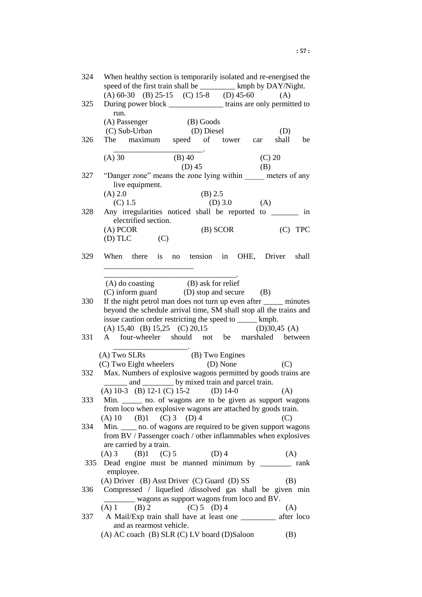| 324 | When healthy section is temporarily isolated and re-energised the<br>speed of the first train shall be __________ kmph by DAY/Night. |
|-----|--------------------------------------------------------------------------------------------------------------------------------------|
|     | (A) $60-30$ (B) $25-15$ (C) $15-8$ (D) $45-60$<br>(A)                                                                                |
| 325 | During power block ___________________ trains are only permitted to<br>run.                                                          |
|     | (A) Passenger (B) Goods                                                                                                              |
|     | (C) Sub-Urban (D) Diesel<br>(D)                                                                                                      |
| 326 | The maximum speed of tower car<br>shall<br>be                                                                                        |
|     |                                                                                                                                      |
|     | $(B)$ 40<br>$(C)$ 20<br>(A) 30                                                                                                       |
|     | $(D)$ 45<br>(B)                                                                                                                      |
| 327 | "Danger zone" means the zone lying within ______ meters of any<br>live equipment.                                                    |
|     | $(B)$ 2.5<br>(A) 2.0                                                                                                                 |
|     | $(C)$ 1.5<br>$(D) 3.0$ (A)                                                                                                           |
| 328 | Any irregularities noticed shall be reported to ________ in<br>electrified section.                                                  |
|     | (A) PCOR<br>$(B)$ SCOR<br>$(C)$ TPC                                                                                                  |
|     | $(D)$ TLC<br>(C)                                                                                                                     |
|     |                                                                                                                                      |
| 329 | When there is no tension in OHE, Driver<br>shall                                                                                     |
|     |                                                                                                                                      |
|     |                                                                                                                                      |
|     | (A) do coasting (B) ask for relief                                                                                                   |
|     | $(C)$ inform guard $(D)$ stop and secure $(B)$                                                                                       |
| 330 | If the night petrol man does not turn up even after ______ minutes                                                                   |
|     | beyond the schedule arrival time, SM shall stop all the trains and                                                                   |
|     | issue caution order restricting the speed to _____ kmph.                                                                             |
|     | (A) $15,40$ (B) $15,25$ (C) $20,15$<br>(D)30,45(A)                                                                                   |
| 331 | four-wheeler should not be marshaled between<br>$\mathbf{A}$                                                                         |
|     | $(A)$ Two SLRs<br>(B) Two Engines                                                                                                    |
|     | (C) Two Eight wheelers (D) None<br>(C)                                                                                               |
|     | 332 Max. Numbers of explosive wagons permitted by goods trains are                                                                   |
|     | and _______ by mixed train and parcel train.                                                                                         |
|     | (A) $10-3$ (B) $12-1$ (C) $15-2$ (D) $14-0$ (A)                                                                                      |
| 333 | Min. ______ no. of wagons are to be given as support wagons                                                                          |
|     | from loco when explosive wagons are attached by goods train.                                                                         |
|     | $(C) 3$ $(D) 4$<br>(C)<br>(A) 10<br>(B)1                                                                                             |
| 334 | Min. _____ no. of wagons are required to be given support wagons                                                                     |
|     | from BV / Passenger coach / other inflammables when explosives                                                                       |
|     | are carried by a train.                                                                                                              |
|     | $(B)1$ $(C)5$<br>$(D)$ 4<br>$(A)$ 3<br>(A)                                                                                           |
|     | 335 Dead engine must be manned minimum by _________ rank                                                                             |
|     | employee.                                                                                                                            |
|     | (A) Driver (B) Asst Driver (C) Guard (D) SS<br>(B)                                                                                   |
| 336 | Compressed / liquefied /dissolved gas shall be given min                                                                             |
|     | wagons as support wagons from loco and BV.                                                                                           |
|     | (C) 5 (D) 4<br>$(B)$ 2<br>(A)<br>(A) 1                                                                                               |
| 337 | A Mail/Exp train shall have at least one ___________ after loco                                                                      |
|     | and as rearmost vehicle.                                                                                                             |
|     | (A) AC coach (B) SLR (C) LV board (D)Saloon<br>(B)                                                                                   |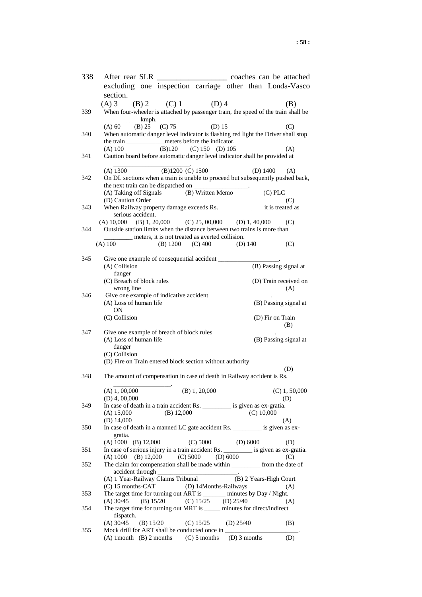| 338 | After rear SLR<br>coaches can be attached                                                                                                   |
|-----|---------------------------------------------------------------------------------------------------------------------------------------------|
|     | excluding one inspection carriage other than Londa-Vasco                                                                                    |
|     | section.                                                                                                                                    |
|     | $(A)$ 3<br>$(D)$ 4<br>$(C)$ 1<br>(B) 2<br>(B)                                                                                               |
| 339 | When four-wheeler is attached by passenger train, the speed of the train shall be                                                           |
|     | $\equiv$ kmph.                                                                                                                              |
|     | $(B)$ 25<br>(C) 75<br>$(D)$ 15<br>(A) 60<br>(C)                                                                                             |
| 340 | When automatic danger level indicator is flashing red light the Driver shall stop                                                           |
|     |                                                                                                                                             |
|     | (A) 100<br>$(B)120$ $(C) 150$ $(D) 105$<br>(A)                                                                                              |
| 341 | Caution board before automatic danger level indicator shall be provided at                                                                  |
|     |                                                                                                                                             |
|     | $(A)$ 1300<br>$(B)1200$ (C) 1500<br>$(D) 1400$ $(A)$                                                                                        |
| 342 | On DL sections when a train is unable to proceed but subsequently pushed back,                                                              |
|     | the next train can be dispatched on<br>(A) Taking off Signals (B) Written Memo<br>$(C)$ PLC                                                 |
|     | (D) Caution Order<br>(C)                                                                                                                    |
| 343 |                                                                                                                                             |
|     | serious accident.                                                                                                                           |
|     | (A) 10,000<br>(B) 1, 20,000 (C) 25, 00,000 (D) 1, 40,000<br>(C)                                                                             |
| 344 | Outside station limits when the distance between two trains is more than                                                                    |
|     | meters, it is not treated as averted collision.                                                                                             |
|     | $(A)$ 100<br>(B) 1200<br>$(C)$ 400<br>(D) $140$<br>(C)                                                                                      |
|     |                                                                                                                                             |
| 345 |                                                                                                                                             |
|     | (B) Passing signal at<br>(A) Collision                                                                                                      |
|     | danger                                                                                                                                      |
|     | (C) Breach of block rules<br>(D) Train received on<br>wrong line<br>(A)                                                                     |
| 346 |                                                                                                                                             |
|     | (A) Loss of human life<br>(B) Passing signal at                                                                                             |
|     | <b>ON</b>                                                                                                                                   |
|     | (C) Collision<br>(D) Fir on Train                                                                                                           |
|     | (B)                                                                                                                                         |
| 347 | Give one example of breach of block rules _______                                                                                           |
|     | (A) Loss of human life<br>(B) Passing signal at                                                                                             |
|     | danger                                                                                                                                      |
|     | (C) Collision                                                                                                                               |
|     | (D) Fire on Train entered block section without authority                                                                                   |
| 348 | (D)<br>The amount of compensation in case of death in Railway accident is Rs.                                                               |
|     |                                                                                                                                             |
|     | (B) 1, 20,000 (C) 1, 50,000<br>$(A)$ 1, 00,000                                                                                              |
|     | $(D)$ 4, 00,000<br>(D)                                                                                                                      |
| 349 | In case of death in a train accident Rs. __________ is given as ex-gratia.                                                                  |
|     | $(A)$ 15,000<br>(B) 12,000<br>$(C)$ 10,000                                                                                                  |
|     | (D) $14,000$<br>(A)                                                                                                                         |
| 350 | In case of death in a manned LC gate accident Rs. __________ is given as ex-                                                                |
|     | gratia.                                                                                                                                     |
|     | (A) $1000$ (B) $12,000$ (C) $5000$ (D) $6000$<br>(D)                                                                                        |
| 351 | In case of serious injury in a train accident Rs. __________ is given as ex-gratia.                                                         |
|     | $(C)$ 5000 $(D)$ 6000<br>$(A) 1000 \t (B) 12,000$<br>(C)                                                                                    |
| 352 | The claim for compensation shall be made within __________ from the date of                                                                 |
|     |                                                                                                                                             |
|     | (A) 1 Year-Railway Claims Tribunal<br>(B) 2 Years-High Court<br>$(C)$ 15 months-CAT<br>(D) 14Months-Railways                                |
| 353 | (A)                                                                                                                                         |
|     | The target time for turning out ART is _______ minutes by Day / Night.<br>(A) $30/45$ (B) $15/20$ (C) $15/25$ (D) $25/40$ ( <i>A</i><br>(A) |
| 354 | The target time for turning out MRT is _____ minutes for direct/indirect                                                                    |
|     | dispatch.                                                                                                                                   |
|     | $(A)$ 30/45<br>(B) $15/20$ (C) $15/25$ (D) $25/40$<br>(B)                                                                                   |
| 355 | Mock drill for ART shall be conducted once in __________                                                                                    |
|     | (A) 1month (B) 2 months (C) 5 months (D) 3 months<br>(D)                                                                                    |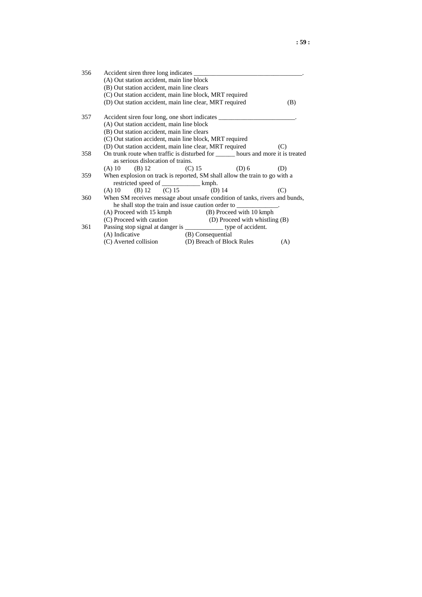| 356                                                                                |                                                                                                                         |                       |  |                                                                            |  |  |     |     |
|------------------------------------------------------------------------------------|-------------------------------------------------------------------------------------------------------------------------|-----------------------|--|----------------------------------------------------------------------------|--|--|-----|-----|
|                                                                                    | (A) Out station accident, main line block                                                                               |                       |  |                                                                            |  |  |     |     |
|                                                                                    | (B) Out station accident, main line clears                                                                              |                       |  |                                                                            |  |  |     |     |
|                                                                                    | (C) Out station accident, main line block, MRT required                                                                 |                       |  |                                                                            |  |  |     |     |
|                                                                                    |                                                                                                                         |                       |  | (D) Out station accident, main line clear, MRT required                    |  |  |     | (B) |
| 357                                                                                | Accident siren four long, one short indicates                                                                           |                       |  |                                                                            |  |  |     |     |
|                                                                                    | (A) Out station accident, main line block                                                                               |                       |  |                                                                            |  |  |     |     |
|                                                                                    | (B) Out station accident, main line clears                                                                              |                       |  |                                                                            |  |  |     |     |
| (C) Out station accident, main line block, MRT required                            |                                                                                                                         |                       |  |                                                                            |  |  |     |     |
|                                                                                    | (D) Out station accident, main line clear, MRT required                                                                 |                       |  |                                                                            |  |  | (C) |     |
| 358                                                                                | On trunk route when traffic is disturbed for ________ hours and more it is treated<br>as serious dislocation of trains. |                       |  |                                                                            |  |  |     |     |
|                                                                                    | (A) 10                                                                                                                  | $(B)$ 12              |  | $(D) 15$ $(D) 6$                                                           |  |  | (D) |     |
| 359                                                                                |                                                                                                                         |                       |  | When explosion on track is reported, SM shall allow the train to go with a |  |  |     |     |
|                                                                                    |                                                                                                                         |                       |  | restricted speed of ____________ kmph.                                     |  |  |     |     |
|                                                                                    |                                                                                                                         |                       |  | (A) 10 (B) 12 (C) 15 (D) 14                                                |  |  | (C) |     |
| When SM receives message about unsafe condition of tanks, rivers and bunds,<br>360 |                                                                                                                         |                       |  |                                                                            |  |  |     |     |
|                                                                                    | he shall stop the train and issue caution order to _____________.                                                       |                       |  |                                                                            |  |  |     |     |
|                                                                                    | (A) Proceed with 15 kmph (B) Proceed with 10 kmph                                                                       |                       |  |                                                                            |  |  |     |     |
|                                                                                    | (C) Proceed with caution (D) Proceed with whistling (B)                                                                 |                       |  |                                                                            |  |  |     |     |
| 361                                                                                |                                                                                                                         |                       |  | Passing stop signal at danger is _______________ type of accident.         |  |  |     |     |
|                                                                                    | (A) Indicative                                                                                                          |                       |  | (B) Consequential                                                          |  |  |     |     |
|                                                                                    |                                                                                                                         | (C) Averted collision |  | (D) Breach of Block Rules                                                  |  |  |     | (A) |
|                                                                                    |                                                                                                                         |                       |  |                                                                            |  |  |     |     |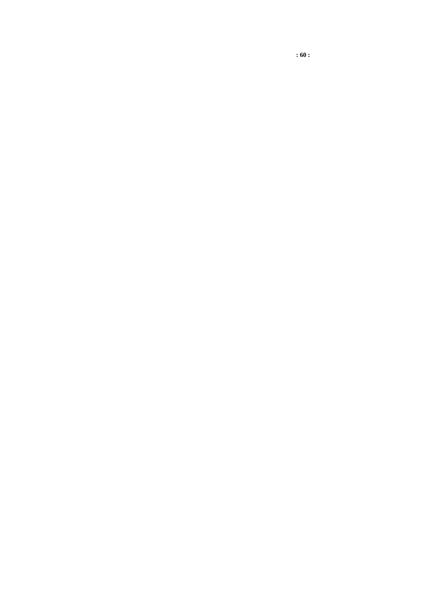**: 60 :**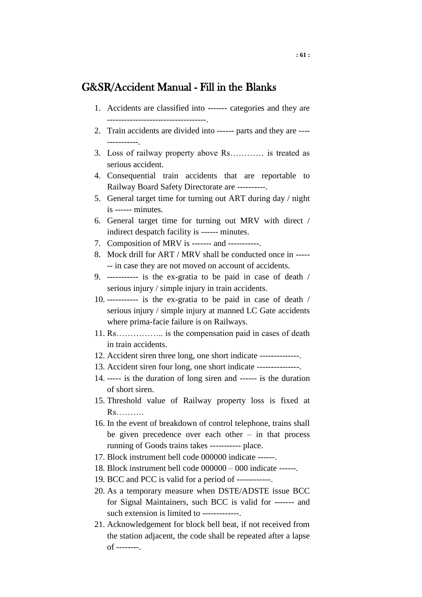## G&SR/Accident Manual - Fill in the Blanks

- 1. Accidents are classified into ------- categories and they are -----------------------------------.
- 2. Train accidents are divided into ------ parts and they are ---- -----------.
- 3. Loss of railway property above Rs………… is treated as serious accident.
- 4. Consequential train accidents that are reportable to Railway Board Safety Directorate are ----------.
- 5. General target time for turning out ART during day / night is ------ minutes.
- 6. General target time for turning out MRV with direct / indirect despatch facility is ------ minutes.
- 7. Composition of MRV is ------- and -----------.
- 8. Mock drill for ART / MRV shall be conducted once in ----- -- in case they are not moved on account of accidents.
- 9. ----------- is the ex-gratia to be paid in case of death / serious injury / simple injury in train accidents.
- 10. ----------- is the ex-gratia to be paid in case of death / serious injury / simple injury at manned LC Gate accidents where prima-facie failure is on Railways.
- 11. Rs…………….. is the compensation paid in cases of death in train accidents.
- 12. Accident siren three long, one short indicate --------------.
- 13. Accident siren four long, one short indicate ---------------.
- 14. ----- is the duration of long siren and ------ is the duration of short siren.
- 15. Threshold value of Railway property loss is fixed at Rs……….
- 16. In the event of breakdown of control telephone, trains shall be given precedence over each other  $-$  in that process running of Goods trains takes ----------- place.
- 17. Block instrument bell code 000000 indicate ------.
- 18. Block instrument bell code 000000 000 indicate ------.
- 19. BCC and PCC is valid for a period of ------------.
- 20. As a temporary measure when DSTE/ADSTE issue BCC for Signal Maintainers, such BCC is valid for ------- and such extension is limited to -------------
- 21. Acknowledgement for block bell beat, if not received from the station adjacent, the code shall be repeated after a lapse of --------.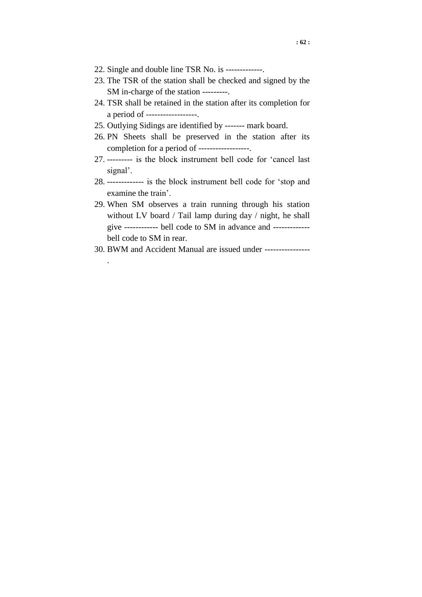- 22. Single and double line TSR No. is -------------.
- 23. The TSR of the station shall be checked and signed by the SM in-charge of the station ---------.
- 24. TSR shall be retained in the station after its completion for a period of ------------------.
- 25. Outlying Sidings are identified by ------- mark board.
- 26. PN Sheets shall be preserved in the station after its completion for a period of ------------------.
- 27. --------- is the block instrument bell code for "cancel last signal'.
- 28. ------------- is the block instrument bell code for "stop and examine the train'.
- 29. When SM observes a train running through his station without LV board / Tail lamp during day / night, he shall give ------------ bell code to SM in advance and ------------ bell code to SM in rear.
- 30. BWM and Accident Manual are issued under ----------------

.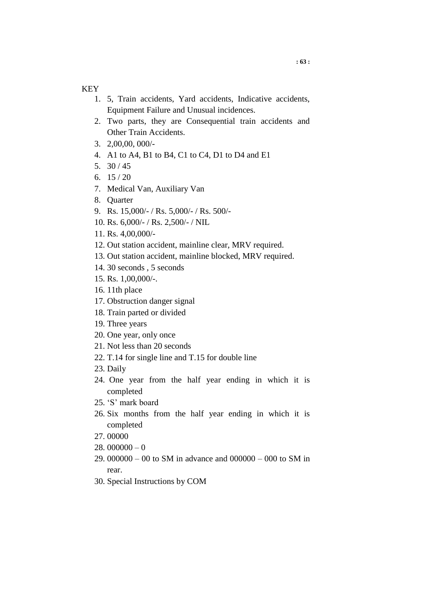## KEY

- 1. 5, Train accidents, Yard accidents, Indicative accidents, Equipment Failure and Unusual incidences.
- 2. Two parts, they are Consequential train accidents and Other Train Accidents.
- 3. 2,00,00, 000/-
- 4. A1 to A4, B1 to B4, C1 to C4, D1 to D4 and E1
- 5. 30 / 45
- 6. 15 / 20
- 7. Medical Van, Auxiliary Van
- 8. Quarter
- 9. Rs. 15,000/- / Rs. 5,000/- / Rs. 500/-
- 10. Rs. 6,000/- / Rs. 2,500/- / NIL
- 11. Rs. 4,00,000/-
- 12. Out station accident, mainline clear, MRV required.
- 13. Out station accident, mainline blocked, MRV required.
- 14. 30 seconds , 5 seconds
- 15. Rs. 1,00,000/-.
- 16. 11th place
- 17. Obstruction danger signal
- 18. Train parted or divided
- 19. Three years
- 20. One year, only once
- 21. Not less than 20 seconds
- 22. T.14 for single line and T.15 for double line
- 23. Daily
- 24. One year from the half year ending in which it is completed
- 25. "S" mark board
- 26. Six months from the half year ending in which it is completed
- 27. 00000
- $28.000000 0$
- 29. 000000 00 to SM in advance and 000000 000 to SM in rear.
- 30. Special Instructions by COM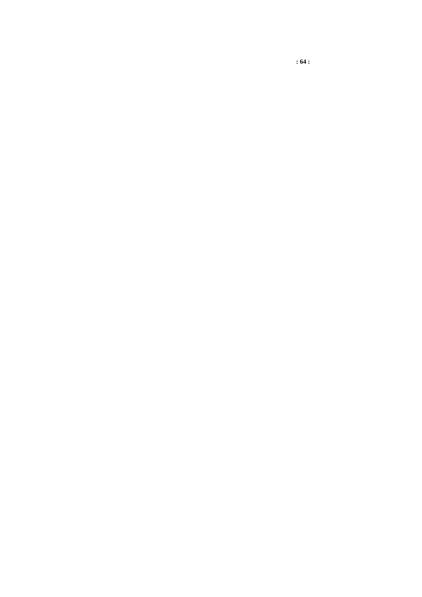**: 64 :**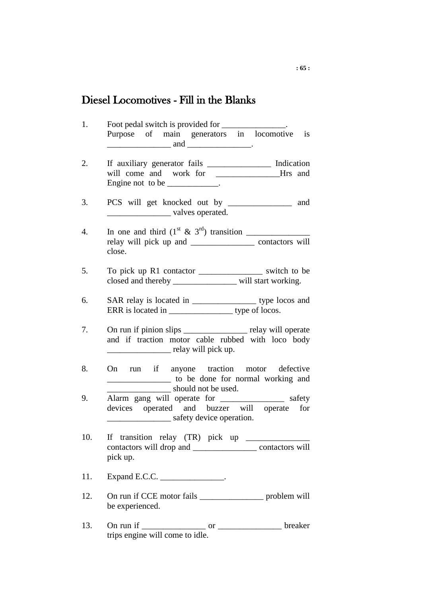## Diesel Locomotives - Fill in the Blanks

| 1.  | Foot pedal switch is provided for ______________.                                                                                                                                                                                                                                                                                                                                                                                    |  |  |  |  |
|-----|--------------------------------------------------------------------------------------------------------------------------------------------------------------------------------------------------------------------------------------------------------------------------------------------------------------------------------------------------------------------------------------------------------------------------------------|--|--|--|--|
|     | Purpose of main generators in locomotive is<br>$\frac{1}{\sqrt{1-\frac{1}{2}}}\text{ and } \frac{1}{\sqrt{1-\frac{1}{2}}}\text{ and } \frac{1}{\sqrt{1-\frac{1}{2}}}\text{.}$                                                                                                                                                                                                                                                        |  |  |  |  |
| 2.  | If auxiliary generator fails _________________ Indication<br>will come and work for ______________Hrs and<br>Engine not to be ____________.                                                                                                                                                                                                                                                                                          |  |  |  |  |
| 3.  | PCS will get knocked out by ______________ and<br>valves operated.                                                                                                                                                                                                                                                                                                                                                                   |  |  |  |  |
| 4.  | relay will pick up and ___________________ contactors will<br>close.                                                                                                                                                                                                                                                                                                                                                                 |  |  |  |  |
| 5.  | To pick up R1 contactor _________________ switch to be<br>closed and thereby ______________ will start working.                                                                                                                                                                                                                                                                                                                      |  |  |  |  |
| 6.  | SAR relay is located in ____________________ type locos and<br>ERR is located in ________________________type of locos.                                                                                                                                                                                                                                                                                                              |  |  |  |  |
| 7.  | On run if pinion slips ___________________ relay will operate<br>and if traction motor cable rubbed with loco body                                                                                                                                                                                                                                                                                                                   |  |  |  |  |
| 8.  | On run if anyone traction motor defective<br>to be done for normal working and<br>should not be used.                                                                                                                                                                                                                                                                                                                                |  |  |  |  |
| 9.  | Alarm gang will operate for ________________ safety<br>devices operated and buzzer will operate for<br>safety device operation.                                                                                                                                                                                                                                                                                                      |  |  |  |  |
|     | 10. If transition relay (TR) pick up ______________<br>contactors will drop and _______________________ contactors will<br>pick up.                                                                                                                                                                                                                                                                                                  |  |  |  |  |
| 11. | Expand E.C.C.                                                                                                                                                                                                                                                                                                                                                                                                                        |  |  |  |  |
| 12. | On run if CCE motor fails ______________________ problem will<br>be experienced.                                                                                                                                                                                                                                                                                                                                                     |  |  |  |  |
| 13. | On run if $\frac{1}{\sqrt{1-\frac{1}{\sqrt{1-\frac{1}{\sqrt{1-\frac{1}{\sqrt{1-\frac{1}{\sqrt{1-\frac{1}{\sqrt{1-\frac{1}{\sqrt{1-\frac{1}{\sqrt{1-\frac{1}{\sqrt{1-\frac{1}{\sqrt{1-\frac{1}{\sqrt{1-\frac{1}{\sqrt{1-\frac{1}{\sqrt{1-\frac{1}{\sqrt{1-\frac{1}{\sqrt{1-\frac{1}{\sqrt{1-\frac{1}{\sqrt{1-\frac{1}{\sqrt{1-\frac{1}{\sqrt{1-\frac{1}{\sqrt{1-\frac{1}{\sqrt{1-\frac{1}{\sqrt{1-\frac{1}{\sqrt{1-\frac{$<br>breaker |  |  |  |  |

trips engine will come to idle.

**: 65 :**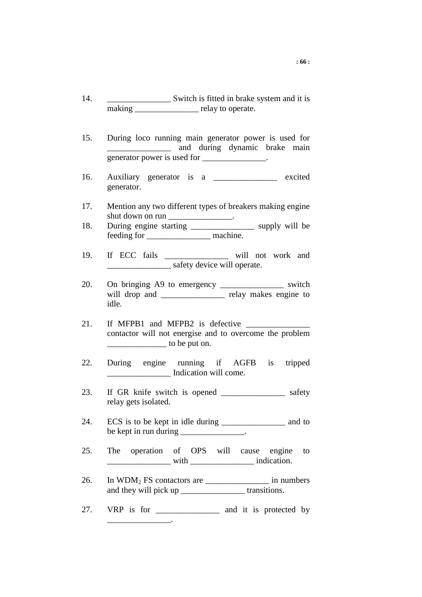14. \_\_\_\_\_\_\_\_\_\_\_\_\_\_\_\_\_\_\_\_\_\_\_\_\_\_ Switch is fitted in brake system and it is making \_\_\_\_\_\_\_\_\_\_\_\_\_\_\_\_\_\_ relay to operate.

- 15. During loco running main generator power is used for \_\_\_\_\_\_\_\_\_\_\_\_\_\_\_ and during dynamic brake main generator power is used for \_\_\_\_\_\_\_\_\_\_\_\_\_\_.
- 16. Auxiliary generator is a \_\_\_\_\_\_\_\_\_\_\_\_\_\_\_ excited generator.
- 17. Mention any two different types of breakers making engine shut down on run \_\_\_\_\_\_\_\_\_\_\_\_\_\_\_\_.
- 18. During engine starting \_\_\_\_\_\_\_\_\_\_\_\_\_\_\_ supply will be feeding for \_\_\_\_\_\_\_\_\_\_\_\_\_\_\_\_\_ machine.
- 19. If ECC fails \_\_\_\_\_\_\_\_\_\_\_\_\_\_\_ will not work and \_\_\_\_\_\_\_\_\_\_\_\_\_\_\_ safety device will operate.
- 20. On bringing A9 to emergency \_\_\_\_\_\_\_\_\_\_\_\_\_\_\_ switch will drop and \_\_\_\_\_\_\_\_\_\_\_\_\_\_ relay makes engine to idle.
- 21. If MFPB1 and MFPB2 is defective contactor will not energise and to overcome the problem  $\frac{1}{\sqrt{1-\frac{1}{\sqrt{1-\frac{1}{\sqrt{1-\frac{1}{\sqrt{1-\frac{1}{\sqrt{1-\frac{1}{\sqrt{1-\frac{1}{\sqrt{1-\frac{1}{\sqrt{1-\frac{1}{\sqrt{1-\frac{1}{\sqrt{1-\frac{1}{\sqrt{1-\frac{1}{\sqrt{1-\frac{1}{\sqrt{1-\frac{1}{\sqrt{1-\frac{1}{\sqrt{1-\frac{1}{\sqrt{1-\frac{1}{\sqrt{1-\frac{1}{\sqrt{1-\frac{1}{\sqrt{1-\frac{1}{\sqrt{1-\frac{1}{\sqrt{1-\frac{1}{\sqrt{1-\frac{1}{\sqrt{1-\frac{1}{\sqrt{1-\frac{1$
- 22. During engine running if AGFB is tripped \_\_\_\_\_\_\_\_\_\_\_\_\_\_\_ Indication will come.
- 23. If GR knife switch is opened \_\_\_\_\_\_\_\_\_\_\_\_\_\_ safety relay gets isolated.
- 24. ECS is to be kept in idle during \_\_\_\_\_\_\_\_\_\_\_\_\_\_\_ and to be kept in run during \_\_\_\_\_\_\_\_\_\_\_\_\_.
- 25. The operation of OPS will cause engine to  $\frac{1}{\sqrt{1-\frac{1}{2}}}\text{ with } \frac{1}{\sqrt{1-\frac{1}{2}}}\text{ (indication)}$
- 26. In  $WDM_2$  FS contactors are  $\frac{1}{2}$  in numbers and they will pick up \_\_\_\_\_\_\_\_\_\_\_\_\_\_\_\_\_\_\_\_\_\_ transitions.
- 27. VRP is for \_\_\_\_\_\_\_\_\_\_\_\_\_\_\_ and it is protected by

\_\_\_\_\_\_\_\_\_\_\_\_\_\_\_.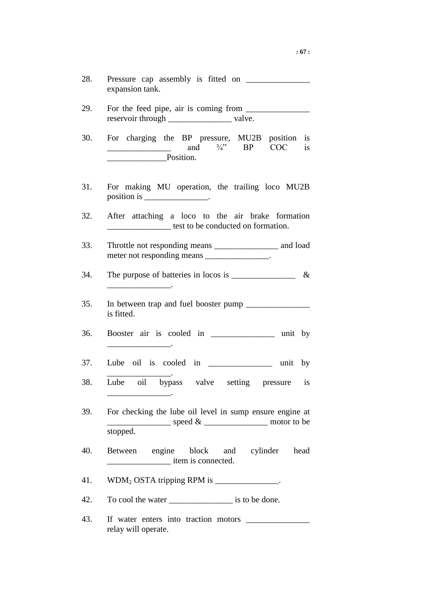| 28. | expansion tank.                                                                                                                                                     |
|-----|---------------------------------------------------------------------------------------------------------------------------------------------------------------------|
| 29. |                                                                                                                                                                     |
| 30. | For charging the BP pressure, MU2B position is<br>and $\frac{3}{4}$ " BP COC is<br>Position.                                                                        |
| 31. | For making MU operation, the trailing loco MU2B<br>position is $\frac{\qquad \qquad }{\qquad \qquad }$ .                                                            |
| 32. | After attaching a loco to the air brake formation<br>test to be conducted on formation.                                                                             |
| 33. | meter not responding means _______________.                                                                                                                         |
| 34. | The purpose of batteries in locos is $\frac{\alpha}{\alpha}$                                                                                                        |
| 35. | is fitted.                                                                                                                                                          |
| 36. | Booster air is cooled in ________________ unit by<br><u> 1989 - Jan Alexandria (</u>                                                                                |
| 37. | Lube oil is cooled in ________________ unit by                                                                                                                      |
| 38. | Lube oil bypass valve setting pressure is<br><u> 1989 - Johann Barbara, politik eta provincia eta provincia eta provincia eta provincia eta provincia eta provi</u> |
| 39. | For checking the lube oil level in sump ensure engine at<br>stopped.                                                                                                |
| 40. | Between engine block and cylinder head<br><i>item</i> is connected.                                                                                                 |
| 41. | $WDM2$ OSTA tripping RPM is _______________.                                                                                                                        |
| 42. | To cool the water _____________________ is to be done.                                                                                                              |
| 43. | If water enters into traction motors _______________<br>relay will operate.                                                                                         |

**: 67 :**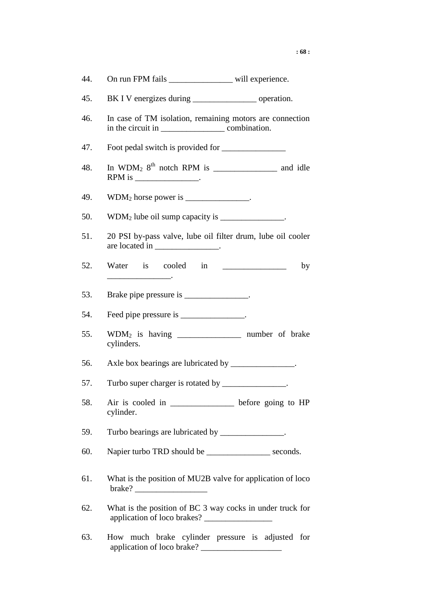| 44. | On run FPM fails _____________ will experience.                                                  |    |  |  |  |  |  |
|-----|--------------------------------------------------------------------------------------------------|----|--|--|--|--|--|
| 45. | BK I V energizes during ________________________ operation.                                      |    |  |  |  |  |  |
| 46. | In case of TM isolation, remaining motors are connection                                         |    |  |  |  |  |  |
| 47. |                                                                                                  |    |  |  |  |  |  |
| 48. | RPM is $\frac{1}{\sqrt{1-\frac{1}{2}}}\cdot$                                                     |    |  |  |  |  |  |
| 49. | $WDM2$ horse power is $\frac{1}{2}$ .                                                            |    |  |  |  |  |  |
| 50. | $WDM2$ lube oil sump capacity is $\frac{1}{2}$                                                   |    |  |  |  |  |  |
| 51. | 20 PSI by-pass valve, lube oil filter drum, lube oil cooler<br>are located in _________________. |    |  |  |  |  |  |
| 52. | <u> 1989 - Johann Barbara, martin eta </u>                                                       | by |  |  |  |  |  |
| 53. | Brake pipe pressure is _______________.                                                          |    |  |  |  |  |  |
| 54. | Feed pipe pressure is ______________.                                                            |    |  |  |  |  |  |
| 55. | WDM <sub>2</sub> is having ______________________ number of brake<br>cylinders.                  |    |  |  |  |  |  |
| 56. | Axle box bearings are lubricated by ______________.                                              |    |  |  |  |  |  |
| 57. | Turbo super charger is rotated by _______________.                                               |    |  |  |  |  |  |
| 58. | Air is cooled in ___________________ before going to HP<br>cylinder.                             |    |  |  |  |  |  |
| 59. | Turbo bearings are lubricated by _______________.                                                |    |  |  |  |  |  |
| 60. | Napier turbo TRD should be __________________ seconds.                                           |    |  |  |  |  |  |
| 61. | What is the position of MU2B valve for application of loco                                       |    |  |  |  |  |  |
| 62. | What is the position of BC 3 way cocks in under truck for<br>application of loco brakes?         |    |  |  |  |  |  |
| 63. | How much brake cylinder pressure is adjusted for                                                 |    |  |  |  |  |  |

application of loco brake? \_\_\_\_\_\_\_\_\_\_\_\_\_\_\_\_\_\_\_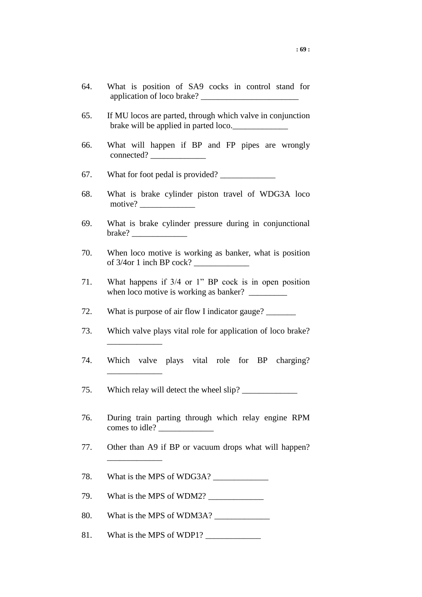- 64. What is position of SA9 cocks in control stand for application of loco brake? \_\_\_\_\_\_\_\_\_\_\_\_\_\_\_\_\_\_\_\_\_\_\_
- 65. If MU locos are parted, through which valve in conjunction brake will be applied in parted loco.
- 66. What will happen if BP and FP pipes are wrongly connected? \_\_\_\_\_\_\_\_\_\_\_\_\_
- 67. What for foot pedal is provided?
- 68. What is brake cylinder piston travel of WDG3A loco motive? \_\_\_\_\_\_\_\_\_\_\_\_\_
- 69. What is brake cylinder pressure during in conjunctional brake? \_\_\_\_\_\_\_\_\_\_\_\_\_
- 70. When loco motive is working as banker, what is position of 3/4or 1 inch BP cock? \_\_\_\_\_\_\_\_\_\_\_\_\_
- 71. What happens if 3/4 or 1" BP cock is in open position when loco motive is working as banker?
- 72. What is purpose of air flow I indicator gauge?

\_\_\_\_\_\_\_\_\_\_\_\_\_

\_\_\_\_\_\_\_\_\_\_\_\_\_

\_\_\_\_\_\_\_\_\_\_\_\_\_

- 73. Which valve plays vital role for application of loco brake?
- 74. Which valve plays vital role for BP charging?

75. Which relay will detect the wheel slip?

- 76. During train parting through which relay engine RPM comes to idle? \_\_\_\_\_\_\_\_\_\_\_\_\_
- 77. Other than A9 if BP or vacuum drops what will happen?
- 78. What is the MPS of WDG3A? \_\_\_\_\_\_\_\_\_\_\_\_\_
- 79. What is the MPS of WDM2?
- 80. What is the MPS of WDM3A?
- 81. What is the MPS of WDP1?  $\frac{1}{\sqrt{1-\frac{1}{\sqrt{1-\frac{1}{\sqrt{1-\frac{1}{\sqrt{1-\frac{1}{\sqrt{1-\frac{1}{\sqrt{1-\frac{1}{\sqrt{1-\frac{1}{\sqrt{1-\frac{1}{\sqrt{1-\frac{1}{\sqrt{1-\frac{1}{\sqrt{1-\frac{1}{\sqrt{1-\frac{1}{\sqrt{1-\frac{1}{\sqrt{1-\frac{1}{\sqrt{1-\frac{1}{\sqrt{1-\frac{1}{\sqrt{1-\frac{1}{\sqrt{1-\frac{1}{\sqrt{1-\frac{1}{\sqrt{1-\frac{1}{\sqrt{1-\frac$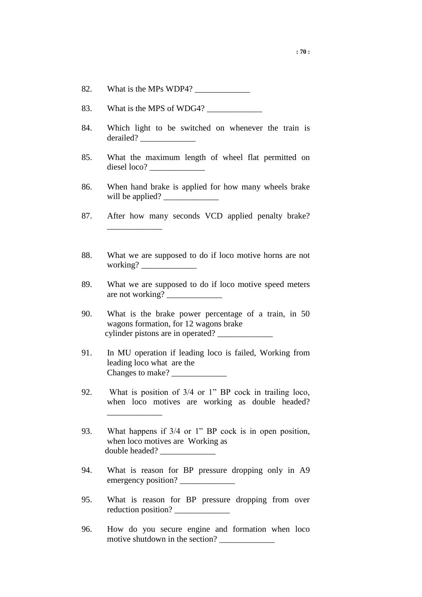83. What is the MPS of WDG4?  $\frac{2}{\sqrt{3}}$ 

\_\_\_\_\_\_\_\_\_\_\_\_\_

\_\_\_\_\_\_\_\_\_\_\_\_\_

- 84. Which light to be switched on whenever the train is derailed?
- 85. What the maximum length of wheel flat permitted on diesel loco?
- 86. When hand brake is applied for how many wheels brake will be applied? \_\_\_\_\_\_\_\_\_\_\_\_\_
- 87. After how many seconds VCD applied penalty brake?
- 88. What we are supposed to do if loco motive horns are not working? \_\_\_\_\_\_\_\_\_\_\_\_\_
- 89. What we are supposed to do if loco motive speed meters are not working?
- 90. What is the brake power percentage of a train, in 50 wagons formation, for 12 wagons brake cylinder pistons are in operated?
- 91. In MU operation if leading loco is failed, Working from leading loco what are the Changes to make? \_\_\_\_\_\_\_\_\_\_\_\_\_
- 92. What is position of 3/4 or 1" BP cock in trailing loco, when loco motives are working as double headed?
- 93. What happens if 3/4 or 1" BP cock is in open position, when loco motives are Working as double headed?
- 94. What is reason for BP pressure dropping only in A9 emergency position? \_\_\_\_\_\_\_\_\_\_\_\_\_
- 95. What is reason for BP pressure dropping from over reduction position? \_\_\_\_\_\_\_\_\_\_\_\_\_
- 96. How do you secure engine and formation when loco motive shutdown in the section?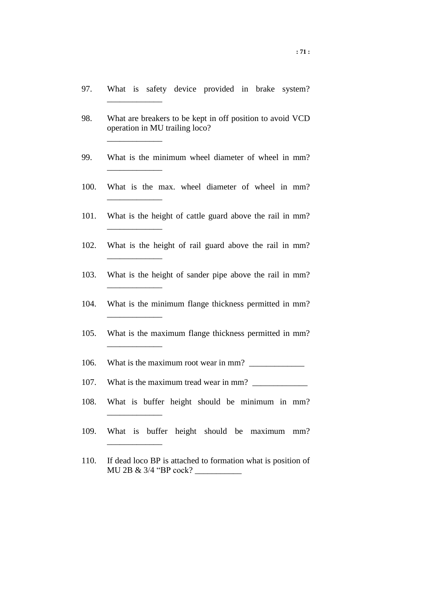| 97.  | What is safety device provided in brake system?                                             |
|------|---------------------------------------------------------------------------------------------|
| 98.  | What are breakers to be kept in off position to avoid VCD<br>operation in MU trailing loco? |
| 99.  | What is the minimum wheel diameter of wheel in mm?                                          |
| 100. | What is the max. wheel diameter of wheel in mm?                                             |
| 101. | What is the height of cattle guard above the rail in mm?                                    |
| 102. | What is the height of rail guard above the rail in mm?                                      |
| 103. | What is the height of sander pipe above the rail in mm?                                     |
| 104. | What is the minimum flange thickness permitted in mm?                                       |
| 105. | What is the maximum flange thickness permitted in mm?                                       |
| 106. | What is the maximum root wear in mm?                                                        |
| 107. | What is the maximum tread wear in mm?                                                       |
|      | 108. What is buffer height should be minimum in mm?                                         |
| 109. | What is buffer height should be maximum mm?                                                 |
|      |                                                                                             |

110. If dead loco BP is attached to formation what is position of MU 2B & 3/4 "BP cock? \_\_\_\_\_\_\_\_\_\_\_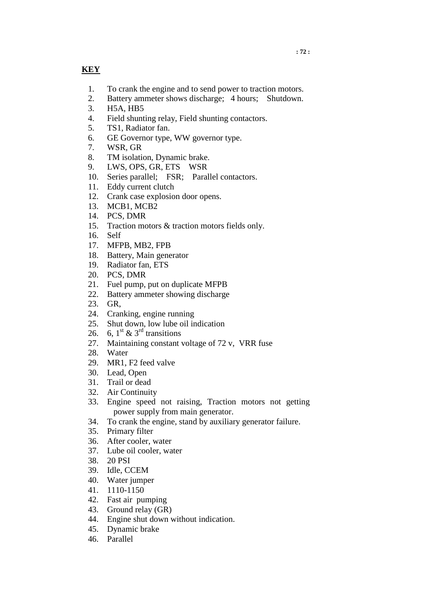## **KEY**

- 1. To crank the engine and to send power to traction motors.
- 2. Battery ammeter shows discharge; 4 hours; Shutdown.
- 3. H5A, HB5
- 4. Field shunting relay, Field shunting contactors.
- 5. TS1, Radiator fan.
- 6. GE Governor type, WW governor type.
- 7. WSR, GR
- 8. TM isolation, Dynamic brake.
- 9. LWS, OPS, GR, ETS WSR
- 10. Series parallel; FSR; Parallel contactors.
- 11. Eddy current clutch
- 12. Crank case explosion door opens.
- 13. MCB1, MCB2
- 14. PCS, DMR
- 15. Traction motors & traction motors fields only.
- 16. Self
- 17. MFPB, MB2, FPB
- 18. Battery, Main generator
- 19. Radiator fan, ETS
- 20. PCS, DMR
- 21. Fuel pump, put on duplicate MFPB
- 22. Battery ammeter showing discharge
- 23. GR,
- 24. Cranking, engine running
- 25. Shut down, low lube oil indication
- 26. 6,  $1^{\text{st}}$  &  $3^{\text{rd}}$  transitions
- 27. Maintaining constant voltage of 72 v, VRR fuse
- 28. Water
- 29. MR1, F2 feed valve
- 30. Lead, Open
- 31. Trail or dead
- 32. Air Continuity
- 33. Engine speed not raising, Traction motors not getting power supply from main generator.
- 34. To crank the engine, stand by auxiliary generator failure.
- 35. Primary filter
- 36. After cooler, water
- 37. Lube oil cooler, water
- 38. 20 PSI
- 39. Idle, CCEM
- 40. Water jumper
- 41. 1110-1150
- 42. Fast air pumping
- 43. Ground relay (GR)
- 44. Engine shut down without indication.
- 45. Dynamic brake
- 46. Parallel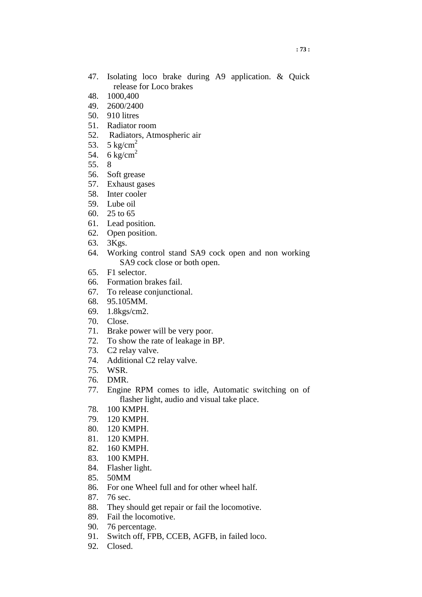- 47. Isolating loco brake during A9 application. & Quick release for Loco brakes
- 48. 1000,400
- 49. 2600/2400
- 50. 910 litres
- 51. Radiator room
- 52. Radiators, Atmospheric air
- 53.  $5 \text{ kg/cm}^2$
- 54. 6 kg/cm<sup>2</sup>
- 55. 8
- 56. Soft grease
- 57. Exhaust gases
- 58. Inter cooler
- 59. Lube oil
- 60. 25 to 65
- 61. Lead position.
- 62. Open position.
- 63. 3Kgs.
- 64. Working control stand SA9 cock open and non working SA9 cock close or both open.
- 65. F1 selector.
- 66. Formation brakes fail.
- 67. To release conjunctional.
- 68. 95.105MM.
- 69. 1.8kgs/cm2.
- 70. Close.
- 71. Brake power will be very poor.
- 72. To show the rate of leakage in BP.
- 73. C2 relay valve.
- 74. Additional C2 relay valve.
- 75. WSR.
- 76. DMR.
- 77. Engine RPM comes to idle, Automatic switching on of flasher light, audio and visual take place.
- 78. 100 KMPH.
- 79. 120 KMPH.
- 80. 120 KMPH.
- 81. 120 KMPH.
- 82. 160 KMPH.
- 83. 100 KMPH.
- 84. Flasher light.
- 85. 50MM
- 86. For one Wheel full and for other wheel half.
- 87. 76 sec.
- 88. They should get repair or fail the locomotive.
- 89. Fail the locomotive.
- 90. 76 percentage.
- 91. Switch off, FPB, CCEB, AGFB, in failed loco.
- 92. Closed.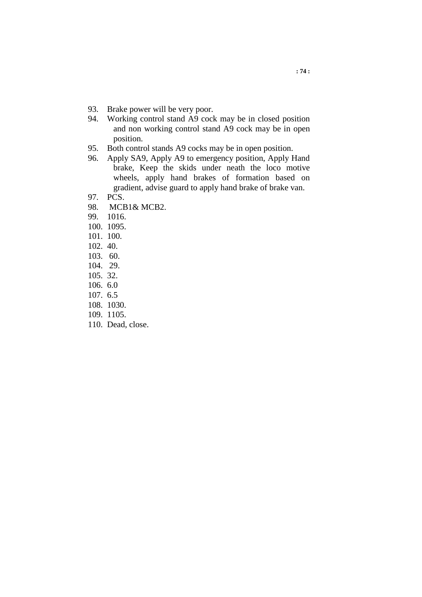- 93. Brake power will be very poor.
- 94. Working control stand A9 cock may be in closed position and non working control stand A9 cock may be in open position.
- 95. Both control stands A9 cocks may be in open position.
- 96. Apply SA9, Apply A9 to emergency position, Apply Hand brake, Keep the skids under neath the loco motive wheels, apply hand brakes of formation based on gradient, advise guard to apply hand brake of brake van.
- 97. PCS.
- 98. MCB1& MCB2.
- 99. 1016.
- 100. 1095.
- 101. 100.
- 102. 40.
- 103. 60.
- 104. 29.
- 105. 32.
- 106. 6.0
- 107. 6.5
- 108. 1030.
- 109. 1105.
- 110. Dead, close.